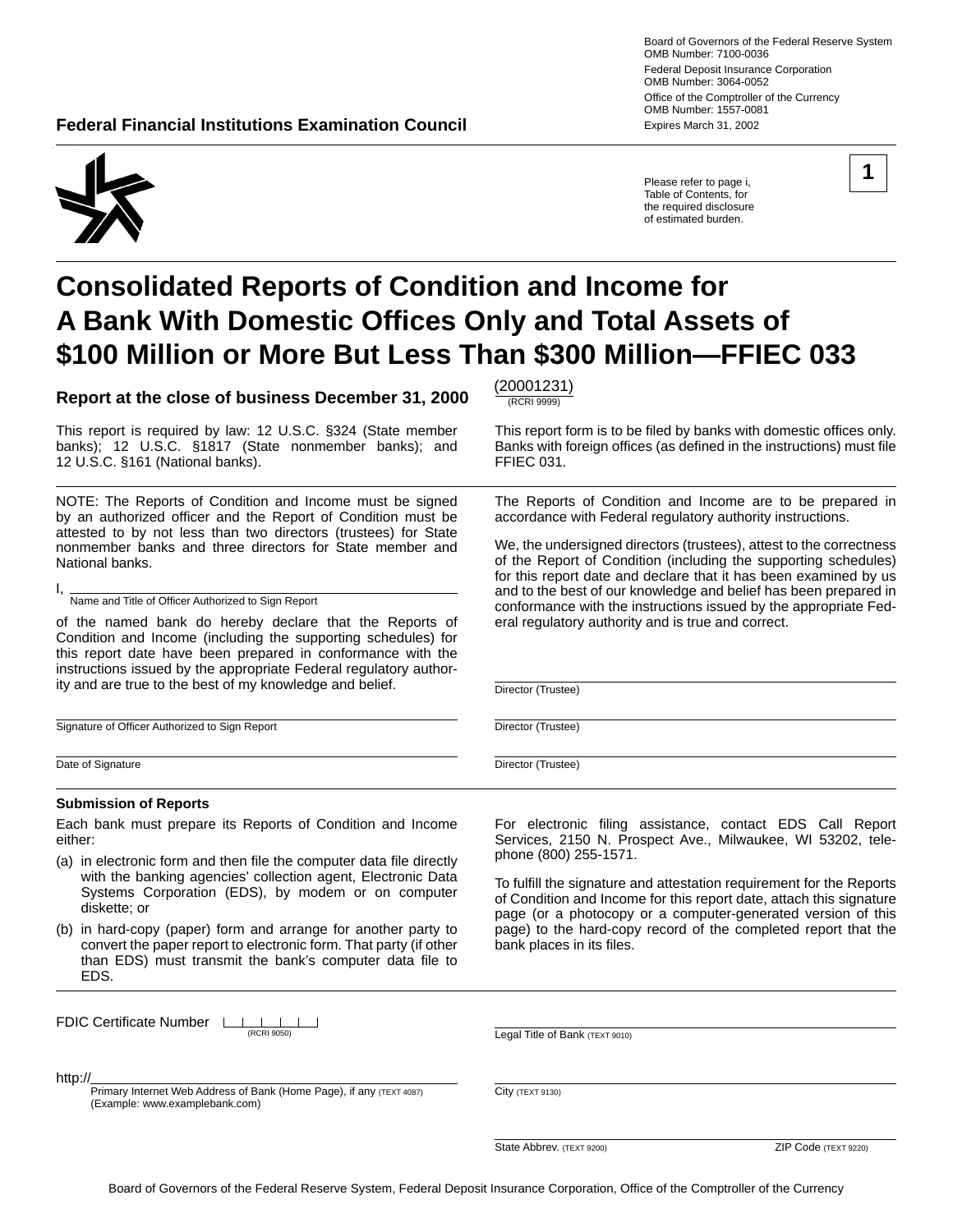**Federal Financial Institutions Examination Council <b>Expires March 31, 2002** Expires March 31, 2002

Board of Governors of the Federal Reserve System OMB Number: 7100-0036 Federal Deposit Insurance Corporation OMB Number: 3064-0052 Office of the Comptroller of the Currency OMB Number: 1557-0081

Please refer to page i, Table of Contents, for the required disclosure of estimated burden.

The Reports of Condition and Income are to be prepared in accordance with Federal regulatory authority instructions.

We, the undersigned directors (trustees), attest to the correctness of the Report of Condition (including the supporting schedules) for this report date and declare that it has been examined by us and to the best of our knowledge and belief has been prepared in conformance with the instructions issued by the appropriate Fed-

eral regulatory authority and is true and correct.



# **Consolidated Reports of Condition and Income for A Bank With Domestic Offices Only and Total Assets of \$100 Million or More But Less Than \$300 Million—FFIEC 033**

**Report at the close of business December 31, 2000**  $\frac{(20001231)}{RCRR \cdot RSR \cdot 99990}$ 

This report is required by law: 12 U.S.C. §324 (State member This report form is to be filed by banks with domestic offices only. banks); 12 U.S.C. §1817 (State nonmember banks); and Banks with foreign offices (as defined in the instructions) must file<br>12 U.S.C. §161 (National banks). FFIEC 031. 12 U.S.C. §161 (National banks).

NOTE: The Reports of Condition and Income must be signed by an authorized officer and the Report of Condition must be attested to by not less than two directors (trustees) for State nonmember banks and three directors for State member and National banks.

I, Name and Title of Officer Authorized to Sign Report

of the named bank do hereby declare that the Reports of Condition and Income (including the supporting schedules) for this report date have been prepared in conformance with the instructions issued by the appropriate Federal regulatory authority and are true to the best of my knowledge and belief.

Signature of Officer Authorized to Sign Report

Date of Signature

#### **Submission of Reports**

Each bank must prepare its Reports of Condition and Income either:

- (a) in electronic form and then file the computer data file directly with the banking agencies' collection agent, Electronic Data Systems Corporation (EDS), by modem or on computer diskette; or
- (b) in hard-copy (paper) form and arrange for another party to convert the paper report to electronic form. That party (if other than EDS) must transmit the bank's computer data file to EDS.

For electronic filing assistance, contact EDS Call Report Services, 2150 N. Prospect Ave., Milwaukee, WI 53202, telephone (800) 255-1571.

To fulfill the signature and attestation requirement for the Reports of Condition and Income for this report date, attach this signature page (or a photocopy or a computer-generated version of this page) to the hard-copy record of the completed report that the bank places in its files.

| FDIC Certificate Number LALL |  |  |  |
|------------------------------|--|--|--|
|                              |  |  |  |

(RCRI 9050) Legal Title of Bank (TEXT 9010)

http://

Primary Internet Web Address of Bank (Home Page), if any (TEXT 4087) (Example: www.examplebank.com)

City (TEXT 9130)

**State Abbrev.** (TEXT 9200) **ZIP Code** (TEXT 9220)

Director (Trustee)

Director (Trustee)

Director (Trustee)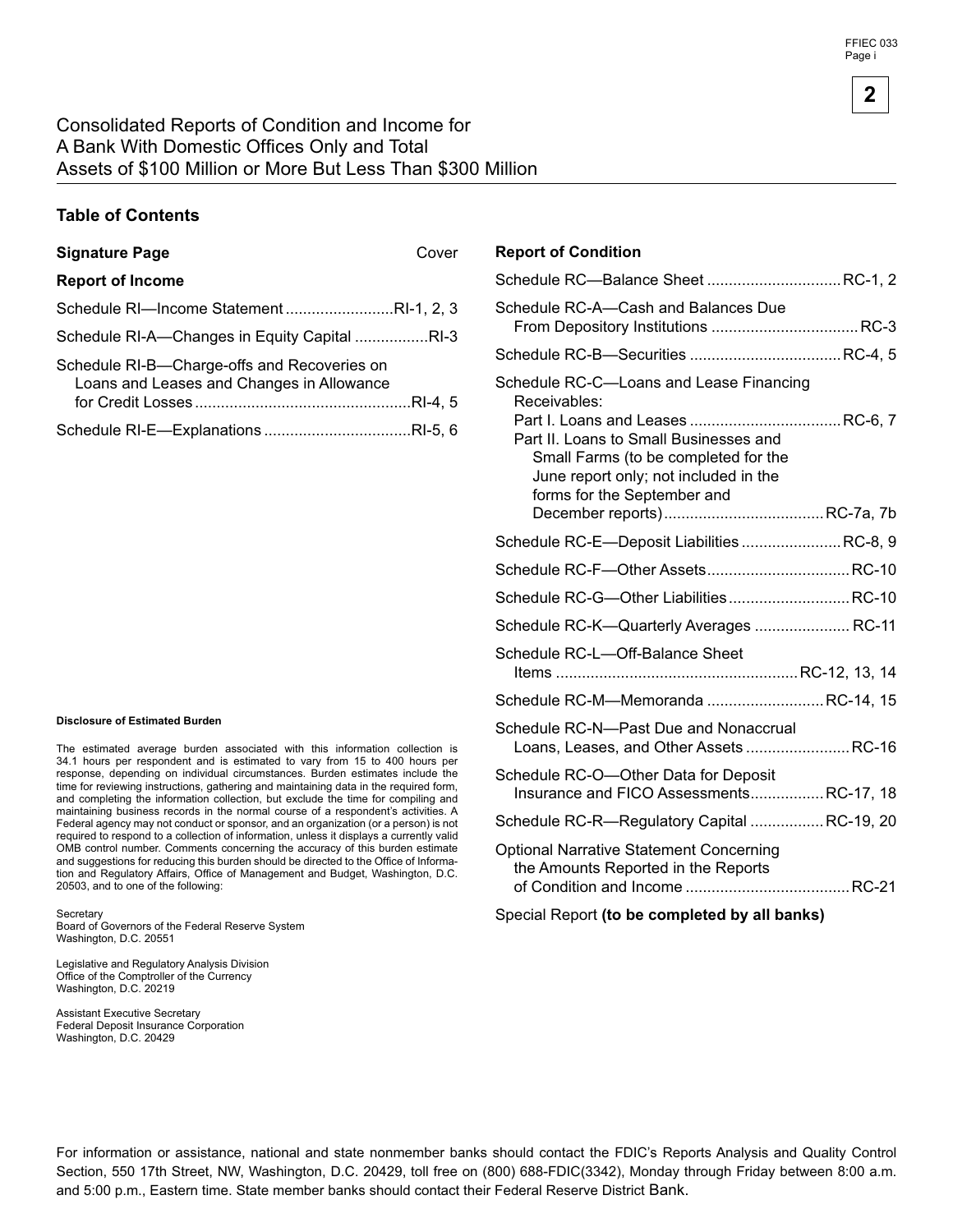#### **Table of Contents**

#### **Signature Page** Cover

| <b>Report of Income</b>                                                                  |  |
|------------------------------------------------------------------------------------------|--|
| Schedule RI-Income StatementRI-1, 2, 3                                                   |  |
| Schedule RI-A—Changes in Equity Capital RI-3                                             |  |
| Schedule RI-B-Charge-offs and Recoveries on<br>Loans and Leases and Changes in Allowance |  |
|                                                                                          |  |

#### **Disclosure of Estimated Burden**

The estimated average burden associated with this information collection is 34.1 hours per respondent and is estimated to vary from 15 to 400 hours per response, depending on individual circumstances. Burden estimates include the time for reviewing instructions, gathering and maintaining data in the required form, and completing the information collection, but exclude the time for compiling and maintaining business records in the normal course of a respondent's activities. A Federal agency may not conduct or sponsor, and an organization (or a person) is not required to respond to a collection of information, unless it displays a currently valid OMB control number. Comments concerning the accuracy of this burden estimate and suggestions for reducing this burden should be directed to the Office of Information and Regulatory Affairs, Office of Management and Budget, Washington, D.C. 20503, and to one of the following:

**Secretary** 

Board of Governors of the Federal Reserve System Washington, D.C. 20551

Legislative and Regulatory Analysis Division Office of the Comptroller of the Currency Washington, D.C. 20219

Assistant Executive Secretary Federal Deposit Insurance Corporation Washington, D.C. 20429

#### **Report of Condition**

| Schedule RC-Balance Sheet  RC-1, 2                                                                                                                                                                                |
|-------------------------------------------------------------------------------------------------------------------------------------------------------------------------------------------------------------------|
| Schedule RC-A-Cash and Balances Due                                                                                                                                                                               |
|                                                                                                                                                                                                                   |
| Schedule RC-C-Loans and Lease Financing<br>Receivables:<br>Part II. Loans to Small Businesses and<br>Small Farms (to be completed for the<br>June report only; not included in the<br>forms for the September and |
|                                                                                                                                                                                                                   |
| Schedule RC-E-Deposit Liabilities  RC-8, 9                                                                                                                                                                        |
|                                                                                                                                                                                                                   |
| Schedule RC-G-Other Liabilities RC-10                                                                                                                                                                             |
| Schedule RC-K-Quarterly Averages  RC-11                                                                                                                                                                           |
| Schedule RC-L-Off-Balance Sheet                                                                                                                                                                                   |
| Schedule RC-M-Memoranda RC-14, 15                                                                                                                                                                                 |
| Schedule RC-N—Past Due and Nonaccrual<br>Loans, Leases, and Other Assets  RC-16                                                                                                                                   |
| Schedule RC-O-Other Data for Deposit<br>Insurance and FICO AssessmentsRC-17, 18                                                                                                                                   |
| Schedule RC-R-Regulatory Capital  RC-19, 20                                                                                                                                                                       |
| <b>Optional Narrative Statement Concerning</b><br>the Amounts Reported in the Reports                                                                                                                             |
| Special Report (to be completed by all banks)                                                                                                                                                                     |

For information or assistance, national and state nonmember banks should contact the FDIC's Reports Analysis and Quality Control Section, 550 17th Street, NW, Washington, D.C. 20429, toll free on (800) 688-FDIC(3342), Monday through Friday between 8:00 a.m. and 5:00 p.m., Eastern time. State member banks should contact their Federal Reserve District Bank.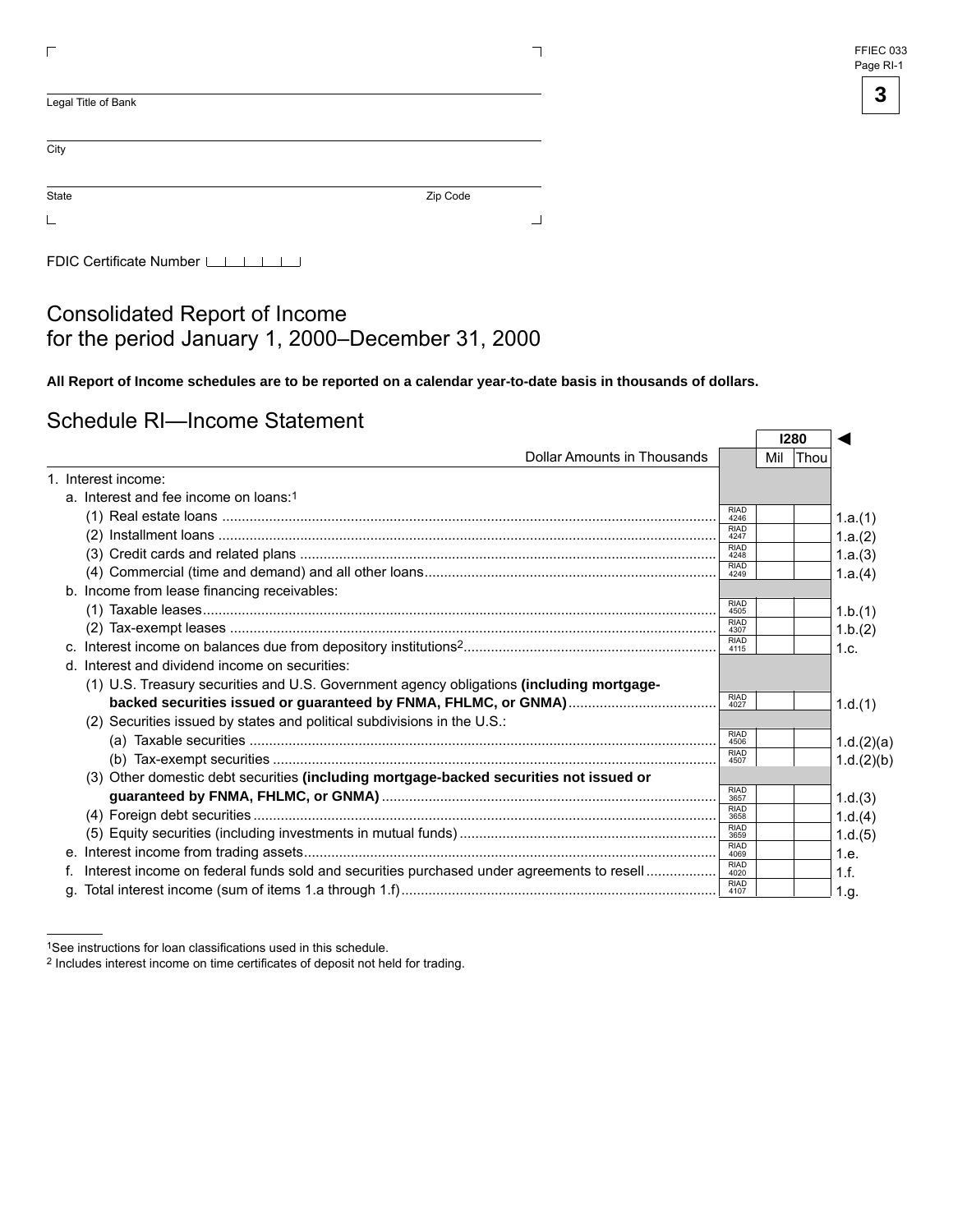| FFIEC 033 |  |
|-----------|--|
| Page RI-1 |  |

| Legal Title of Bank |          |
|---------------------|----------|
| City                |          |
| State               | Zip Code |
|                     |          |

FDIC Certificate Number LILILI

#### Consolidated Report of Income for the period January 1, 2000–December 31, 2000

**All Report of Income schedules are to be reported on a calendar year-to-date basis in thousands of dollars.** 

#### Schedule RI—Income Statement

|                                                                                           |                     |     | 1280 |            |
|-------------------------------------------------------------------------------------------|---------------------|-----|------|------------|
| Dollar Amounts in Thousands                                                               |                     | Mil | Thou |            |
| 1. Interest income:                                                                       |                     |     |      |            |
| a. Interest and fee income on loans:1                                                     |                     |     |      |            |
|                                                                                           | <b>RIAD</b><br>4246 |     |      | 1.a.(1)    |
|                                                                                           | <b>RIAD</b><br>4247 |     |      | 1.a.(2)    |
|                                                                                           | <b>RIAD</b><br>4248 |     |      | 1.a.(3)    |
|                                                                                           | <b>RIAD</b><br>4249 |     |      | 1.a.(4)    |
| b. Income from lease financing receivables:                                               |                     |     |      |            |
|                                                                                           | <b>RIAD</b><br>4505 |     |      | 1.b.(1)    |
|                                                                                           | <b>RIAD</b><br>4307 |     |      | 1.b.(2)    |
|                                                                                           | <b>RIAD</b><br>4115 |     |      | 1.c.       |
| d. Interest and dividend income on securities:                                            |                     |     |      |            |
| (1) U.S. Treasury securities and U.S. Government agency obligations (including mortgage-  |                     |     |      |            |
|                                                                                           | <b>RIAD</b><br>4027 |     |      | 1.d.(1)    |
| (2) Securities issued by states and political subdivisions in the U.S.:                   |                     |     |      |            |
|                                                                                           | <b>RIAD</b><br>4506 |     |      | 1.d.(2)(a) |
|                                                                                           | <b>RIAD</b><br>4507 |     |      | 1.d.(2)(b) |
| (3) Other domestic debt securities (including mortgage-backed securities not issued or    |                     |     |      |            |
|                                                                                           | <b>RIAD</b><br>3657 |     |      | 1.d.(3)    |
|                                                                                           | <b>RIAD</b><br>3658 |     |      | 1.d.(4)    |
|                                                                                           | <b>RIAD</b><br>3659 |     |      | 1.d.(5)    |
|                                                                                           | <b>RIAD</b><br>4069 |     |      | 1.e.       |
| Interest income on federal funds sold and securities purchased under agreements to resell | <b>RIAD</b><br>4020 |     |      | 1.f.       |
|                                                                                           | <b>RIAD</b><br>4107 |     |      | 1.g.       |

<sup>1</sup>See instructions for loan classifications used in this schedule.<br><sup>2</sup> Includes interest income on time certificates of deposit not held for trading.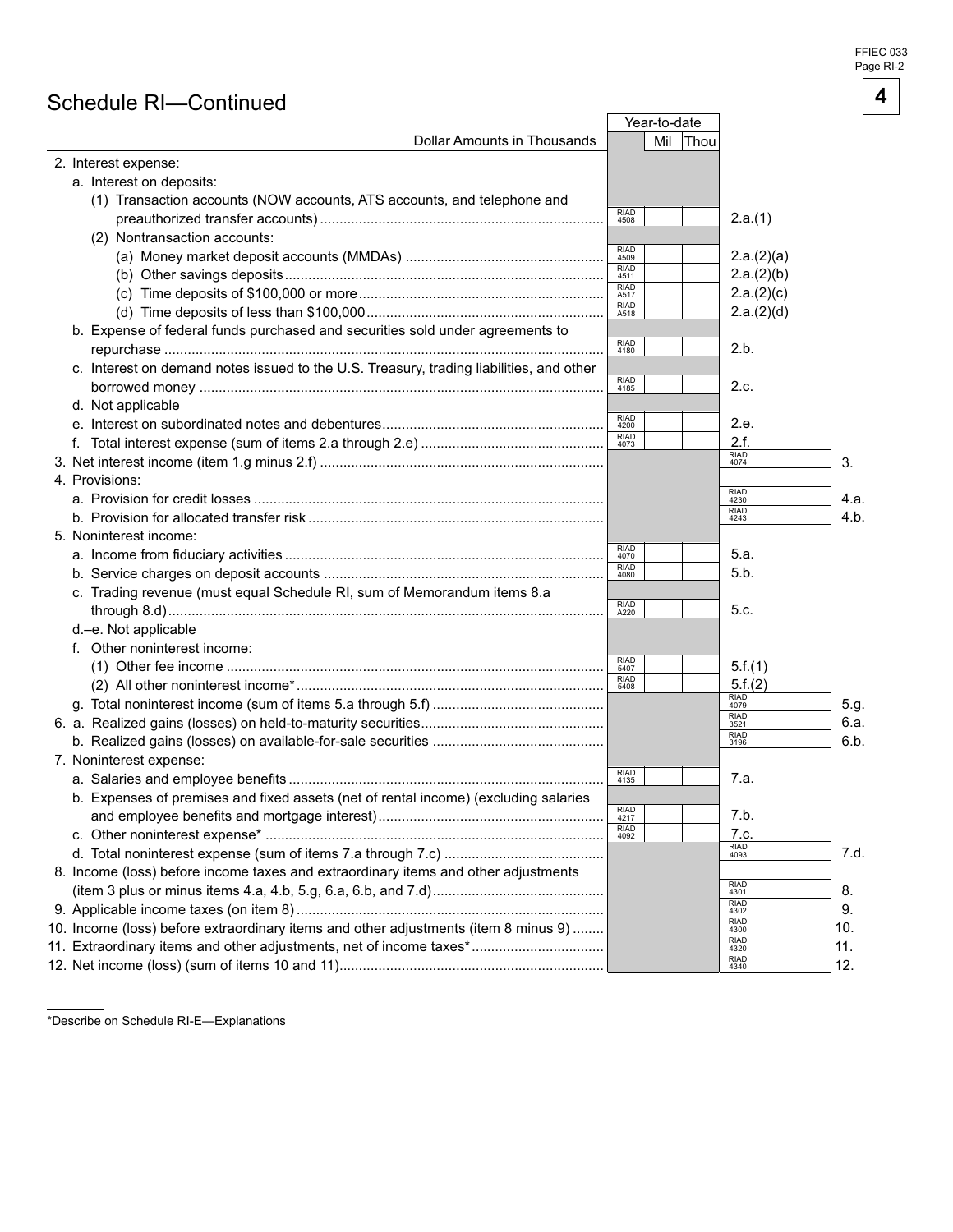FFIEC 033 Page RI-

**4** 

#### Schedule RI—Continued

|                                                                                         |                     | Year-to-date       |                                   |      |
|-----------------------------------------------------------------------------------------|---------------------|--------------------|-----------------------------------|------|
| Dollar Amounts in Thousands                                                             |                     | Mil<br><b>Thou</b> |                                   |      |
| 2. Interest expense:                                                                    |                     |                    |                                   |      |
| a. Interest on deposits:                                                                |                     |                    |                                   |      |
| (1) Transaction accounts (NOW accounts, ATS accounts, and telephone and                 |                     |                    |                                   |      |
|                                                                                         | <b>RIAD</b><br>4508 |                    | 2.a.(1)                           |      |
| (2) Nontransaction accounts:                                                            |                     |                    |                                   |      |
|                                                                                         | <b>RIAD</b><br>4509 |                    | 2.a.(2)(a)                        |      |
|                                                                                         | <b>RIAD</b><br>4511 |                    | 2.a.(2)(b)                        |      |
|                                                                                         | <b>RIAD</b><br>A517 |                    | 2.a.(2)(c)                        |      |
|                                                                                         | <b>RIAD</b><br>A518 |                    | 2.a.(2)(d)                        |      |
| b. Expense of federal funds purchased and securities sold under agreements to           |                     |                    |                                   |      |
|                                                                                         | <b>RIAD</b><br>4180 |                    | 2.b.                              |      |
| c. Interest on demand notes issued to the U.S. Treasury, trading liabilities, and other |                     |                    |                                   |      |
|                                                                                         | <b>RIAD</b><br>4185 |                    | 2.c.                              |      |
| d. Not applicable                                                                       |                     |                    |                                   |      |
|                                                                                         | <b>RIAD</b><br>4200 |                    | 2.e.                              |      |
|                                                                                         | <b>RIAD</b><br>4073 |                    | 2.f.                              |      |
|                                                                                         |                     |                    | RIAD<br>4074                      | 3.   |
| 4. Provisions:                                                                          |                     |                    |                                   |      |
|                                                                                         |                     |                    | <b>RIAD</b><br>4230               | 4.a. |
|                                                                                         |                     |                    | <b>RIAD</b><br>4243               | 4.b. |
| 5. Noninterest income:                                                                  |                     |                    |                                   |      |
|                                                                                         | <b>RIAD</b><br>4070 |                    | 5.a.                              |      |
|                                                                                         | <b>RIAD</b><br>4080 |                    | 5.b.                              |      |
| c. Trading revenue (must equal Schedule RI, sum of Memorandum items 8.a                 |                     |                    |                                   |      |
|                                                                                         | <b>RIAD</b><br>A220 |                    | 5.c.                              |      |
| d.-e. Not applicable                                                                    |                     |                    |                                   |      |
| f. Other noninterest income:                                                            |                     |                    |                                   |      |
|                                                                                         | <b>RIAD</b><br>5407 |                    | 5.f.(1)                           |      |
|                                                                                         | <b>RIAD</b><br>5408 |                    | 5.f.(2)                           |      |
|                                                                                         |                     |                    | RIAD<br>4079                      | 5.g. |
|                                                                                         |                     |                    | $\frac{\text{RIAD}}{\text{3521}}$ | 6.a. |
|                                                                                         |                     |                    | <b>RIAD</b><br>3196               | 6.b. |
| 7. Noninterest expense:                                                                 |                     |                    |                                   |      |
|                                                                                         | <b>RIAD</b><br>4135 |                    | 7.a.                              |      |
| b. Expenses of premises and fixed assets (net of rental income) (excluding salaries     |                     |                    |                                   |      |
|                                                                                         | <b>RIAD</b><br>4217 |                    | 7.b.                              |      |
|                                                                                         | <b>RIAD</b><br>4092 |                    | 7.c.                              |      |
|                                                                                         |                     |                    | <b>RIAD</b><br>4093               | 7.d. |
| 8. Income (loss) before income taxes and extraordinary items and other adjustments      |                     |                    |                                   |      |
|                                                                                         |                     |                    | <b>RIAD</b><br>4301               | 8.   |
|                                                                                         |                     |                    | <b>RIAD</b><br>4302               | 9.   |
| 10. Income (loss) before extraordinary items and other adjustments (item 8 minus 9)     |                     |                    | <b>RIAD</b><br>4300               | 10.  |
| 11. Extraordinary items and other adjustments, net of income taxes*                     |                     |                    | <b>RIAD</b><br>4320               | 11.  |
|                                                                                         |                     |                    | <b>RIAD</b><br>4340               | 12.  |
|                                                                                         |                     |                    |                                   |      |

\*Describe on Schedule RI-E—Explanations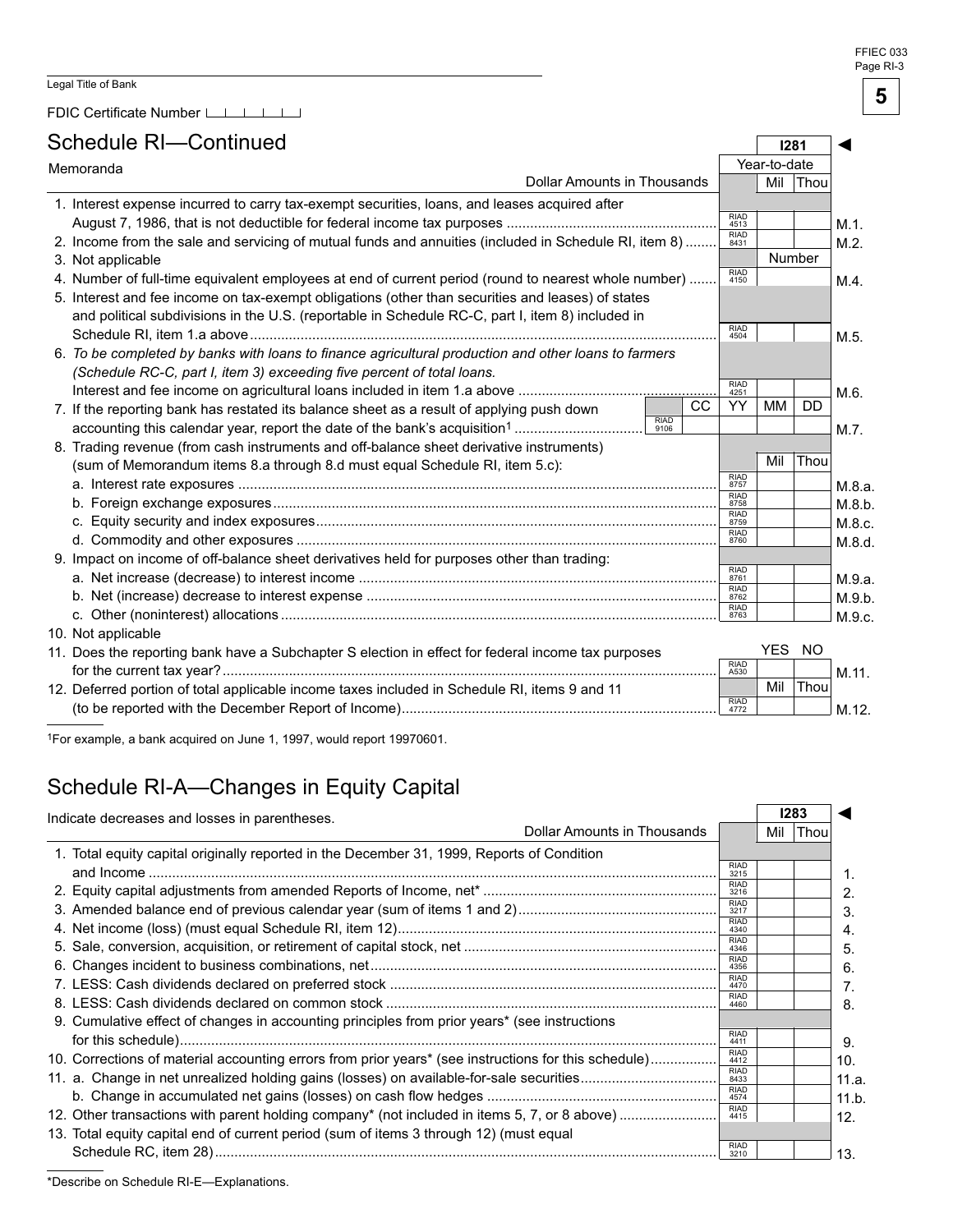FDIC Certificate Number LLLLLLL

### Schedule RI—Continued

| Schedule RI—Continued |                                                                                                       |                     |     |                     | 1281         |           |         |
|-----------------------|-------------------------------------------------------------------------------------------------------|---------------------|-----|---------------------|--------------|-----------|---------|
|                       | Memoranda                                                                                             |                     |     |                     | Year-to-date |           |         |
|                       | <b>Dollar Amounts in Thousands</b>                                                                    |                     |     |                     | Mil          | Thou      |         |
|                       | 1. Interest expense incurred to carry tax-exempt securities, loans, and leases acquired after         |                     |     |                     |              |           |         |
|                       |                                                                                                       |                     |     | <b>RIAD</b><br>4513 |              |           | $M.1$ . |
|                       | 2. Income from the sale and servicing of mutual funds and annuities (included in Schedule RI, item 8) |                     |     | <b>RIAD</b><br>8431 |              |           | M.2.    |
|                       | 3. Not applicable                                                                                     |                     |     |                     |              | Number    |         |
|                       | 4. Number of full-time equivalent employees at end of current period (round to nearest whole number)  |                     |     | <b>RIAD</b><br>4150 |              |           | M.4.    |
|                       | 5. Interest and fee income on tax-exempt obligations (other than securities and leases) of states     |                     |     |                     |              |           |         |
|                       | and political subdivisions in the U.S. (reportable in Schedule RC-C, part I, item 8) included in      |                     |     |                     |              |           |         |
|                       |                                                                                                       |                     |     | RIAD<br>4504        |              |           | M.5.    |
|                       | 6. To be completed by banks with loans to finance agricultural production and other loans to farmers  |                     |     |                     |              |           |         |
|                       | (Schedule RC-C, part I, item 3) exceeding five percent of total loans.                                |                     |     |                     |              |           |         |
|                       |                                                                                                       |                     |     | <b>RIAD</b><br>4251 |              |           | M.6.    |
|                       | 7. If the reporting bank has restated its balance sheet as a result of applying push down             |                     | CC. | YY                  | МM           | <b>DD</b> |         |
|                       |                                                                                                       | <b>RIAD</b><br>9106 |     |                     |              |           | M.7.    |
|                       | 8. Trading revenue (from cash instruments and off-balance sheet derivative instruments)               |                     |     |                     |              |           |         |
|                       | (sum of Memorandum items 8.a through 8.d must equal Schedule RI, item 5.c):                           |                     |     |                     | Mil          | Thou      |         |
|                       |                                                                                                       |                     |     | <b>RIAD</b><br>8757 |              |           | M.8.a.  |
|                       |                                                                                                       |                     |     | <b>RIAD</b><br>8758 |              |           | M.8.b.  |
|                       |                                                                                                       |                     |     | RIAD<br>8759        |              |           | M.8.c.  |
|                       |                                                                                                       |                     |     | <b>RIAD</b><br>8760 |              |           | M.8.d.  |
|                       | 9. Impact on income of off-balance sheet derivatives held for purposes other than trading:            |                     |     |                     |              |           |         |
|                       |                                                                                                       |                     |     | <b>RIAD</b><br>8761 |              |           | M.9.a.  |
|                       |                                                                                                       |                     |     | <b>RIAD</b><br>8762 |              |           | M.9.b.  |
|                       |                                                                                                       |                     |     | RIAD<br>8763        |              |           | M.9.c.  |
|                       | 10. Not applicable                                                                                    |                     |     |                     |              |           |         |
|                       | 11. Does the reporting bank have a Subchapter S election in effect for federal income tax purposes    |                     |     |                     | YES NO       |           |         |
|                       |                                                                                                       |                     |     | <b>RIAD</b><br>A530 |              |           | M.11.   |
|                       | 12. Deferred portion of total applicable income taxes included in Schedule RI, items 9 and 11         |                     |     | <b>RIAD</b>         | Mil          | Thou      |         |
|                       |                                                                                                       |                     |     | 4772                |              |           | M.12.   |

1For example, a bank acquired on June 1, 1997, would report 19970601.

# Schedule RI-A—Changes in Equity Capital

| Indicate decreases and losses in parentheses.                                                        |                             |     | 1283 |
|------------------------------------------------------------------------------------------------------|-----------------------------|-----|------|
|                                                                                                      | Dollar Amounts in Thousands | Mil | Thou |
| 1. Total equity capital originally reported in the December 31, 1999, Reports of Condition           |                             |     |      |
|                                                                                                      | <b>RIAD</b><br>3215         |     |      |
|                                                                                                      | <b>RIAD</b><br>3216         |     |      |
|                                                                                                      | <b>RIAD</b><br>3217         |     |      |
|                                                                                                      | <b>RIAD</b><br>4340         |     |      |
|                                                                                                      | <b>RIAD</b><br>4346         |     |      |
|                                                                                                      | <b>RIAD</b><br>4356         |     |      |
|                                                                                                      | <b>RIAD</b><br>4470         |     |      |
|                                                                                                      | <b>RIAD</b><br>4460         |     |      |
| 9. Cumulative effect of changes in accounting principles from prior years* (see instructions         |                             |     |      |
|                                                                                                      | <b>RIAD</b><br>4411         |     |      |
| 10. Corrections of material accounting errors from prior years* (see instructions for this schedule) | <b>RIAD</b><br>4412         |     |      |
|                                                                                                      | <b>RIAD</b><br>8433         |     |      |
|                                                                                                      | <b>RIAD</b><br>4574         |     |      |
| 12. Other transactions with parent holding company* (not included in items 5, 7, or 8 above)         | <b>RIAD</b><br>4415         |     |      |
|                                                                                                      |                             |     |      |
| 13. Total equity capital end of current period (sum of items 3 through 12) (must equal               | <b>RIAD</b>                 |     |      |
|                                                                                                      | 3210                        |     |      |

\*Describe on Schedule RI-E—Explanations.

ſ

 $\Box$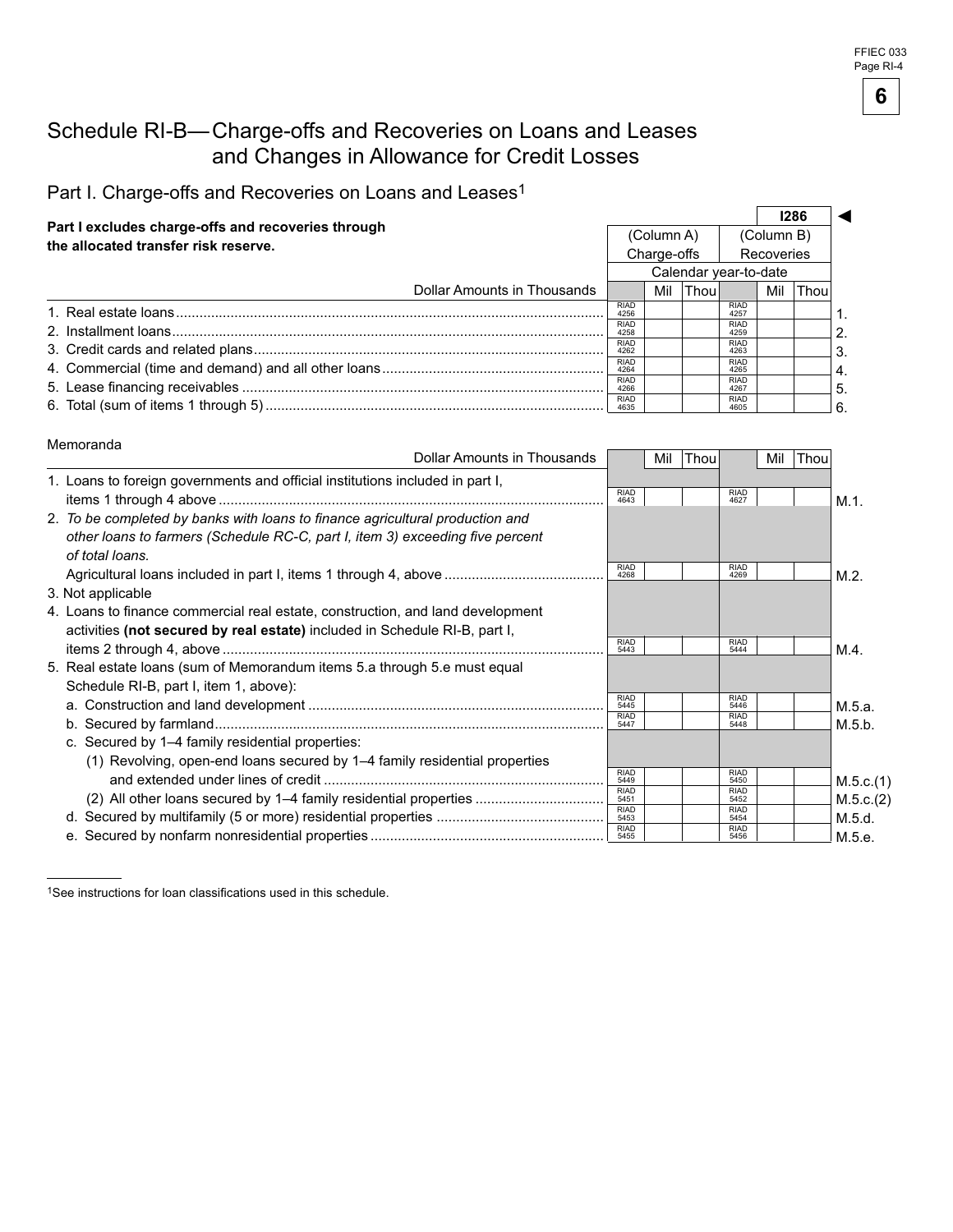#### Schedule RI-B— Charge-offs and Recoveries on Loans and Leases and Changes in Allowance for Credit Losses

Part I. Charge-offs and Recoveries on Loans and Leases<sup>1</sup>

| Part I excludes charge-offs and recoveries through<br>the allocated transfer risk reserve. |                       |             |              |                     |            | 1286       |              |
|--------------------------------------------------------------------------------------------|-----------------------|-------------|--------------|---------------------|------------|------------|--------------|
|                                                                                            |                       | (Column A)  |              |                     | (Column B) |            |              |
|                                                                                            |                       | Charge-offs |              |                     |            | Recoveries |              |
|                                                                                            | Calendar year-to-date |             |              |                     |            |            |              |
| Dollar Amounts in Thousands                                                                |                       | Mil         | <b>Thoul</b> |                     | Mil        | Thou       |              |
|                                                                                            | <b>RIAD</b><br>4256   |             |              | <b>RIAD</b><br>4257 |            |            |              |
|                                                                                            | <b>RIAD</b><br>4258   |             |              | <b>RIAD</b><br>4259 |            |            |              |
|                                                                                            | <b>RIAD</b><br>4262   |             |              | <b>RIAD</b><br>4263 |            |            |              |
|                                                                                            | <b>RIAD</b><br>4264   |             |              | <b>RIAD</b><br>4265 |            |            | $^{\circ}4.$ |
|                                                                                            | <b>RIAD</b><br>4266   |             |              | <b>RIAD</b><br>4267 |            |            | 5.           |
|                                                                                            | <b>RIAD</b>           |             |              | <b>RIAD</b><br>4605 |            |            |              |

#### Memoranda

| Dollar Amounts in Thousands                                                                                        |                     | Mil Thou |                     | Mil | Thou |           |
|--------------------------------------------------------------------------------------------------------------------|---------------------|----------|---------------------|-----|------|-----------|
| 1. Loans to foreign governments and official institutions included in part I,                                      | <b>RIAD</b><br>4643 |          | <b>RIAD</b><br>4627 |     |      | M.1.      |
| 2. To be completed by banks with loans to finance agricultural production and                                      |                     |          |                     |     |      |           |
| other loans to farmers (Schedule RC-C, part I, item 3) exceeding five percent<br>of total loans.                   |                     |          |                     |     |      |           |
|                                                                                                                    | <b>RIAD</b><br>4268 |          | <b>RIAD</b><br>4269 |     |      | M.2.      |
| 3. Not applicable                                                                                                  |                     |          |                     |     |      |           |
| 4. Loans to finance commercial real estate, construction, and land development                                     |                     |          |                     |     |      |           |
| activities (not secured by real estate) included in Schedule RI-B, part I,                                         | <b>RIAD</b>         |          | <b>RIAD</b>         |     |      |           |
|                                                                                                                    | 5443                |          | 5444                |     |      | M.4.      |
| 5. Real estate loans (sum of Memorandum items 5.a through 5.e must equal<br>Schedule RI-B, part I, item 1, above): |                     |          |                     |     |      |           |
|                                                                                                                    | <b>RIAD</b><br>5445 |          | <b>RIAD</b><br>5446 |     |      | M.5.a.    |
|                                                                                                                    | <b>RIAD</b><br>5447 |          | <b>RIAD</b><br>5448 |     |      | M.5.b.    |
| c. Secured by 1–4 family residential properties:                                                                   |                     |          |                     |     |      |           |
| (1) Revolving, open-end loans secured by 1–4 family residential properties                                         |                     |          |                     |     |      |           |
|                                                                                                                    | <b>RIAD</b><br>5449 |          | <b>RIAD</b><br>5450 |     |      | M.5.c.(1) |
| (2) All other loans secured by 1–4 family residential properties                                                   | <b>RIAD</b><br>5451 |          | <b>RIAD</b><br>5452 |     |      | M.5.c.(2) |
|                                                                                                                    | <b>RIAD</b><br>5453 |          | <b>RIAD</b><br>5454 |     |      | M.5.d.    |
|                                                                                                                    | <b>RIAD</b>         |          | <b>RIAD</b><br>5456 |     |      | M.5.e.    |

1See instructions for loan classifications used in this schedule.

**6**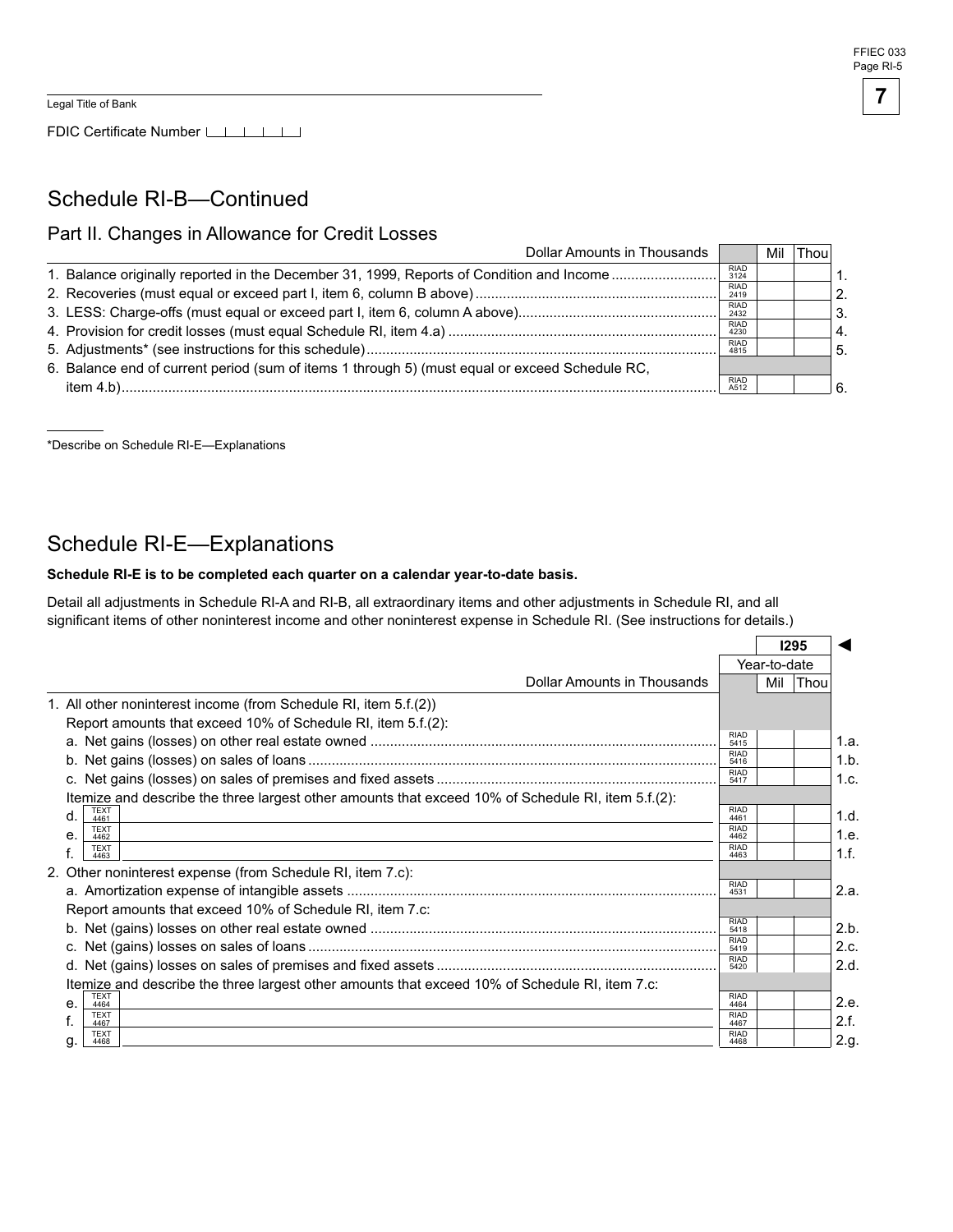#### Schedule RI-B—Continued

#### Part II. Changes in Allowance for Credit Losses

| Dollar Amounts in Thousands                                                                    |                     | Mil | $ $ Thou |    |
|------------------------------------------------------------------------------------------------|---------------------|-----|----------|----|
| 1. Balance originally reported in the December 31, 1999, Reports of Condition and Income       | <b>RIAD</b><br>3124 |     |          |    |
|                                                                                                | <b>RIAD</b><br>2419 |     |          | 2. |
|                                                                                                | <b>RIAD</b><br>2432 |     |          | 3. |
|                                                                                                | <b>RIAD</b><br>4230 |     |          |    |
|                                                                                                | <b>RIAD</b><br>4815 |     |          | 5. |
| 6. Balance end of current period (sum of items 1 through 5) (must equal or exceed Schedule RC, |                     |     |          |    |
|                                                                                                | <b>RIAD</b><br>A512 |     |          |    |
|                                                                                                |                     |     |          |    |

\*Describe on Schedule RI-E—Explanations

#### Schedule RI-E—Explanations

#### Schedule RI-E is to be completed each quarter on a calendar year-to-date basis.

Detail all adjustments in Schedule RI-A and RI-B, all extraordinary items and other adjustments in Schedule RI, and all significant items of other noninterest income and other noninterest expense in Schedule RI. (See instructions for details.)

|                                                                                                    |                     |              | 1295        |      |
|----------------------------------------------------------------------------------------------------|---------------------|--------------|-------------|------|
|                                                                                                    |                     | Year-to-date |             |      |
| Dollar Amounts in Thousands                                                                        |                     | Mil          | <b>Thou</b> |      |
| 1. All other noninterest income (from Schedule RI, item 5.f.(2))                                   |                     |              |             |      |
| Report amounts that exceed 10% of Schedule RI, item 5.f.(2):                                       |                     |              |             |      |
|                                                                                                    | <b>RIAD</b><br>5415 |              |             | 1.a. |
|                                                                                                    | RIAD<br>5416        |              |             | 1.b. |
|                                                                                                    | <b>RIAD</b><br>5417 |              |             | 1.c. |
| Itemize and describe the three largest other amounts that exceed 10% of Schedule RI, item 5.f.(2): |                     |              |             |      |
| <b>TEXT</b><br>d.<br>4461                                                                          | <b>RIAD</b><br>4461 |              |             | 1.d. |
| <b>TEXT</b><br>е.<br>4462                                                                          | <b>RIAD</b><br>4462 |              |             | 1.e. |
| <b>TEXT</b><br>4463                                                                                | <b>RIAD</b><br>4463 |              |             | 1.f. |
| 2. Other noninterest expense (from Schedule RI, item 7.c):                                         |                     |              |             |      |
|                                                                                                    | <b>RIAD</b><br>4531 |              |             | 2.a. |
| Report amounts that exceed 10% of Schedule RI, item 7.c:                                           |                     |              |             |      |
|                                                                                                    | <b>RIAD</b><br>5418 |              |             | 2.b. |
|                                                                                                    | <b>RIAD</b><br>5419 |              |             | 2.c. |
|                                                                                                    | RIAD<br>5420        |              |             | 2.d. |
| ltemize and describe the three largest other amounts that exceed 10% of Schedule RI, item 7.c:     |                     |              |             |      |
| <b>TEXT</b><br>$\mathsf{e}$<br>4464                                                                | RIAD<br>4464        |              |             | 2.e. |
| <b>TEXT</b><br>4467                                                                                | <b>RIAD</b><br>4467 |              |             | 2.f. |
| <b>TEXT</b><br>q.<br>4468                                                                          | <b>RIAD</b><br>4468 |              |             | 2.a. |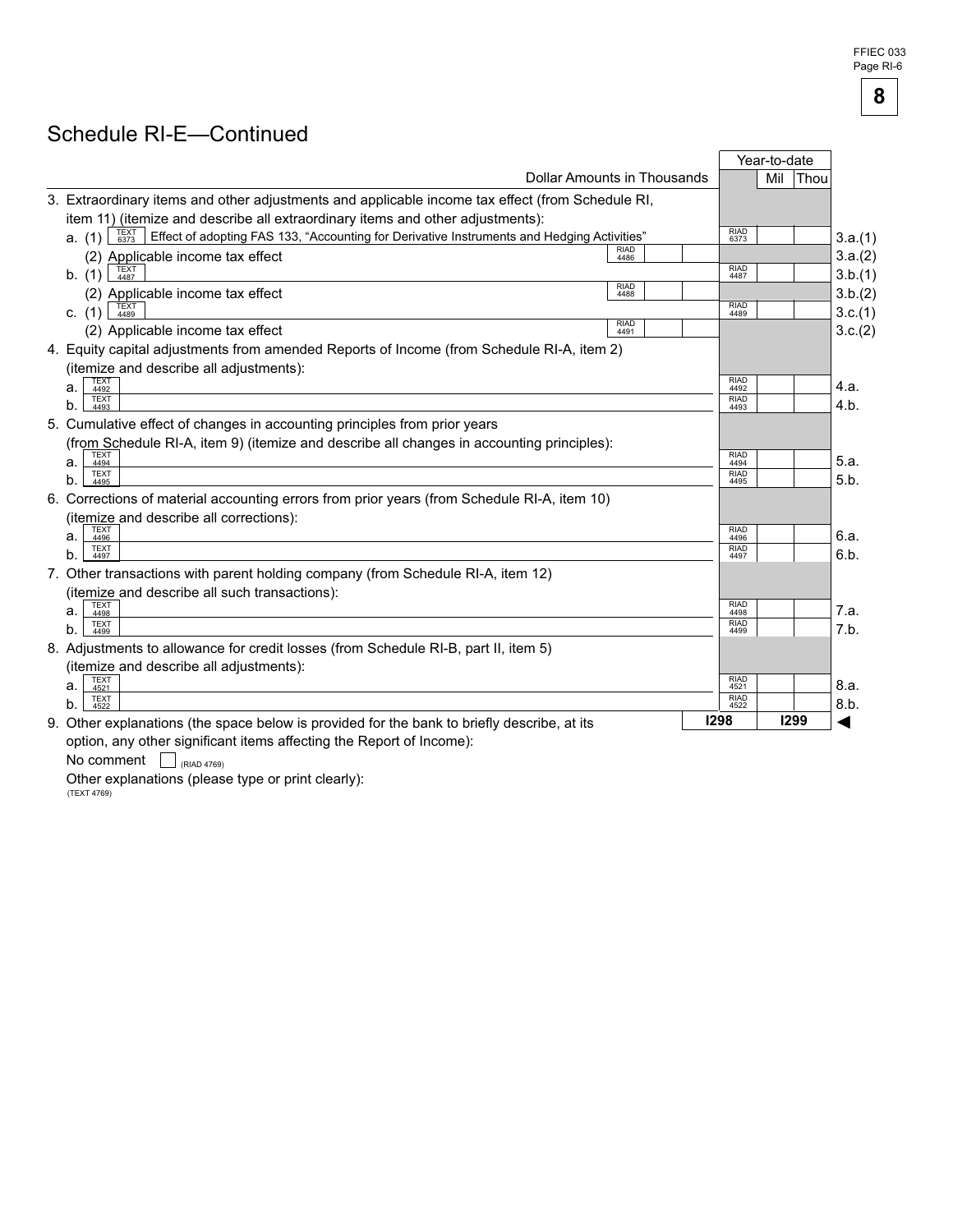FFIEC 033 Page RI-

**8** 

# Schedule RI-E—Continued

|    |                                                                                                                      |                             |                     | Year-to-date |         |
|----|----------------------------------------------------------------------------------------------------------------------|-----------------------------|---------------------|--------------|---------|
|    |                                                                                                                      | Dollar Amounts in Thousands |                     | Mil<br> Thou |         |
|    | 3. Extraordinary items and other adjustments and applicable income tax effect (from Schedule RI,                     |                             |                     |              |         |
|    | item 11) (itemize and describe all extraordinary items and other adjustments):                                       |                             |                     |              |         |
|    | TEXT<br>6373<br>Effect of adopting FAS 133, "Accounting for Derivative Instruments and Hedging Activities"<br>a. (1) |                             | <b>RIAD</b><br>6373 |              | 3.a.(1) |
|    | (2) Applicable income tax effect                                                                                     | <b>RIAD</b><br>4486         |                     |              | 3.a.(2) |
|    | <b>TEXT</b><br>b. (1)<br>4487                                                                                        |                             | <b>RIAD</b><br>4487 |              | 3.b.(1) |
|    | (2) Applicable income tax effect                                                                                     | <b>RIAD</b><br>4488         |                     |              | 3.b.(2) |
|    | TEXT<br>4489<br>c. $(1)$                                                                                             |                             | <b>RIAD</b><br>4489 |              | 3.c.(1) |
|    | (2) Applicable income tax effect                                                                                     | <b>RIAD</b><br>4491         |                     |              | 3.c.(2) |
|    | 4. Equity capital adjustments from amended Reports of Income (from Schedule RI-A, item 2)                            |                             |                     |              |         |
|    | (itemize and describe all adjustments):                                                                              |                             |                     |              |         |
| a. | <b>TEXT</b><br>4492                                                                                                  |                             | <b>RIAD</b><br>4492 |              | 4.a.    |
| b. | <b>TEXT</b><br>4493                                                                                                  |                             | <b>RIAD</b><br>4493 |              | 4.b.    |
|    | 5. Cumulative effect of changes in accounting principles from prior years                                            |                             |                     |              |         |
|    | (from Schedule RI-A, item 9) (itemize and describe all changes in accounting principles):                            |                             |                     |              |         |
| а. | <b>TEXT</b><br>4494                                                                                                  |                             | <b>RIAD</b><br>4494 |              | 5.a.    |
| b. | <b>TEXT</b><br>4495                                                                                                  |                             | RIAD<br>4495        |              | 5.b.    |
|    | 6. Corrections of material accounting errors from prior years (from Schedule RI-A, item 10)                          |                             |                     |              |         |
|    | (itemize and describe all corrections):                                                                              |                             |                     |              |         |
| а. | <b>TEXT</b><br>4496                                                                                                  |                             | <b>RIAD</b><br>4496 |              | 6.a.    |
| b. | <b>TEXT</b><br>4497                                                                                                  |                             | <b>RIAD</b><br>4497 |              | 6.b.    |
|    | 7. Other transactions with parent holding company (from Schedule RI-A, item 12)                                      |                             |                     |              |         |
|    | (itemize and describe all such transactions):                                                                        |                             |                     |              |         |
| a. | <b>TEXT</b><br>4498                                                                                                  |                             | <b>RIAD</b><br>4498 |              | 7.a.    |
| b. | <b>TEXT</b><br>4499                                                                                                  |                             | <b>RIAD</b><br>4499 |              | 7.b.    |
|    | 8. Adjustments to allowance for credit losses (from Schedule RI-B, part II, item 5)                                  |                             |                     |              |         |
|    | (itemize and describe all adjustments):                                                                              |                             |                     |              |         |
| a. | <b>TEXT</b><br>4521                                                                                                  |                             | <b>RIAD</b><br>4521 |              | 8.a.    |
|    | <b>TEXT</b>                                                                                                          |                             | <b>RIAD</b><br>4522 |              | 8.b.    |
| b. | 4522                                                                                                                 |                             |                     |              |         |

option, any other significant<br>No comment  $\Box$  (RIAD 4769)

Other explanations (please type or print clearly):<br>(TEXT 4769)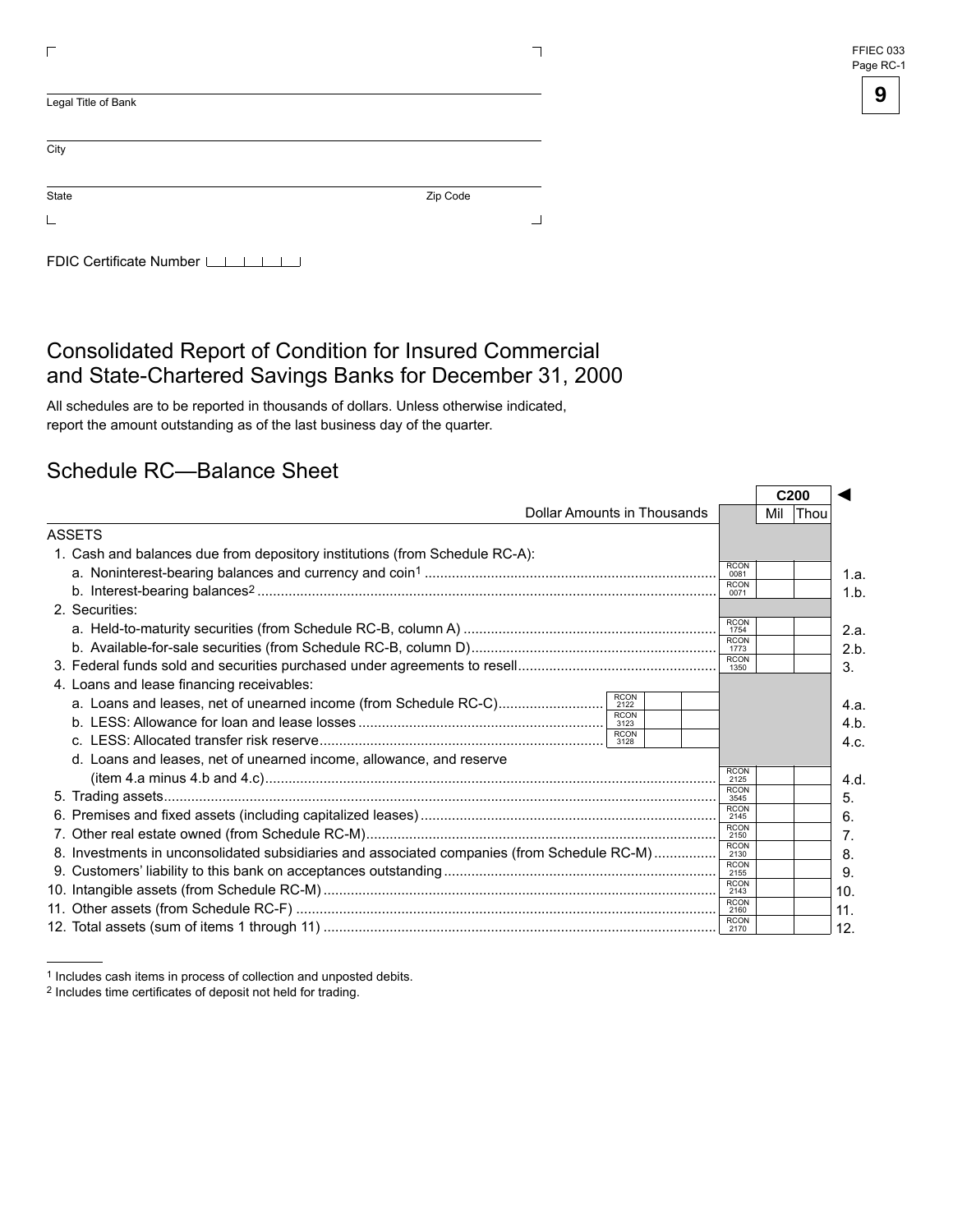| FFIEC 033 |
|-----------|
| Page RC-1 |

| Legal Title of Bank        |          |  |
|----------------------------|----------|--|
| City                       |          |  |
| State                      | Zip Code |  |
|                            |          |  |
| FDIC Certificate Number LI |          |  |

### Consolidated Report of Condition for Insured Commercial and State-Chartered Savings Banks for December 31, 2000

All schedules are to be reported in thousands of dollars. Unless otherwise indicated, report the amount outstanding as of the last business day of the quarter.

#### Schedule RC—Balance Sheet

| Dollar Amounts in Thousands                                                                 |                     |  | Mil Thou |      |  |
|---------------------------------------------------------------------------------------------|---------------------|--|----------|------|--|
| ASSETS                                                                                      |                     |  |          |      |  |
| 1. Cash and balances due from depository institutions (from Schedule RC-A):                 |                     |  |          |      |  |
|                                                                                             | <b>RCON</b><br>0081 |  |          | 1.a. |  |
|                                                                                             | <b>RCON</b><br>0071 |  |          | 1.b  |  |
| 2. Securities:                                                                              |                     |  |          |      |  |
|                                                                                             | <b>RCON</b><br>1754 |  |          | 2.a. |  |
|                                                                                             | <b>RCON</b><br>1773 |  |          | 2.b. |  |
|                                                                                             | <b>RCON</b><br>1350 |  |          | 3.   |  |
| 4. Loans and lease financing receivables:                                                   |                     |  |          |      |  |
| <b>RCON</b><br>2122                                                                         |                     |  |          | 4.a. |  |
| <b>RCON</b><br>3123                                                                         |                     |  |          | 4.b. |  |
| <b>RCON</b><br>3128                                                                         |                     |  |          | 4.c. |  |
| d. Loans and leases, net of unearned income, allowance, and reserve                         |                     |  |          |      |  |
|                                                                                             | <b>RCON</b><br>2125 |  |          | 4.d. |  |
|                                                                                             | <b>RCON</b><br>3545 |  |          | 5.   |  |
|                                                                                             | <b>RCON</b><br>2145 |  |          | 6.   |  |
|                                                                                             | <b>RCON</b><br>2150 |  |          | 7.   |  |
| 8. Investments in unconsolidated subsidiaries and associated companies (from Schedule RC-M) | <b>RCON</b><br>2130 |  |          | 8.   |  |
|                                                                                             | <b>RCON</b><br>2155 |  |          | 9.   |  |
|                                                                                             | <b>RCON</b><br>2143 |  |          | 10.  |  |
|                                                                                             | <b>RCON</b><br>2160 |  |          | 11.  |  |
|                                                                                             | <b>RCON</b><br>2170 |  |          | 12.  |  |

<sup>1</sup> Includes cash items in process of collection and unposted debits.

<sup>2</sup> Includes time certificates of deposit not held for trading.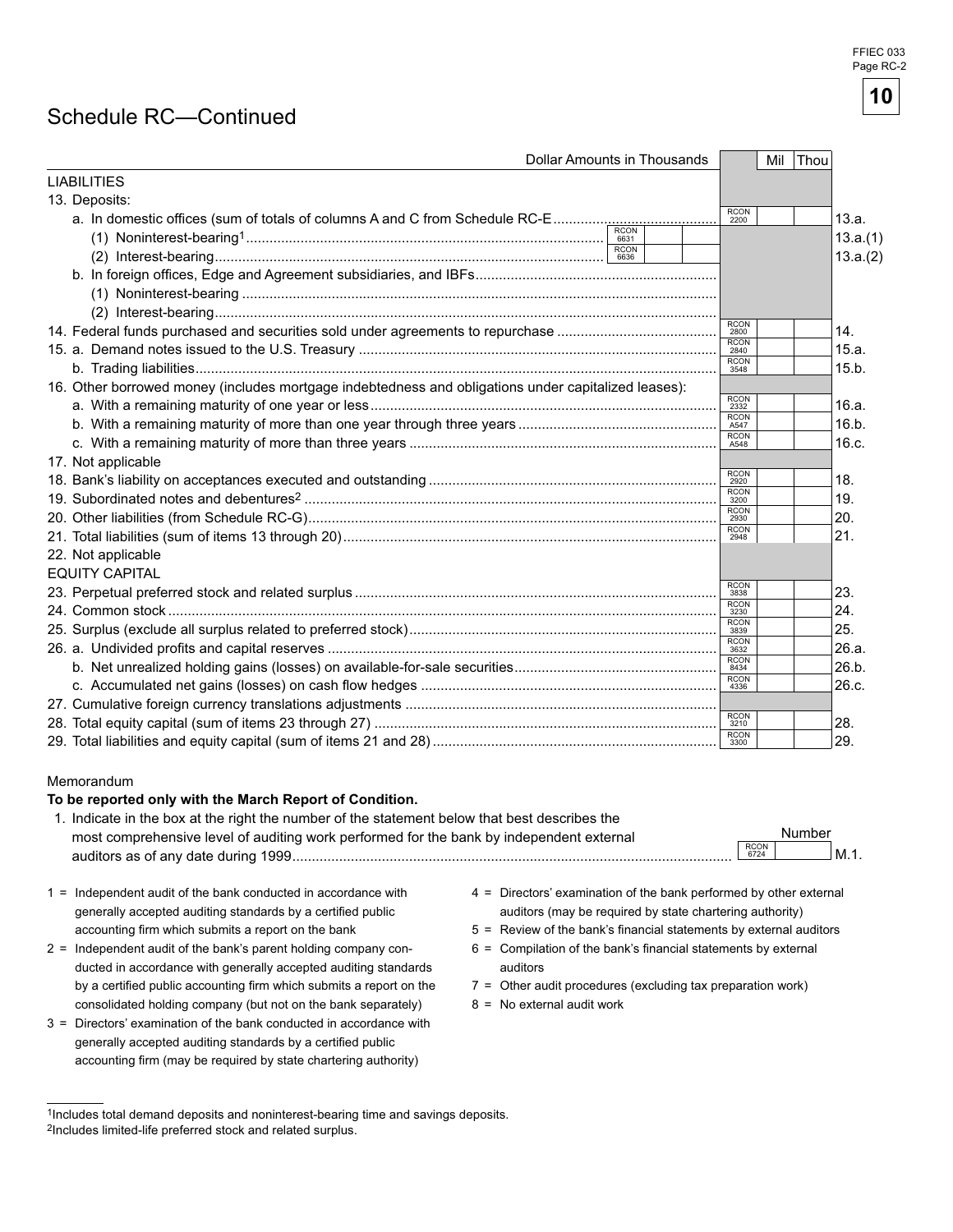# Schedule RC—Continued

| Dollar Amounts in Thousands                                                                         | Mil Thou |                                                                                                       |
|-----------------------------------------------------------------------------------------------------|----------|-------------------------------------------------------------------------------------------------------|
|                                                                                                     |          |                                                                                                       |
|                                                                                                     |          |                                                                                                       |
| RCON<br>2200<br>a. In domestic offices (sum of totals of columns A and C from Schedule RC-E         |          | 13.a.                                                                                                 |
|                                                                                                     |          | 13.a.(1)                                                                                              |
|                                                                                                     |          | 13.a.(2)                                                                                              |
|                                                                                                     |          |                                                                                                       |
|                                                                                                     |          |                                                                                                       |
|                                                                                                     |          |                                                                                                       |
| RCON<br>2800                                                                                        |          | 14.                                                                                                   |
| <b>RCON</b><br>2840                                                                                 |          | 15.a.                                                                                                 |
| <b>RCON</b><br>3548                                                                                 |          | 15.b.                                                                                                 |
| 16. Other borrowed money (includes mortgage indebtedness and obligations under capitalized leases): |          |                                                                                                       |
| RCON<br>2332                                                                                        |          | 16.a.                                                                                                 |
| RCON<br>A547                                                                                        |          | 16.b.                                                                                                 |
| <b>RCON</b><br>A548                                                                                 |          | 16.c.                                                                                                 |
|                                                                                                     |          |                                                                                                       |
| RCON<br>2920                                                                                        |          | 18.                                                                                                   |
| <b>RCON</b><br>3200                                                                                 |          | 19.                                                                                                   |
| <b>RCON</b><br>2930                                                                                 |          | 20.                                                                                                   |
| RCON<br>2948                                                                                        |          | 21.                                                                                                   |
|                                                                                                     |          |                                                                                                       |
|                                                                                                     |          |                                                                                                       |
| RCON<br>3838                                                                                        |          | 23.                                                                                                   |
| RCON<br>3230                                                                                        |          | 24.                                                                                                   |
| <b>RCON</b><br>3839                                                                                 |          | 25.                                                                                                   |
| <b>RCON</b>                                                                                         |          | 26.a.                                                                                                 |
| RCON<br>8434                                                                                        |          | 26.b.                                                                                                 |
| RCON<br>4336                                                                                        |          | 26.c.                                                                                                 |
|                                                                                                     |          |                                                                                                       |
| RCON<br>3210                                                                                        |          | 28.                                                                                                   |
| RCON<br>3300                                                                                        |          | 29.                                                                                                   |
|                                                                                                     |          |                                                                                                       |
|                                                                                                     |          | $M.1$ .                                                                                               |
|                                                                                                     |          |                                                                                                       |
|                                                                                                     |          | Number<br><b>RCON</b><br>6724<br>$4 =$ Directors' examination of the bank performed by other external |

- 
- ducted in accordance with generally accepted auditing standards auditors by a certified public accounting firm which submits a report on the  $7 =$  Other audit procedures (excluding tax preparation work) consolidated holding company (but not on the bank separately)  $8 = No$  external audit work
- 3 = Directors' examination of the bank conducted in accordance with generally accepted auditing standards by a certified public accounting firm (may be required by state chartering authority)
- generally accepted auditing standards by a certified public and auditors (may be required by state chartering authority)
- accounting firm which submits a report on the bank 5 = Review of the bank's financial statements by external auditors
- 2 = Independent audit of the bank's parent holding company con- 6 = Compilation of the bank's financial statements by external
	-
	-



<sup>1</sup>Includes total demand deposits and noninterest-bearing time and savings deposits. 2Includes limited-life preferred stock and related surplus.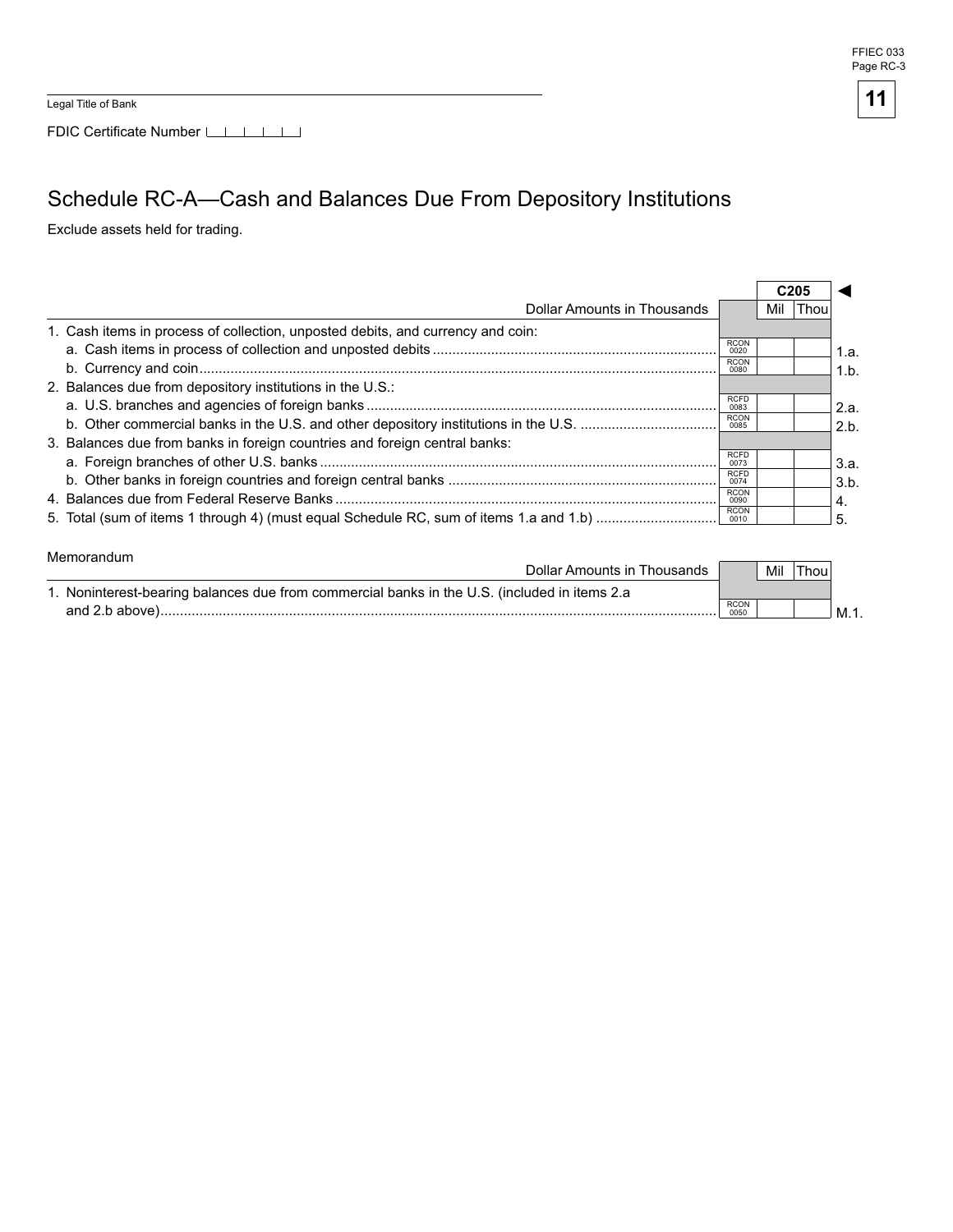FFIEC 033 Page RC-3

**11**

Legal Title of Bank

FDIC Certificate Number

# Schedule RC-A—Cash and Balances Due From Depository Institutions

Exclude assets held for trading.

|                                                                                 |                     | C205 |      |      |
|---------------------------------------------------------------------------------|---------------------|------|------|------|
| Dollar Amounts in Thousands                                                     |                     | Mil  | Thou |      |
| 1. Cash items in process of collection, unposted debits, and currency and coin: |                     |      |      |      |
|                                                                                 | <b>RCON</b><br>0020 |      |      | 1.a. |
|                                                                                 | <b>RCON</b><br>0080 |      |      | 1.b. |
| 2. Balances due from depository institutions in the U.S.:                       |                     |      |      |      |
|                                                                                 | <b>RCFD</b><br>0083 |      |      | 2.a. |
|                                                                                 | <b>RCON</b><br>0085 |      |      | 2.b. |
| 3. Balances due from banks in foreign countries and foreign central banks:      |                     |      |      |      |
|                                                                                 | <b>RCFD</b><br>0073 |      |      | 3.a. |
|                                                                                 | <b>RCFD</b><br>0074 |      |      | 3.b. |
|                                                                                 | <b>RCON</b><br>0090 |      |      | 4    |
|                                                                                 | <b>RCON</b><br>0010 |      |      | 5    |

#### Memorandum

| Dollar Amounts in Thousands                                                                  |                     | Mil | Thou |     |
|----------------------------------------------------------------------------------------------|---------------------|-----|------|-----|
| 1. Noninterest-bearing balances due from commercial banks in the U.S. (included in items 2.a |                     |     |      |     |
| and 2.b above).                                                                              | <b>RCON</b><br>0050 |     |      | ∃M. |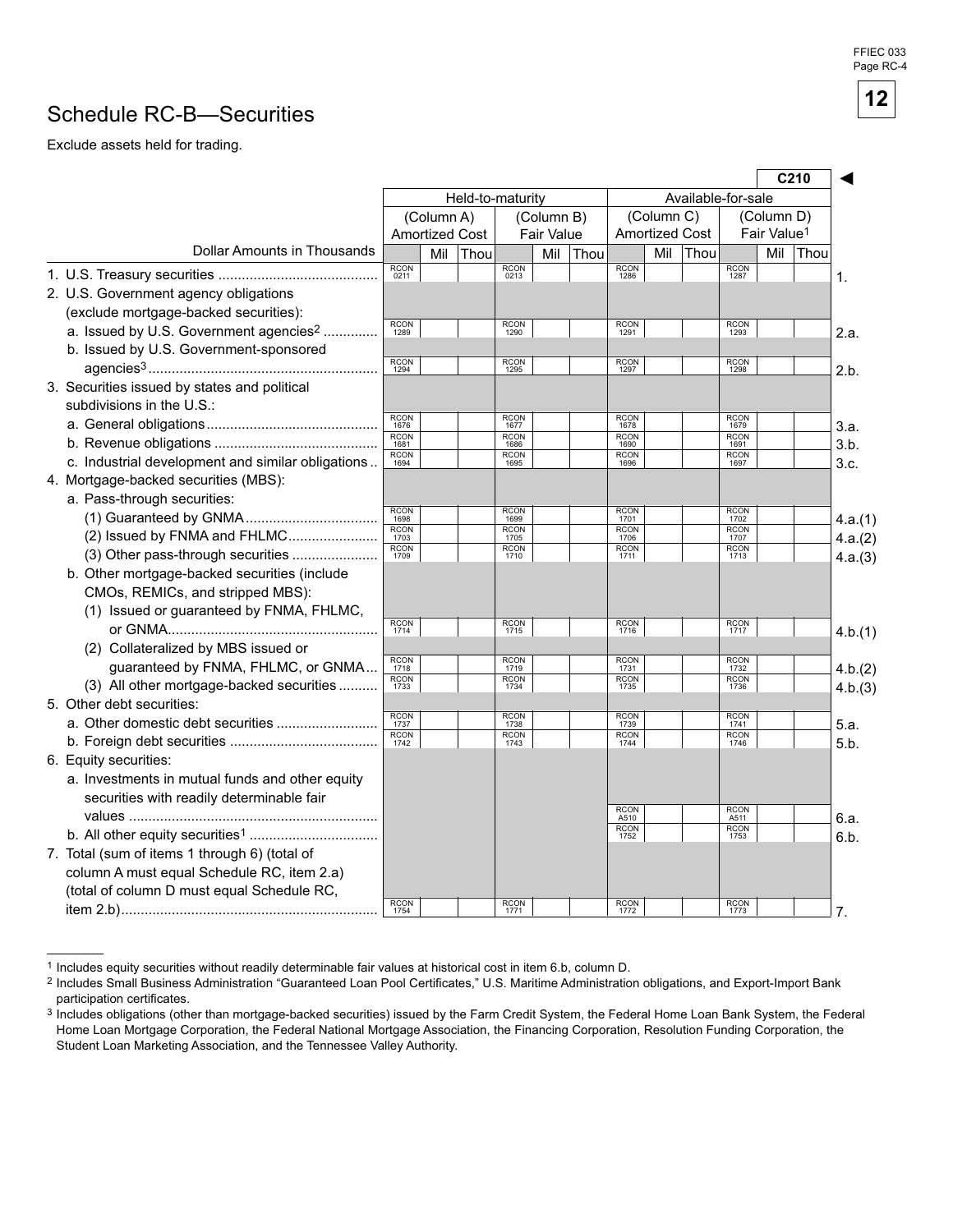#### FFIEC 033 Page RC-4

## Schedule RC-B—Securities

Exclude assets held for trading.

|                                                    |                          |                       |      |                     |                   |                    |                     |            |                       |                     |                         | C210 |         |
|----------------------------------------------------|--------------------------|-----------------------|------|---------------------|-------------------|--------------------|---------------------|------------|-----------------------|---------------------|-------------------------|------|---------|
|                                                    |                          | Held-to-maturity      |      |                     |                   | Available-for-sale |                     |            |                       |                     |                         |      |         |
|                                                    | (Column A)<br>(Column B) |                       |      |                     |                   | (Column C)         |                     | (Column D) |                       |                     |                         |      |         |
|                                                    |                          | <b>Amortized Cost</b> |      |                     | <b>Fair Value</b> |                    |                     |            | <b>Amortized Cost</b> |                     | Fair Value <sup>1</sup> |      |         |
| <b>Dollar Amounts in Thousands</b>                 |                          | Mil                   | Thou |                     | Mil               | Thou               |                     | Mil        | Thou                  |                     | Mil                     | Thou |         |
|                                                    | <b>RCON</b><br>0211      |                       |      | <b>RCON</b><br>0213 |                   |                    | <b>RCON</b><br>1286 |            |                       | <b>RCON</b><br>1287 |                         |      | 1.      |
| 2. U.S. Government agency obligations              |                          |                       |      |                     |                   |                    |                     |            |                       |                     |                         |      |         |
| (exclude mortgage-backed securities):              |                          |                       |      |                     |                   |                    |                     |            |                       |                     |                         |      |         |
| a. Issued by U.S. Government agencies <sup>2</sup> | <b>RCON</b><br>1289      |                       |      | <b>RCON</b><br>1290 |                   |                    | <b>RCON</b><br>1291 |            |                       | <b>RCON</b><br>1293 |                         |      | 2.a.    |
| b. Issued by U.S. Government-sponsored             |                          |                       |      |                     |                   |                    |                     |            |                       |                     |                         |      |         |
|                                                    | <b>RCON</b><br>1294      |                       |      | <b>RCON</b><br>1295 |                   |                    | <b>RCON</b><br>1297 |            |                       | <b>RCON</b><br>1298 |                         |      | 2.b.    |
| 3. Securities issued by states and political       |                          |                       |      |                     |                   |                    |                     |            |                       |                     |                         |      |         |
| subdivisions in the U.S.:                          |                          |                       |      |                     |                   |                    |                     |            |                       |                     |                         |      |         |
|                                                    | <b>RCON</b><br>1676      |                       |      | <b>RCON</b><br>1677 |                   |                    | <b>RCON</b><br>1678 |            |                       | <b>RCON</b><br>1679 |                         |      | 3.a.    |
|                                                    | <b>RCON</b><br>1681      |                       |      | <b>RCON</b><br>1686 |                   |                    | <b>RCON</b><br>1690 |            |                       | <b>RCON</b><br>1691 |                         |      | 3.b.    |
| c. Industrial development and similar obligations  | <b>RCON</b><br>1694      |                       |      | <b>RCON</b><br>1695 |                   |                    | <b>RCON</b><br>1696 |            |                       | <b>RCON</b><br>1697 |                         |      | 3.c.    |
| 4. Mortgage-backed securities (MBS):               |                          |                       |      |                     |                   |                    |                     |            |                       |                     |                         |      |         |
| a. Pass-through securities:                        |                          |                       |      |                     |                   |                    |                     |            |                       |                     |                         |      |         |
|                                                    | <b>RCON</b><br>1698      |                       |      | <b>RCON</b><br>1699 |                   |                    | <b>RCON</b><br>1701 |            |                       | <b>RCON</b><br>1702 |                         |      | 4.a.(1) |
| (2) Issued by FNMA and FHLMC                       | <b>RCON</b><br>1703      |                       |      | <b>RCON</b><br>1705 |                   |                    | <b>RCON</b><br>1706 |            |                       | <b>RCON</b><br>1707 |                         |      | 4.a.(2) |
| (3) Other pass-through securities                  | <b>RCON</b><br>1709      |                       |      | <b>RCON</b><br>1710 |                   |                    | <b>RCON</b><br>1711 |            |                       | <b>RCON</b><br>1713 |                         |      | 4.a.(3) |
| b. Other mortgage-backed securities (include       |                          |                       |      |                     |                   |                    |                     |            |                       |                     |                         |      |         |
| CMOs, REMICs, and stripped MBS):                   |                          |                       |      |                     |                   |                    |                     |            |                       |                     |                         |      |         |
| (1) Issued or guaranteed by FNMA, FHLMC,           |                          |                       |      |                     |                   |                    |                     |            |                       |                     |                         |      |         |
|                                                    | <b>RCON</b><br>1714      |                       |      | <b>RCON</b><br>1715 |                   |                    | <b>RCON</b><br>1716 |            |                       | <b>RCON</b><br>1717 |                         |      | 4.b.(1) |
| (2) Collateralized by MBS issued or                |                          |                       |      |                     |                   |                    |                     |            |                       |                     |                         |      |         |
| guaranteed by FNMA, FHLMC, or GNMA                 | <b>RCON</b><br>1718      |                       |      | <b>RCON</b><br>1719 |                   |                    | <b>RCON</b><br>1731 |            |                       | <b>RCON</b><br>1732 |                         |      | 4.b.(2) |
| (3) All other mortgage-backed securities           | <b>RCON</b><br>1733      |                       |      | <b>RCON</b><br>1734 |                   |                    | <b>RCON</b><br>1735 |            |                       | <b>RCON</b><br>1736 |                         |      | 4.b.(3) |
| 5. Other debt securities:                          |                          |                       |      |                     |                   |                    |                     |            |                       |                     |                         |      |         |
|                                                    | RCON<br>1737             |                       |      | <b>RCON</b><br>1738 |                   |                    | RCON<br>1739        |            |                       | <b>RCON</b><br>1741 |                         |      | 5.a.    |
|                                                    | <b>RCON</b><br>1742      |                       |      | <b>RCON</b><br>1743 |                   |                    | <b>RCON</b><br>1744 |            |                       | <b>RCON</b><br>1746 |                         |      | 5.b.    |
| 6. Equity securities:                              |                          |                       |      |                     |                   |                    |                     |            |                       |                     |                         |      |         |
| a. Investments in mutual funds and other equity    |                          |                       |      |                     |                   |                    |                     |            |                       |                     |                         |      |         |
| securities with readily determinable fair          |                          |                       |      |                     |                   |                    |                     |            |                       |                     |                         |      |         |
|                                                    |                          |                       |      |                     |                   |                    | <b>RCON</b><br>A510 |            |                       | <b>RCON</b><br>A511 |                         |      | 6.a.    |
|                                                    |                          |                       |      |                     |                   |                    | <b>RCON</b><br>1752 |            |                       | <b>RCON</b><br>1753 |                         |      | 6.b.    |
| 7. Total (sum of items 1 through 6) (total of      |                          |                       |      |                     |                   |                    |                     |            |                       |                     |                         |      |         |
| column A must equal Schedule RC, item 2.a)         |                          |                       |      |                     |                   |                    |                     |            |                       |                     |                         |      |         |
| (total of column D must equal Schedule RC,         |                          |                       |      |                     |                   |                    |                     |            |                       |                     |                         |      |         |
|                                                    | <b>RCON</b><br>1754      |                       |      | <b>RCON</b><br>1771 |                   |                    | <b>RCON</b><br>1772 |            |                       | <b>RCON</b><br>1773 |                         |      | 7.      |

<sup>1</sup> Includes equity securities without readily determinable fair values at historical cost in item 6.b, column D.

**12**

<sup>2</sup> Includes Small Business Administration "Guaranteed Loan Pool Certificates," U.S. Maritime Administration obligations, and Export-Import Bank participation certificates.

<sup>3</sup> Includes obligations (other than mortgage-backed securities) issued by the Farm Credit System, the Federal Home Loan Bank System, the Federal Home Loan Mortgage Corporation, the Federal National Mortgage Association, the Financing Corporation, Resolution Funding Corporation, the Student Loan Marketing Association, and the Tennessee Valley Authority.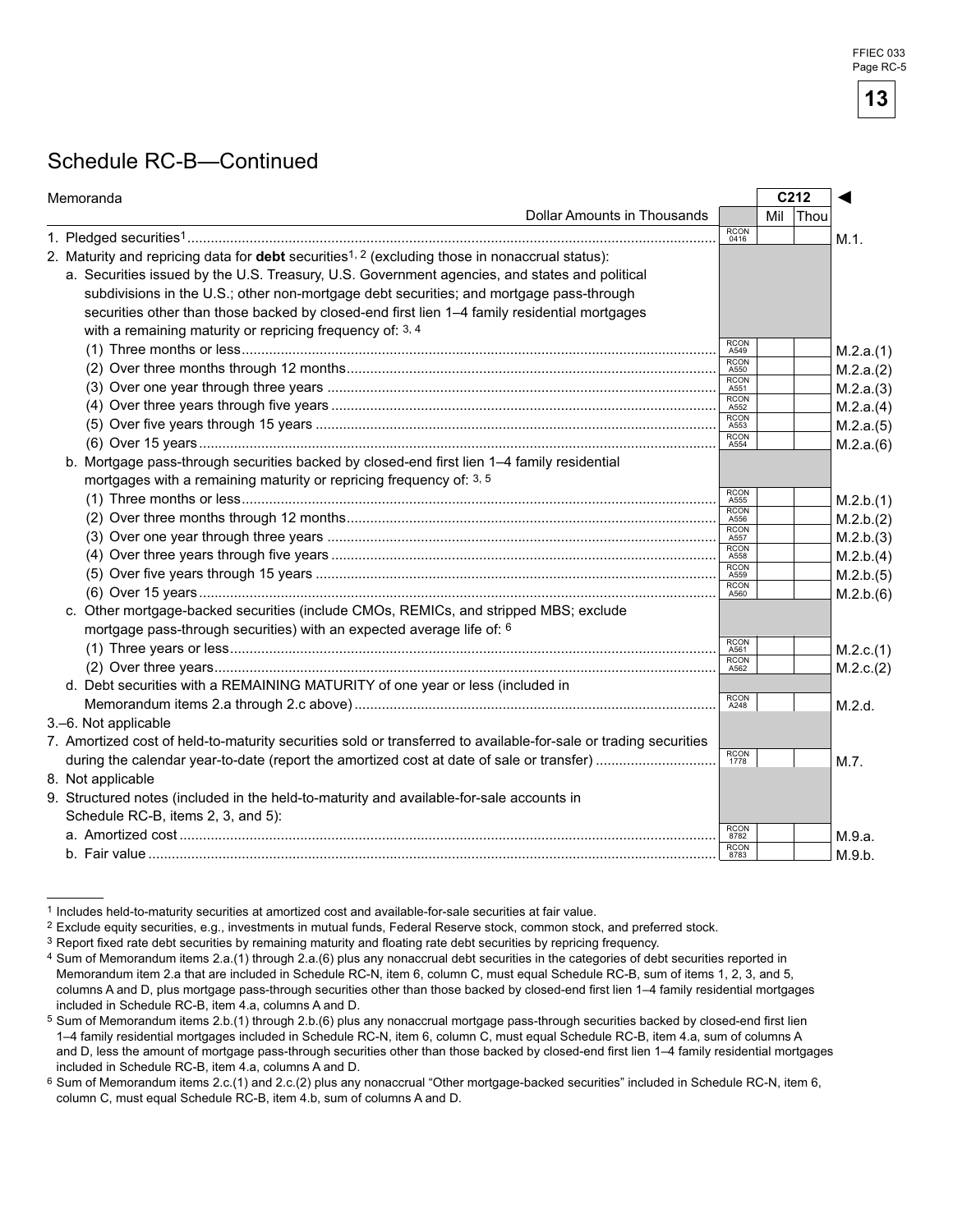### Schedule RC-B—Continued

| Dollar Amounts in Thousands<br><b>Thou</b><br>Mil<br><b>RCON</b><br>M.1.<br>0416<br>2. Maturity and repricing data for <b>debt</b> securities <sup>1, 2</sup> (excluding those in nonaccrual status):<br>a. Securities issued by the U.S. Treasury, U.S. Government agencies, and states and political<br>subdivisions in the U.S.; other non-mortgage debt securities; and mortgage pass-through<br>securities other than those backed by closed-end first lien 1-4 family residential mortgages<br>with a remaining maturity or repricing frequency of: 3, 4<br><b>RCON</b><br>M.2.a.(1)<br>A549<br><b>RCON</b><br>M.2.a.(2)<br>A550<br><b>RCON</b><br>M.2.a.(3)<br>A551<br><b>RCON</b><br>M.2.a.(4)<br>A552<br><b>RCON</b><br>M.2.a.(5)<br>A553<br><b>RCON</b><br>M.2.a.(6)<br>A554<br>b. Mortgage pass-through securities backed by closed-end first lien 1-4 family residential<br>mortgages with a remaining maturity or repricing frequency of: 3, 5<br><b>RCON</b><br>M.2.b.(1)<br>A555<br><b>RCON</b><br>M.2.b.(2)<br>A556<br><b>RCON</b><br>M.2.b.(3)<br>A557<br><b>RCON</b><br>M.2.b.(4)<br>A558<br><b>RCON</b><br>M.2.b.(5)<br>A559<br><b>RCON</b><br>M.2.b.(6)<br>A560<br>c. Other mortgage-backed securities (include CMOs, REMICs, and stripped MBS; exclude<br>mortgage pass-through securities) with an expected average life of: 6<br><b>RCON</b><br>M.2.c.(1)<br>A561<br><b>RCON</b><br>M.2.c.(2)<br>A562<br>d. Debt securities with a REMAINING MATURITY of one year or less (included in<br><b>RCON</b><br>M.2.d.<br>A248<br>3.-6. Not applicable<br>7. Amortized cost of held-to-maturity securities sold or transferred to available-for-sale or trading securities<br><b>RCON</b><br>M.7.<br>1778<br>8. Not applicable<br>9. Structured notes (included in the held-to-maturity and available-for-sale accounts in<br>Schedule RC-B, items 2, 3, and 5):<br><b>RCON</b><br>M.9.a.<br>8782<br><b>RCON</b><br>M.9.b.<br>8783 | Memoranda | C212 |  | ◀ |  |
|----------------------------------------------------------------------------------------------------------------------------------------------------------------------------------------------------------------------------------------------------------------------------------------------------------------------------------------------------------------------------------------------------------------------------------------------------------------------------------------------------------------------------------------------------------------------------------------------------------------------------------------------------------------------------------------------------------------------------------------------------------------------------------------------------------------------------------------------------------------------------------------------------------------------------------------------------------------------------------------------------------------------------------------------------------------------------------------------------------------------------------------------------------------------------------------------------------------------------------------------------------------------------------------------------------------------------------------------------------------------------------------------------------------------------------------------------------------------------------------------------------------------------------------------------------------------------------------------------------------------------------------------------------------------------------------------------------------------------------------------------------------------------------------------------------------------------------------------------------------------------------------------------------------------------------------------------|-----------|------|--|---|--|
|                                                                                                                                                                                                                                                                                                                                                                                                                                                                                                                                                                                                                                                                                                                                                                                                                                                                                                                                                                                                                                                                                                                                                                                                                                                                                                                                                                                                                                                                                                                                                                                                                                                                                                                                                                                                                                                                                                                                                    |           |      |  |   |  |
|                                                                                                                                                                                                                                                                                                                                                                                                                                                                                                                                                                                                                                                                                                                                                                                                                                                                                                                                                                                                                                                                                                                                                                                                                                                                                                                                                                                                                                                                                                                                                                                                                                                                                                                                                                                                                                                                                                                                                    |           |      |  |   |  |
|                                                                                                                                                                                                                                                                                                                                                                                                                                                                                                                                                                                                                                                                                                                                                                                                                                                                                                                                                                                                                                                                                                                                                                                                                                                                                                                                                                                                                                                                                                                                                                                                                                                                                                                                                                                                                                                                                                                                                    |           |      |  |   |  |
|                                                                                                                                                                                                                                                                                                                                                                                                                                                                                                                                                                                                                                                                                                                                                                                                                                                                                                                                                                                                                                                                                                                                                                                                                                                                                                                                                                                                                                                                                                                                                                                                                                                                                                                                                                                                                                                                                                                                                    |           |      |  |   |  |
|                                                                                                                                                                                                                                                                                                                                                                                                                                                                                                                                                                                                                                                                                                                                                                                                                                                                                                                                                                                                                                                                                                                                                                                                                                                                                                                                                                                                                                                                                                                                                                                                                                                                                                                                                                                                                                                                                                                                                    |           |      |  |   |  |
|                                                                                                                                                                                                                                                                                                                                                                                                                                                                                                                                                                                                                                                                                                                                                                                                                                                                                                                                                                                                                                                                                                                                                                                                                                                                                                                                                                                                                                                                                                                                                                                                                                                                                                                                                                                                                                                                                                                                                    |           |      |  |   |  |
|                                                                                                                                                                                                                                                                                                                                                                                                                                                                                                                                                                                                                                                                                                                                                                                                                                                                                                                                                                                                                                                                                                                                                                                                                                                                                                                                                                                                                                                                                                                                                                                                                                                                                                                                                                                                                                                                                                                                                    |           |      |  |   |  |
|                                                                                                                                                                                                                                                                                                                                                                                                                                                                                                                                                                                                                                                                                                                                                                                                                                                                                                                                                                                                                                                                                                                                                                                                                                                                                                                                                                                                                                                                                                                                                                                                                                                                                                                                                                                                                                                                                                                                                    |           |      |  |   |  |
|                                                                                                                                                                                                                                                                                                                                                                                                                                                                                                                                                                                                                                                                                                                                                                                                                                                                                                                                                                                                                                                                                                                                                                                                                                                                                                                                                                                                                                                                                                                                                                                                                                                                                                                                                                                                                                                                                                                                                    |           |      |  |   |  |
|                                                                                                                                                                                                                                                                                                                                                                                                                                                                                                                                                                                                                                                                                                                                                                                                                                                                                                                                                                                                                                                                                                                                                                                                                                                                                                                                                                                                                                                                                                                                                                                                                                                                                                                                                                                                                                                                                                                                                    |           |      |  |   |  |
|                                                                                                                                                                                                                                                                                                                                                                                                                                                                                                                                                                                                                                                                                                                                                                                                                                                                                                                                                                                                                                                                                                                                                                                                                                                                                                                                                                                                                                                                                                                                                                                                                                                                                                                                                                                                                                                                                                                                                    |           |      |  |   |  |
|                                                                                                                                                                                                                                                                                                                                                                                                                                                                                                                                                                                                                                                                                                                                                                                                                                                                                                                                                                                                                                                                                                                                                                                                                                                                                                                                                                                                                                                                                                                                                                                                                                                                                                                                                                                                                                                                                                                                                    |           |      |  |   |  |
|                                                                                                                                                                                                                                                                                                                                                                                                                                                                                                                                                                                                                                                                                                                                                                                                                                                                                                                                                                                                                                                                                                                                                                                                                                                                                                                                                                                                                                                                                                                                                                                                                                                                                                                                                                                                                                                                                                                                                    |           |      |  |   |  |
|                                                                                                                                                                                                                                                                                                                                                                                                                                                                                                                                                                                                                                                                                                                                                                                                                                                                                                                                                                                                                                                                                                                                                                                                                                                                                                                                                                                                                                                                                                                                                                                                                                                                                                                                                                                                                                                                                                                                                    |           |      |  |   |  |
|                                                                                                                                                                                                                                                                                                                                                                                                                                                                                                                                                                                                                                                                                                                                                                                                                                                                                                                                                                                                                                                                                                                                                                                                                                                                                                                                                                                                                                                                                                                                                                                                                                                                                                                                                                                                                                                                                                                                                    |           |      |  |   |  |
|                                                                                                                                                                                                                                                                                                                                                                                                                                                                                                                                                                                                                                                                                                                                                                                                                                                                                                                                                                                                                                                                                                                                                                                                                                                                                                                                                                                                                                                                                                                                                                                                                                                                                                                                                                                                                                                                                                                                                    |           |      |  |   |  |
|                                                                                                                                                                                                                                                                                                                                                                                                                                                                                                                                                                                                                                                                                                                                                                                                                                                                                                                                                                                                                                                                                                                                                                                                                                                                                                                                                                                                                                                                                                                                                                                                                                                                                                                                                                                                                                                                                                                                                    |           |      |  |   |  |
|                                                                                                                                                                                                                                                                                                                                                                                                                                                                                                                                                                                                                                                                                                                                                                                                                                                                                                                                                                                                                                                                                                                                                                                                                                                                                                                                                                                                                                                                                                                                                                                                                                                                                                                                                                                                                                                                                                                                                    |           |      |  |   |  |
|                                                                                                                                                                                                                                                                                                                                                                                                                                                                                                                                                                                                                                                                                                                                                                                                                                                                                                                                                                                                                                                                                                                                                                                                                                                                                                                                                                                                                                                                                                                                                                                                                                                                                                                                                                                                                                                                                                                                                    |           |      |  |   |  |
|                                                                                                                                                                                                                                                                                                                                                                                                                                                                                                                                                                                                                                                                                                                                                                                                                                                                                                                                                                                                                                                                                                                                                                                                                                                                                                                                                                                                                                                                                                                                                                                                                                                                                                                                                                                                                                                                                                                                                    |           |      |  |   |  |
|                                                                                                                                                                                                                                                                                                                                                                                                                                                                                                                                                                                                                                                                                                                                                                                                                                                                                                                                                                                                                                                                                                                                                                                                                                                                                                                                                                                                                                                                                                                                                                                                                                                                                                                                                                                                                                                                                                                                                    |           |      |  |   |  |
|                                                                                                                                                                                                                                                                                                                                                                                                                                                                                                                                                                                                                                                                                                                                                                                                                                                                                                                                                                                                                                                                                                                                                                                                                                                                                                                                                                                                                                                                                                                                                                                                                                                                                                                                                                                                                                                                                                                                                    |           |      |  |   |  |
|                                                                                                                                                                                                                                                                                                                                                                                                                                                                                                                                                                                                                                                                                                                                                                                                                                                                                                                                                                                                                                                                                                                                                                                                                                                                                                                                                                                                                                                                                                                                                                                                                                                                                                                                                                                                                                                                                                                                                    |           |      |  |   |  |
|                                                                                                                                                                                                                                                                                                                                                                                                                                                                                                                                                                                                                                                                                                                                                                                                                                                                                                                                                                                                                                                                                                                                                                                                                                                                                                                                                                                                                                                                                                                                                                                                                                                                                                                                                                                                                                                                                                                                                    |           |      |  |   |  |
|                                                                                                                                                                                                                                                                                                                                                                                                                                                                                                                                                                                                                                                                                                                                                                                                                                                                                                                                                                                                                                                                                                                                                                                                                                                                                                                                                                                                                                                                                                                                                                                                                                                                                                                                                                                                                                                                                                                                                    |           |      |  |   |  |
|                                                                                                                                                                                                                                                                                                                                                                                                                                                                                                                                                                                                                                                                                                                                                                                                                                                                                                                                                                                                                                                                                                                                                                                                                                                                                                                                                                                                                                                                                                                                                                                                                                                                                                                                                                                                                                                                                                                                                    |           |      |  |   |  |
|                                                                                                                                                                                                                                                                                                                                                                                                                                                                                                                                                                                                                                                                                                                                                                                                                                                                                                                                                                                                                                                                                                                                                                                                                                                                                                                                                                                                                                                                                                                                                                                                                                                                                                                                                                                                                                                                                                                                                    |           |      |  |   |  |
|                                                                                                                                                                                                                                                                                                                                                                                                                                                                                                                                                                                                                                                                                                                                                                                                                                                                                                                                                                                                                                                                                                                                                                                                                                                                                                                                                                                                                                                                                                                                                                                                                                                                                                                                                                                                                                                                                                                                                    |           |      |  |   |  |
|                                                                                                                                                                                                                                                                                                                                                                                                                                                                                                                                                                                                                                                                                                                                                                                                                                                                                                                                                                                                                                                                                                                                                                                                                                                                                                                                                                                                                                                                                                                                                                                                                                                                                                                                                                                                                                                                                                                                                    |           |      |  |   |  |
|                                                                                                                                                                                                                                                                                                                                                                                                                                                                                                                                                                                                                                                                                                                                                                                                                                                                                                                                                                                                                                                                                                                                                                                                                                                                                                                                                                                                                                                                                                                                                                                                                                                                                                                                                                                                                                                                                                                                                    |           |      |  |   |  |
|                                                                                                                                                                                                                                                                                                                                                                                                                                                                                                                                                                                                                                                                                                                                                                                                                                                                                                                                                                                                                                                                                                                                                                                                                                                                                                                                                                                                                                                                                                                                                                                                                                                                                                                                                                                                                                                                                                                                                    |           |      |  |   |  |
|                                                                                                                                                                                                                                                                                                                                                                                                                                                                                                                                                                                                                                                                                                                                                                                                                                                                                                                                                                                                                                                                                                                                                                                                                                                                                                                                                                                                                                                                                                                                                                                                                                                                                                                                                                                                                                                                                                                                                    |           |      |  |   |  |
|                                                                                                                                                                                                                                                                                                                                                                                                                                                                                                                                                                                                                                                                                                                                                                                                                                                                                                                                                                                                                                                                                                                                                                                                                                                                                                                                                                                                                                                                                                                                                                                                                                                                                                                                                                                                                                                                                                                                                    |           |      |  |   |  |
|                                                                                                                                                                                                                                                                                                                                                                                                                                                                                                                                                                                                                                                                                                                                                                                                                                                                                                                                                                                                                                                                                                                                                                                                                                                                                                                                                                                                                                                                                                                                                                                                                                                                                                                                                                                                                                                                                                                                                    |           |      |  |   |  |
|                                                                                                                                                                                                                                                                                                                                                                                                                                                                                                                                                                                                                                                                                                                                                                                                                                                                                                                                                                                                                                                                                                                                                                                                                                                                                                                                                                                                                                                                                                                                                                                                                                                                                                                                                                                                                                                                                                                                                    |           |      |  |   |  |

1 Includes held-to-maturity securities at amortized cost and available-for-sale securities at fair value.

2 Exclude equity securities, e.g., investments in mutual funds, Federal Reserve stock, common stock, and preferred stock.

<sup>3</sup> Report fixed rate debt securities by remaining maturity and floating rate debt securities by repricing frequency.

<sup>4</sup> Sum of Memorandum items 2.a.(1) through 2.a.(6) plus any nonaccrual debt securities in the categories of debt securities reported in Memorandum item 2.a that are included in Schedule RC-N, item 6, column C, must equal Schedule RC-B, sum of items 1, 2, 3, and 5, columns A and D, plus mortgage pass-through securities other than those backed by closed-end first lien 1–4 family residential mortgages included in Schedule RC-B, item 4.a, columns A and D.

Sum of Memorandum items 2.b.(1) through 2.b.(6) plus any nonaccrual mortgage pass-through securities backed by closed-end first lien 1–4 family residential mortgages included in Schedule RC-N, item 6, column C, must equal Schedule RC-B, item 4.a, sum of columns A and D, less the amount of mortgage pass-through securities other than those backed by closed-end first lien 1–4 family residential mortgages included in Schedule RC-B, item 4.a, columns A and D.

<sup>6</sup> Sum of Memorandum items 2.c.(1) and 2.c.(2) plus any nonaccrual "Other mortgage-backed securities" included in Schedule RC-N, item 6, column C, must equal Schedule RC-B, item 4.b, sum of columns A and D.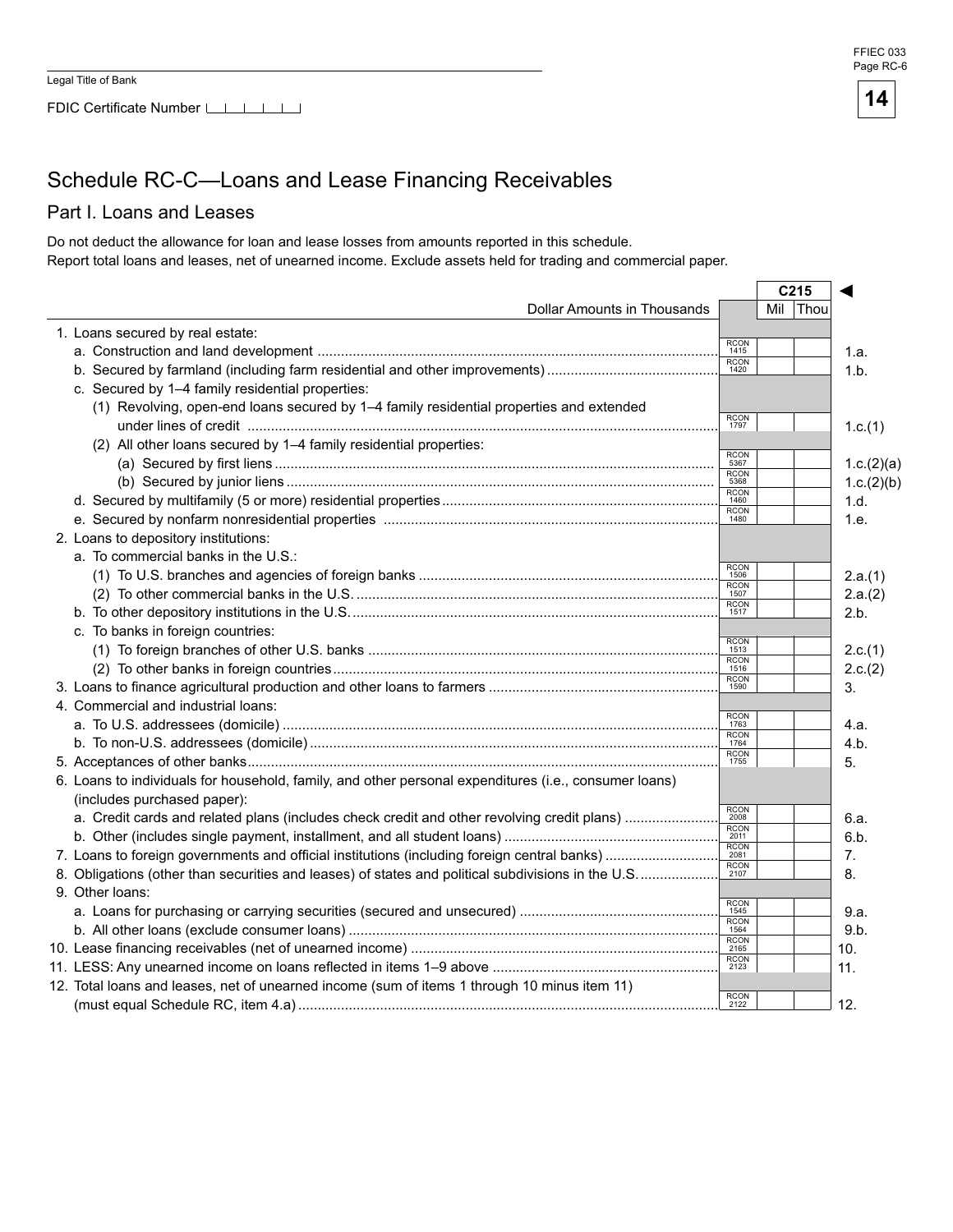FDIC Certificate Number LILILI





# Schedule RC-C—Loans and Lease Financing Receivables

#### Part I. Loans and Leases

Do not deduct the allowance for loan and lease losses from amounts reported in this schedule. Report total loans and leases, net of unearned income. Exclude assets held for trading and commercial paper.

|                                                                                                       |                     | C <sub>215</sub> |            |
|-------------------------------------------------------------------------------------------------------|---------------------|------------------|------------|
| Dollar Amounts in Thousands                                                                           |                     | Mil<br>Thou      |            |
| 1. Loans secured by real estate:                                                                      |                     |                  |            |
|                                                                                                       | <b>RCON</b><br>1415 |                  | 1.a.       |
|                                                                                                       | <b>RCON</b><br>1420 |                  | 1.b.       |
| c. Secured by 1-4 family residential properties:                                                      |                     |                  |            |
| (1) Revolving, open-end loans secured by 1-4 family residential properties and extended               |                     |                  |            |
|                                                                                                       | <b>RCON</b><br>1797 |                  | 1.c.(1)    |
| (2) All other loans secured by 1-4 family residential properties:                                     |                     |                  |            |
|                                                                                                       | <b>RCON</b><br>5367 |                  | 1.c.(2)(a) |
|                                                                                                       | <b>RCON</b><br>5368 |                  | 1.c.(2)(b) |
|                                                                                                       | <b>RCON</b><br>1460 |                  | 1.d.       |
|                                                                                                       | <b>RCON</b><br>1480 |                  | 1.e.       |
| 2. Loans to depository institutions:                                                                  |                     |                  |            |
| a. To commercial banks in the U.S.:                                                                   |                     |                  |            |
|                                                                                                       | <b>RCON</b><br>1506 |                  | 2.a.(1)    |
|                                                                                                       | <b>RCON</b><br>1507 |                  | 2.a.(2)    |
|                                                                                                       | <b>RCON</b><br>1517 |                  | 2.b.       |
| c. To banks in foreign countries:                                                                     |                     |                  |            |
|                                                                                                       | <b>RCON</b><br>1513 |                  | 2.c.(1)    |
|                                                                                                       | <b>RCON</b><br>1516 |                  | 2.c.(2)    |
|                                                                                                       | <b>RCON</b><br>1590 |                  | 3.         |
| 4. Commercial and industrial loans:                                                                   |                     |                  |            |
|                                                                                                       | <b>RCON</b><br>1763 |                  | 4.a.       |
|                                                                                                       | <b>RCON</b><br>1764 |                  | 4.b.       |
|                                                                                                       | <b>RCON</b><br>1755 |                  | 5.         |
| 6. Loans to individuals for household, family, and other personal expenditures (i.e., consumer loans) |                     |                  |            |
| (includes purchased paper):                                                                           |                     |                  |            |
|                                                                                                       | <b>RCON</b><br>2008 |                  | 6.a.       |
|                                                                                                       | <b>RCON</b><br>2011 |                  | 6.b.       |
|                                                                                                       | <b>RCON</b><br>2081 |                  | 7.         |
| 8. Obligations (other than securities and leases) of states and political subdivisions in the U.S     | RCON<br>2107        |                  | 8.         |
| 9. Other loans:                                                                                       |                     |                  |            |
|                                                                                                       | <b>RCON</b><br>1545 |                  | 9.a.       |
|                                                                                                       | <b>RCON</b><br>1564 |                  | 9.b.       |
|                                                                                                       | <b>RCON</b><br>2165 |                  | 10.        |
|                                                                                                       | $\frac{RCON}{2123}$ |                  | 11.        |
| 12. Total loans and leases, net of unearned income (sum of items 1 through 10 minus item 11)          |                     |                  |            |
|                                                                                                       | <b>RCON</b><br>2122 |                  | 12.        |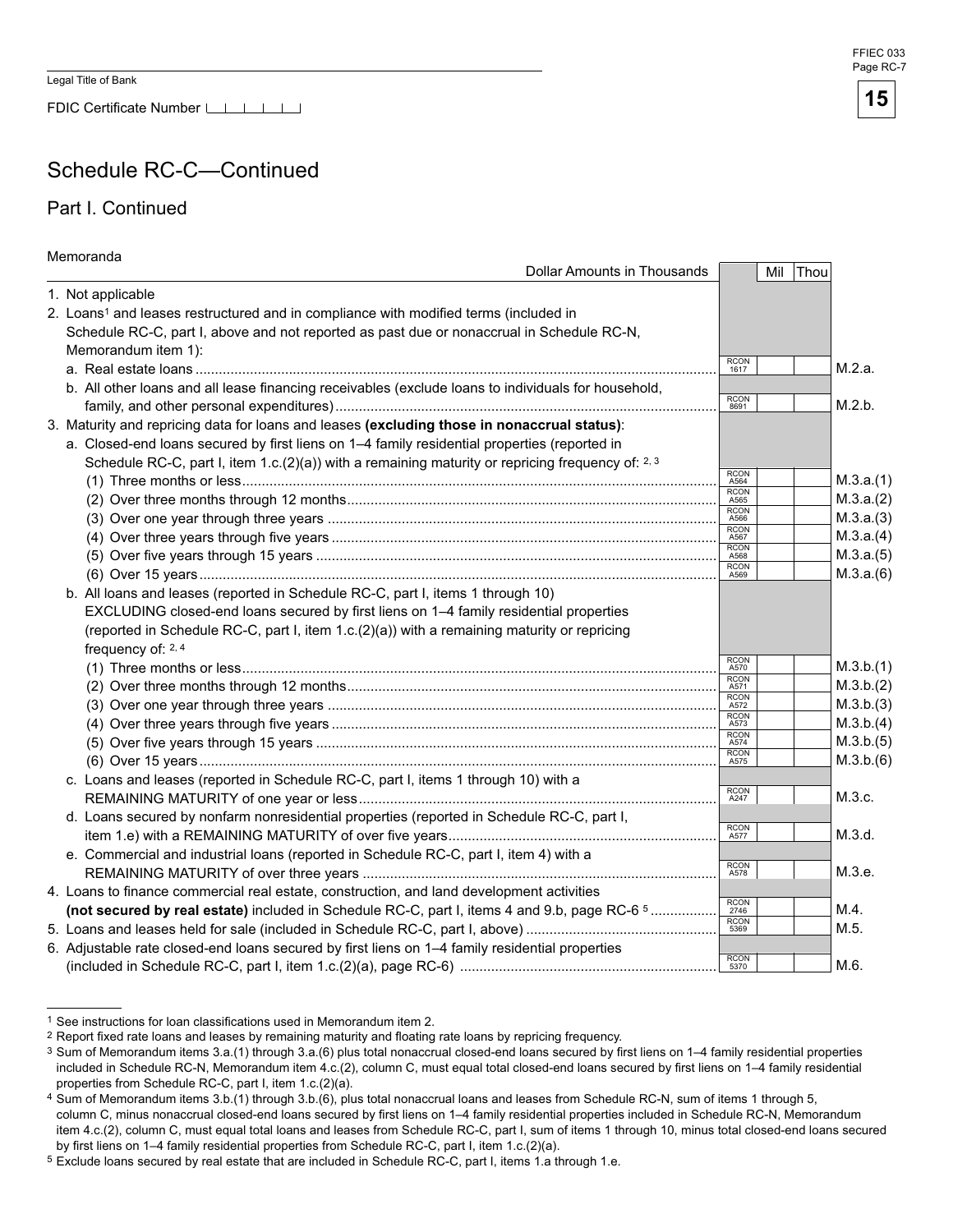FDIC Certificate Number

### Schedule RC-C—Continued

#### Part I. Continued

| Memoranda                                                                                           |                     |           |
|-----------------------------------------------------------------------------------------------------|---------------------|-----------|
| Dollar Amounts in Thousands                                                                         | Mil                 | Thou      |
| 1. Not applicable                                                                                   |                     |           |
| 2. Loans <sup>1</sup> and leases restructured and in compliance with modified terms (included in    |                     |           |
| Schedule RC-C, part I, above and not reported as past due or nonaccrual in Schedule RC-N,           |                     |           |
| Memorandum item 1):                                                                                 |                     |           |
|                                                                                                     | <b>RCON</b><br>1617 | M.2.a.    |
| b. All other loans and all lease financing receivables (exclude loans to individuals for household, |                     |           |
|                                                                                                     | RCON<br>8691        | M.2.b.    |
| 3. Maturity and repricing data for loans and leases (excluding those in nonaccrual status):         |                     |           |
| a. Closed-end loans secured by first liens on 1-4 family residential properties (reported in        |                     |           |
| Schedule RC-C, part I, item 1.c.(2)(a)) with a remaining maturity or repricing frequency of: 2, 3   |                     |           |
|                                                                                                     | RCON<br>A564        | M.3.a.(1) |
|                                                                                                     | RCON<br>A565        | M.3.a.(2) |
|                                                                                                     | RCON<br>A566        | M.3.a.(3) |
|                                                                                                     | RCON<br>A567        | M.3.a.(4) |
|                                                                                                     | <b>RCON</b><br>A568 | M.3.a.(5) |
|                                                                                                     | <b>RCON</b><br>A569 | M.3.a.(6) |
| b. All loans and leases (reported in Schedule RC-C, part I, items 1 through 10)                     |                     |           |
| EXCLUDING closed-end loans secured by first liens on 1-4 family residential properties              |                     |           |
| (reported in Schedule RC-C, part I, item 1.c.(2)(a)) with a remaining maturity or repricing         |                     |           |
| frequency of: 2, 4                                                                                  |                     |           |
|                                                                                                     | RCON<br>A570        | M.3.b.(1) |
|                                                                                                     | RCON<br>A571        | M.3.b.(2) |
|                                                                                                     | RCON<br>A572        | M.3.b.(3) |
|                                                                                                     | RCON<br>A573        | M.3.b.(4) |
|                                                                                                     | RCON<br>A574        | M.3.b.(5) |
|                                                                                                     | RCON<br>A575        | M.3.b.(6) |
| c. Loans and leases (reported in Schedule RC-C, part I, items 1 through 10) with a                  |                     |           |
|                                                                                                     | RCON<br>A247        | M.3.c.    |
| d. Loans secured by nonfarm nonresidential properties (reported in Schedule RC-C, part I,           |                     |           |
|                                                                                                     | RCON<br>A577        | M.3.d.    |
| e. Commercial and industrial loans (reported in Schedule RC-C, part I, item 4) with a               |                     |           |
|                                                                                                     | RCON<br>A578        | M.3.e.    |
| 4. Loans to finance commercial real estate, construction, and land development activities           |                     |           |
| (not secured by real estate) included in Schedule RC-C, part I, items 4 and 9.b, page RC-6 5        | RCON<br>2746        | M.4.      |
|                                                                                                     | RCON<br>5369        | M.5.      |
| 6. Adjustable rate closed-end loans secured by first liens on 1-4 family residential properties     |                     |           |
|                                                                                                     | RCON<br>5370        | M.6.      |

<sup>1</sup> See instructions for loan classifications used in Memorandum item 2.



<sup>&</sup>lt;sup>2</sup> Report fixed rate loans and leases by remaining maturity and floating rate loans by repricing frequency.

<sup>3</sup> Sum of Memorandum items 3.a.(1) through 3.a.(6) plus total nonaccrual closed-end loans secured by first liens on 1-4 family residential properties included in Schedule RC-N, Memorandum item 4.c.(2), column C, must equal total closed-end loans secured by first liens on 1-4 family residential properties from Schedule RC-C, part I, item 1.c.(2)(a).

Sum of Memorandum items 3.b.(1) through 3.b.(6), plus total nonaccrual loans and leases from Schedule RC-N, sum of items 1 through 5, column C, minus nonaccrual closed-end loans secured by first liens on 1-4 family residential properties included in Schedule RC-N, Memorandum

item 4.c.(2), column C, must equal total loans and leases from Schedule RC-C, part I, sum of items 1 through 10, minus total closed-end loans secured by first liens on 1–4 family residential properties from Schedule RC-C, part I, item 1.c.(2)(a).

<sup>5</sup> Exclude loans secured by real estate that are included in Schedule RC-C, part I, items 1.a through 1.e.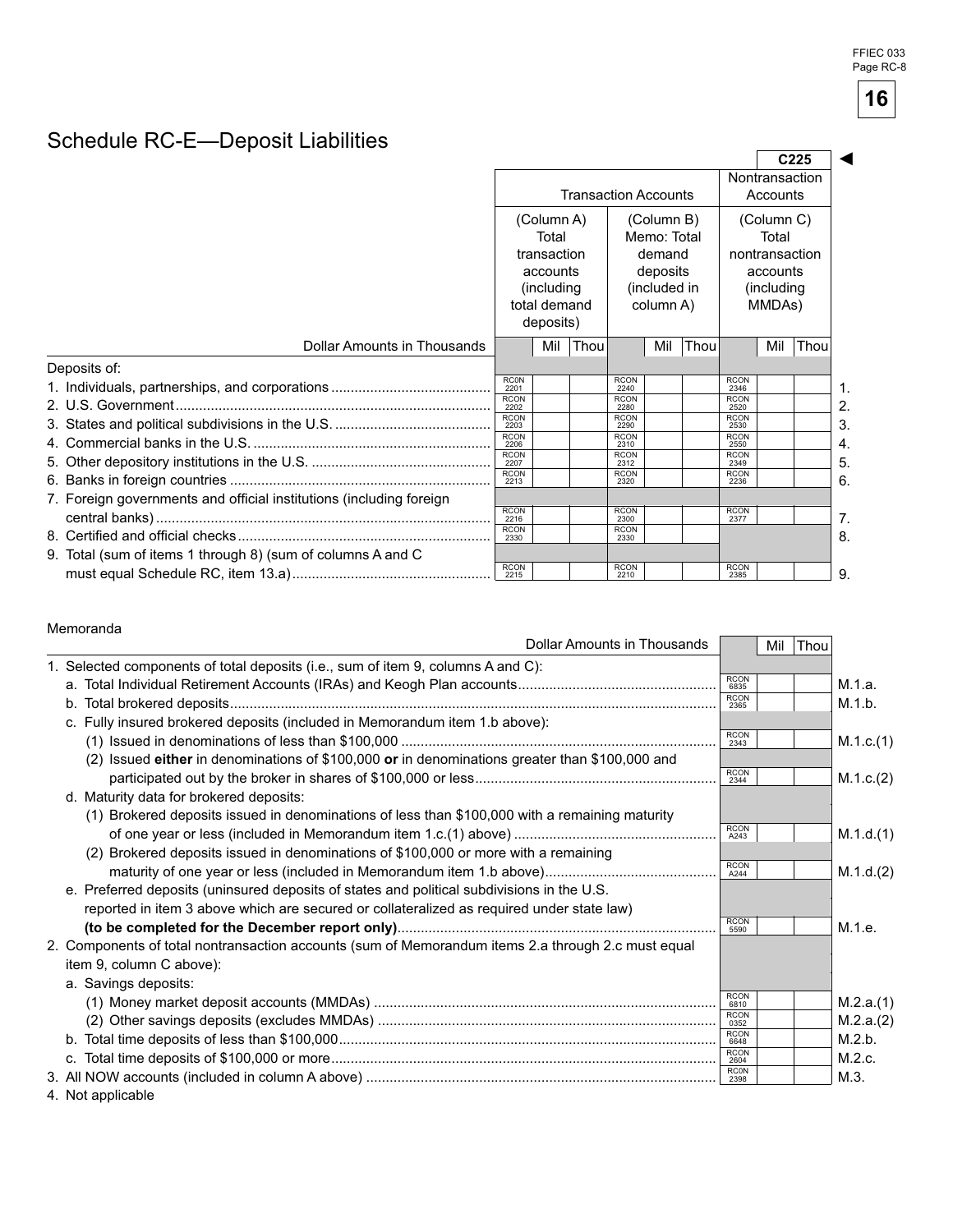# Schedule RC-E—Deposit Liabilities

|                                                                     |                                          |                      |      |                             |                       |            |                     |                         | C <sub>225</sub> |  |  |  |  |  |  |  |  |  |  |  |  |              |  |  |  |  |  |  |  |  |  |                       |  |
|---------------------------------------------------------------------|------------------------------------------|----------------------|------|-----------------------------|-----------------------|------------|---------------------|-------------------------|------------------|--|--|--|--|--|--|--|--|--|--|--|--|--------------|--|--|--|--|--|--|--|--|--|-----------------------|--|
|                                                                     |                                          |                      |      | <b>Transaction Accounts</b> |                       |            | Accounts            | Nontransaction          |                  |  |  |  |  |  |  |  |  |  |  |  |  |              |  |  |  |  |  |  |  |  |  |                       |  |
|                                                                     | (Column A)<br>(Column B)                 |                      |      |                             |                       | (Column C) |                     |                         |                  |  |  |  |  |  |  |  |  |  |  |  |  |              |  |  |  |  |  |  |  |  |  |                       |  |
|                                                                     |                                          | Total<br>transaction |      |                             | Memo: Total<br>demand |            |                     | Total<br>nontransaction |                  |  |  |  |  |  |  |  |  |  |  |  |  |              |  |  |  |  |  |  |  |  |  |                       |  |
|                                                                     |                                          | accounts             |      |                             | deposits              | accounts   |                     |                         |                  |  |  |  |  |  |  |  |  |  |  |  |  |              |  |  |  |  |  |  |  |  |  |                       |  |
|                                                                     | (including)<br>total demand<br>deposits) |                      |      |                             | column A)             |            |                     |                         |                  |  |  |  |  |  |  |  |  |  |  |  |  | (included in |  |  |  |  |  |  |  |  |  | (including)<br>MMDAs) |  |
| Dollar Amounts in Thousands                                         |                                          | Mil                  | Thou |                             | Mil                   | Thou       |                     | Mil                     | Thou             |  |  |  |  |  |  |  |  |  |  |  |  |              |  |  |  |  |  |  |  |  |  |                       |  |
| Deposits of:                                                        |                                          |                      |      |                             |                       |            |                     |                         |                  |  |  |  |  |  |  |  |  |  |  |  |  |              |  |  |  |  |  |  |  |  |  |                       |  |
|                                                                     | <b>RCON</b><br>2201                      |                      |      | <b>RCON</b><br>2240         |                       |            | <b>RCON</b><br>2346 |                         |                  |  |  |  |  |  |  |  |  |  |  |  |  |              |  |  |  |  |  |  |  |  |  |                       |  |
|                                                                     | <b>RCON</b><br>2202                      |                      |      | <b>RCON</b><br>2280         |                       |            | <b>RCON</b><br>2520 |                         |                  |  |  |  |  |  |  |  |  |  |  |  |  |              |  |  |  |  |  |  |  |  |  |                       |  |
|                                                                     | <b>RCON</b><br>2203                      |                      |      | <b>RCON</b><br>2290         |                       |            | <b>RCON</b><br>2530 |                         |                  |  |  |  |  |  |  |  |  |  |  |  |  |              |  |  |  |  |  |  |  |  |  |                       |  |
|                                                                     | <b>RCON</b><br>2206                      |                      |      | <b>RCON</b><br>2310         |                       |            | <b>RCON</b><br>2550 |                         |                  |  |  |  |  |  |  |  |  |  |  |  |  |              |  |  |  |  |  |  |  |  |  |                       |  |
|                                                                     | <b>RCON</b><br>2207                      |                      |      | <b>RCON</b><br>2312         |                       |            | <b>RCON</b><br>2349 |                         |                  |  |  |  |  |  |  |  |  |  |  |  |  |              |  |  |  |  |  |  |  |  |  |                       |  |
|                                                                     | <b>RCON</b><br>2213                      |                      |      | <b>RCON</b><br>2320         |                       |            | <b>RCON</b><br>2236 |                         |                  |  |  |  |  |  |  |  |  |  |  |  |  |              |  |  |  |  |  |  |  |  |  |                       |  |
| 7. Foreign governments and official institutions (including foreign |                                          |                      |      |                             |                       |            |                     |                         |                  |  |  |  |  |  |  |  |  |  |  |  |  |              |  |  |  |  |  |  |  |  |  |                       |  |
|                                                                     | <b>RCON</b><br>2216                      |                      |      | <b>RCON</b><br>2300         |                       |            | <b>RCON</b><br>2377 |                         |                  |  |  |  |  |  |  |  |  |  |  |  |  |              |  |  |  |  |  |  |  |  |  |                       |  |
|                                                                     | <b>RCON</b><br>2330                      |                      |      | <b>RCON</b><br>2330         |                       |            |                     |                         |                  |  |  |  |  |  |  |  |  |  |  |  |  |              |  |  |  |  |  |  |  |  |  |                       |  |
| 9. Total (sum of items 1 through 8) (sum of columns A and C         |                                          |                      |      |                             |                       |            |                     |                         |                  |  |  |  |  |  |  |  |  |  |  |  |  |              |  |  |  |  |  |  |  |  |  |                       |  |
|                                                                     | <b>RCON</b><br>2215                      |                      |      | <b>RCON</b><br>2210         |                       |            | <b>RCON</b><br>2385 |                         |                  |  |  |  |  |  |  |  |  |  |  |  |  |              |  |  |  |  |  |  |  |  |  |                       |  |

#### Memoranda

| <b>Dollar Amounts in Thousands</b>                                                                 |                     | Mil Thou |           |
|----------------------------------------------------------------------------------------------------|---------------------|----------|-----------|
| 1. Selected components of total deposits (i.e., sum of item 9, columns A and C):                   |                     |          |           |
|                                                                                                    | <b>RCON</b><br>6835 |          | M.1.a.    |
|                                                                                                    | <b>RCON</b><br>2365 |          | M.1.b.    |
| c. Fully insured brokered deposits (included in Memorandum item 1.b above):                        |                     |          |           |
|                                                                                                    | <b>RCON</b><br>2343 |          | M.1.c.(1) |
| (2) Issued either in denominations of \$100,000 or in denominations greater than \$100,000 and     | <b>RCON</b>         |          |           |
| d. Maturity data for brokered deposits:                                                            | 2344                |          | M.1.c.(2) |
| (1) Brokered deposits issued in denominations of less than \$100,000 with a remaining maturity     |                     |          |           |
|                                                                                                    | <b>RCON</b><br>A243 |          | M.1.d.(1) |
| (2) Brokered deposits issued in denominations of \$100,000 or more with a remaining                |                     |          |           |
|                                                                                                    | <b>RCON</b><br>A244 |          | M.1.d.(2) |
| e. Preferred deposits (uninsured deposits of states and political subdivisions in the U.S.         |                     |          |           |
| reported in item 3 above which are secured or collateralized as required under state law)          |                     |          |           |
|                                                                                                    | <b>RCON</b><br>5590 |          | M.1.e.    |
| 2. Components of total nontransaction accounts (sum of Memorandum items 2.a through 2.c must equal |                     |          |           |
| item 9, column C above):                                                                           |                     |          |           |
| a. Savings deposits:                                                                               |                     |          |           |
|                                                                                                    | <b>RCON</b><br>6810 |          | M.2.a.(1) |
|                                                                                                    | <b>RCON</b><br>0352 |          | M.2.a.(2) |
|                                                                                                    | <b>RCON</b><br>6648 |          | M.2.b.    |
|                                                                                                    | <b>RCON</b><br>2604 |          | M.2.c.    |
|                                                                                                    | <b>RC0N</b><br>2398 |          | M.3.      |
| $\bf{A}$ <b>N</b> $\bf{A}$ <b>N</b> $\bf{A}$ <b>Example 1</b> $\bf{A}$                             |                     |          |           |

4. Not applicable

**16**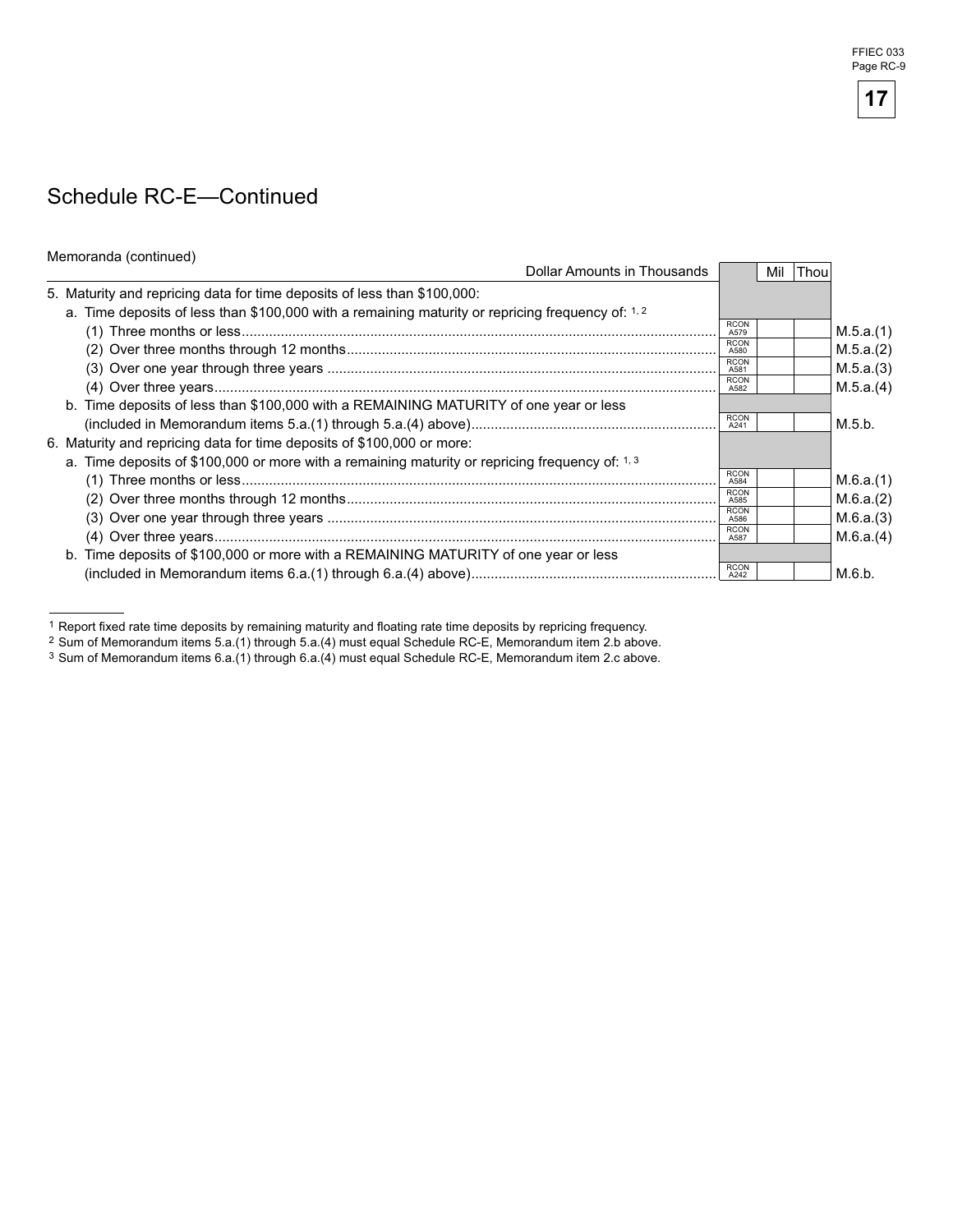## Schedule RC-E—Continued

| Memoranda (continued)                                                                             |                     |     |             |           |
|---------------------------------------------------------------------------------------------------|---------------------|-----|-------------|-----------|
| Dollar Amounts in Thousands                                                                       |                     | Mil | <b>Thou</b> |           |
| 5. Maturity and repricing data for time deposits of less than \$100,000:                          |                     |     |             |           |
| a. Time deposits of less than \$100,000 with a remaining maturity or repricing frequency of: 1, 2 |                     |     |             |           |
|                                                                                                   | <b>RCON</b><br>A579 |     |             | M.5.a.(1) |
|                                                                                                   | <b>RCON</b><br>A580 |     |             | M.5.a.(2) |
|                                                                                                   | <b>RCON</b><br>A581 |     |             | M.5.a.(3) |
|                                                                                                   | <b>RCON</b><br>A582 |     |             | M.5.a.(4) |
| b. Time deposits of less than \$100,000 with a REMAINING MATURITY of one year or less             |                     |     |             |           |
|                                                                                                   | <b>RCON</b><br>A241 |     |             | M.5.b.    |
| 6. Maturity and repricing data for time deposits of \$100,000 or more:                            |                     |     |             |           |
| a. Time deposits of \$100,000 or more with a remaining maturity or repricing frequency of: 1, 3   |                     |     |             |           |
|                                                                                                   | <b>RCON</b><br>A584 |     |             | M.6.a.(1) |
|                                                                                                   | <b>RCON</b><br>A585 |     |             | M.6.a.(2) |
|                                                                                                   | <b>RCON</b><br>A586 |     |             | M.6.a.(3) |
|                                                                                                   | <b>RCON</b><br>A587 |     |             | M.6.a.(4) |
| b. Time deposits of \$100,000 or more with a REMAINING MATURITY of one year or less               |                     |     |             |           |
|                                                                                                   | <b>RCON</b>         |     |             | M.6.b.    |

 1 Report fixed rate time deposits by remaining maturity and floating rate time deposits by repricing frequency.



<sup>2</sup> Sum of Memorandum items 5.a.(1) through 5.a.(4) must equal Schedule RC-E, Memorandum item 2.b above.

<sup>3</sup> Sum of Memorandum items 6.a.(1) through 6.a.(4) must equal Schedule RC-E, Memorandum item 2.c above.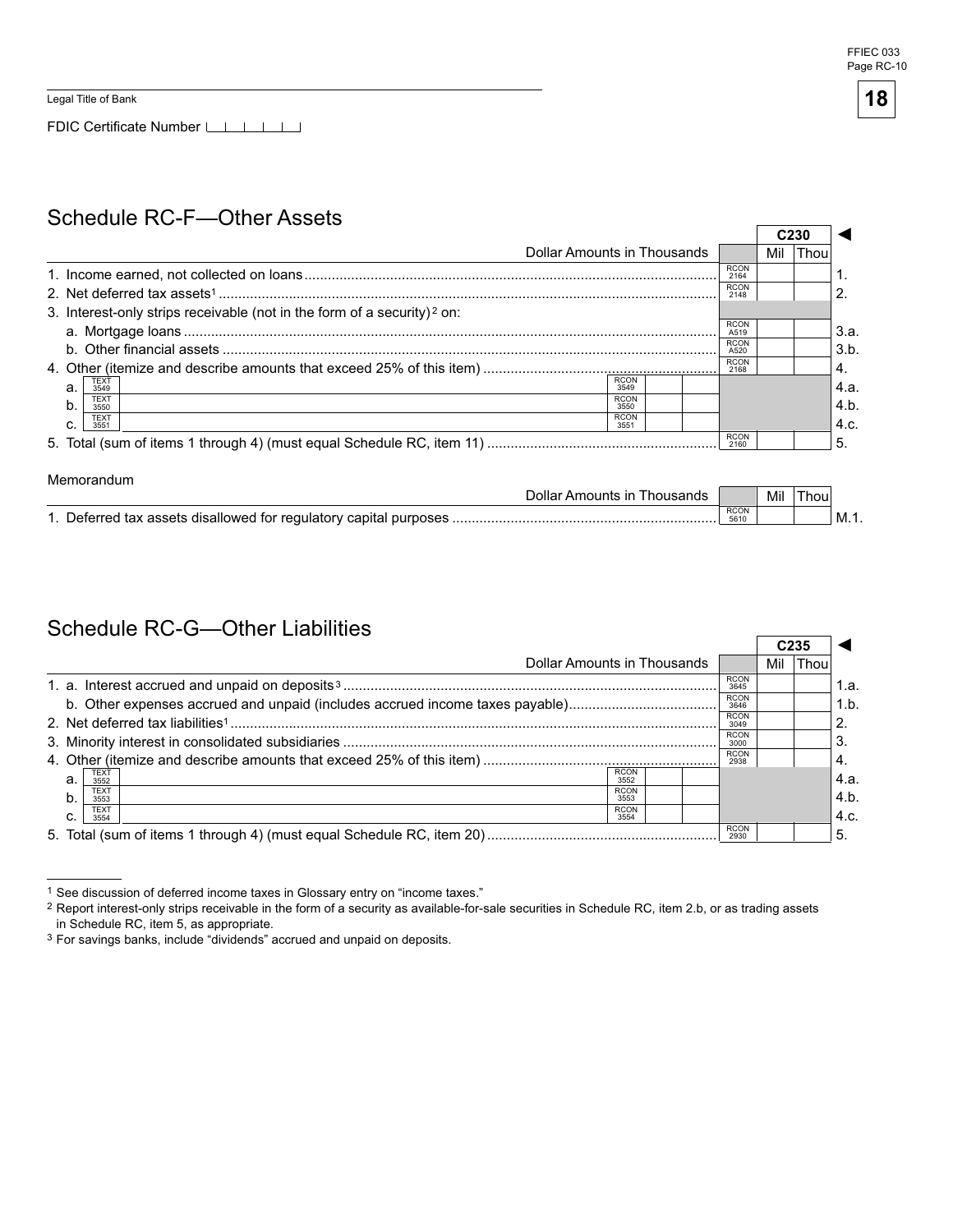$\mathsf{r}$ 

 $\overline{\phantom{0}}$ 

FDIC Certificate Number LILILI

### Schedule RC-F—Other Assets

|                           |                                                                                     |                             |                     |     | C <sub>230</sub> |
|---------------------------|-------------------------------------------------------------------------------------|-----------------------------|---------------------|-----|------------------|
|                           |                                                                                     | Dollar Amounts in Thousands |                     | Mil | Thou             |
|                           |                                                                                     |                             | <b>RCON</b><br>2164 |     |                  |
|                           |                                                                                     |                             | <b>RCON</b><br>2148 |     |                  |
|                           | 3. Interest-only strips receivable (not in the form of a security) <sup>2</sup> on: |                             |                     |     |                  |
|                           |                                                                                     |                             | <b>RCON</b><br>A519 |     |                  |
|                           |                                                                                     |                             | <b>RCON</b><br>A520 |     |                  |
|                           |                                                                                     |                             | <b>RCON</b><br>2168 |     |                  |
| <b>TEXT</b><br>a.<br>3549 |                                                                                     | <b>RCON</b><br>3549         |                     |     |                  |
| <b>TEXT</b><br>b.<br>3550 |                                                                                     | <b>RCON</b><br>3550         |                     |     |                  |
| <b>TEXT</b><br>C.<br>3551 |                                                                                     | <b>RCON</b><br>3551         |                     |     |                  |
|                           |                                                                                     |                             | <b>RCON</b>         |     |                  |

| Dollar Amounts in<br>l housands                                      |                     | Mil | ' hou |     |
|----------------------------------------------------------------------|---------------------|-----|-------|-----|
| Deferred tax assets disallowed for regulatory capital purposes<br>-1 | <b>RCON</b><br>5610 |     |       | *M∴ |

#### Schedule RC-G—Other Liabilities

|                                                                              |                     | C <sub>235</sub> |      |      |
|------------------------------------------------------------------------------|---------------------|------------------|------|------|
| Dollar Amounts in Thousands                                                  |                     | Mil              | Thou |      |
|                                                                              | <b>RCON</b><br>3645 |                  |      | 1.a. |
| b. Other expenses accrued and unpaid (includes accrued income taxes payable) | <b>RCON</b><br>3646 |                  |      | 1.b. |
|                                                                              | <b>RCON</b><br>3049 |                  |      |      |
|                                                                              | <b>RCON</b><br>3000 |                  |      | 3    |
|                                                                              | <b>RCON</b><br>2938 |                  |      | ۰4.  |
| <b>RCON</b><br>TEXT<br>3552<br>a.<br>3552                                    |                     |                  |      | 4.a. |
| <b>TEXT</b><br><b>RCON</b><br>b.<br>3553<br>3553                             |                     |                  |      | 4.b. |
| <b>TEXT</b><br><b>RCON</b><br>C.<br>3554<br>3554                             |                     |                  |      | 4.c. |
|                                                                              | <b>RCON</b><br>2930 |                  |      | 5.   |

<sup>1</sup> See discussion of deferred income taxes in Glossary entry on "income taxes."

<sup>2</sup> Report interest-only strips receivable in the form of a security as available-for-sale securities in Schedule RC, item 2.b, or as trading assets in Schedule RC, item 5, as appropriate.

<sup>3</sup> For savings banks, include "dividends" accrued and unpaid on deposits.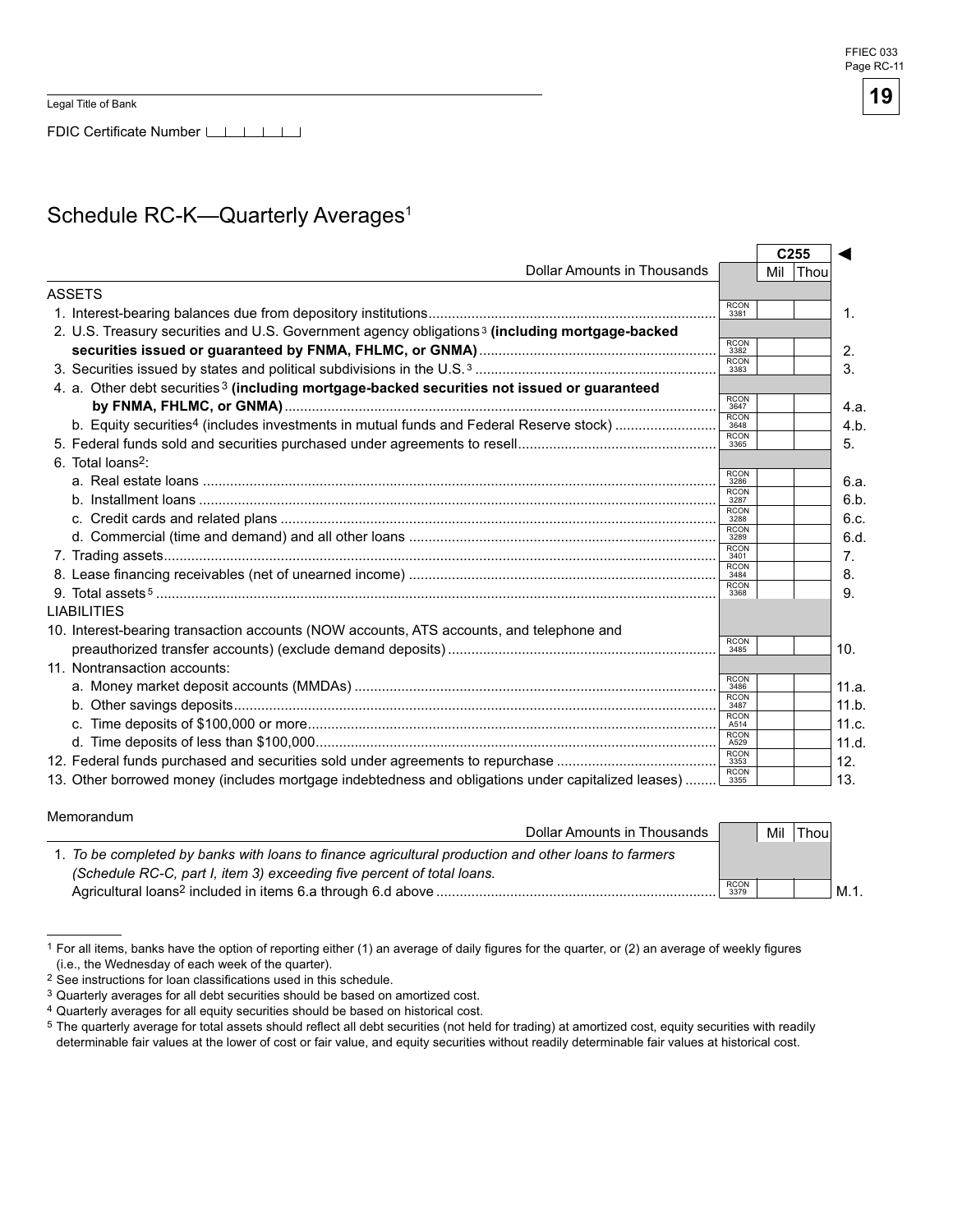Legal Title of Bank

#### Schedule RC-K-Quarterly Averages<sup>1</sup>

|                                                                                                            |                     |     | C <sub>255</sub> |
|------------------------------------------------------------------------------------------------------------|---------------------|-----|------------------|
| <b>Dollar Amounts in Thousands</b>                                                                         |                     | Mil | Thou             |
| <b>ASSETS</b>                                                                                              |                     |     |                  |
|                                                                                                            | RCON<br>3381        |     |                  |
| 2. U.S. Treasury securities and U.S. Government agency obligations <sup>3</sup> (including mortgage-backed |                     |     |                  |
|                                                                                                            | <b>RCON</b><br>3382 |     |                  |
|                                                                                                            | <b>RCON</b><br>3383 |     |                  |
| 4. a. Other debt securities <sup>3</sup> (including mortgage-backed securities not issued or guaranteed    |                     |     |                  |
|                                                                                                            | <b>RCON</b><br>3647 |     |                  |
| b. Equity securities <sup>4</sup> (includes investments in mutual funds and Federal Reserve stock)         | <b>RCON</b><br>3648 |     |                  |
|                                                                                                            | <b>RCON</b><br>3365 |     |                  |
| 6. Total loans <sup>2</sup> :                                                                              |                     |     |                  |
|                                                                                                            | <b>RCON</b><br>3286 |     |                  |
|                                                                                                            | <b>RCON</b><br>3287 |     |                  |
|                                                                                                            | <b>RCON</b><br>3288 |     |                  |
|                                                                                                            | <b>RCON</b><br>3289 |     |                  |
|                                                                                                            | <b>RCON</b><br>3401 |     |                  |
|                                                                                                            | <b>RCON</b><br>3484 |     |                  |
|                                                                                                            | <b>RCON</b><br>3368 |     |                  |
| <b>LIABILITIES</b>                                                                                         |                     |     |                  |
| 10. Interest-bearing transaction accounts (NOW accounts, ATS accounts, and telephone and                   |                     |     |                  |
|                                                                                                            | <b>RCON</b><br>3485 |     |                  |
| 11. Nontransaction accounts:                                                                               |                     |     |                  |
|                                                                                                            | <b>RCON</b><br>3486 |     |                  |
|                                                                                                            | <b>RCON</b><br>3487 |     |                  |
|                                                                                                            | <b>RCON</b><br>A514 |     |                  |
|                                                                                                            | <b>RCON</b><br>A529 |     |                  |
|                                                                                                            | <b>RCON</b><br>3353 |     |                  |
| 13. Other borrowed money (includes mortgage indebtedness and obligations under capitalized leases)         | <b>RCON</b><br>3355 |     |                  |

| Memorandum |  |
|------------|--|
|------------|--|

| Dollar Amounts in Thousands                                                                          |                     | Mil | 'Thou |      |
|------------------------------------------------------------------------------------------------------|---------------------|-----|-------|------|
| 1. To be completed by banks with loans to finance agricultural production and other loans to farmers |                     |     |       |      |
| (Schedule RC-C, part I, item 3) exceeding five percent of total loans.                               |                     |     |       |      |
| Agricultural loans <sup>2</sup> included in items 6.a through 6.d above                              | <b>RCON</b><br>3379 |     |       | M.1. |

<sup>1</sup> For all items, banks have the option of reporting either (1) an average of daily figures for the quarter, or (2) an average of weekly figures (i.e., the Wednesday of each week of the quarter).

<sup>2</sup> See instructions for loan classifications used in this schedule.

<sup>3</sup> Quarterly averages for all debt securities should be based on amortized cost.

<sup>4</sup> Quarterly averages for all equity securities should be based on historical cost.

<sup>5</sup> The quarterly average for total assets should reflect all debt securities (not held for trading) at amortized cost, equity securities with readily determinable fair values at the lower of cost or fair value, and equity securities without readily determinable fair values at historical cost.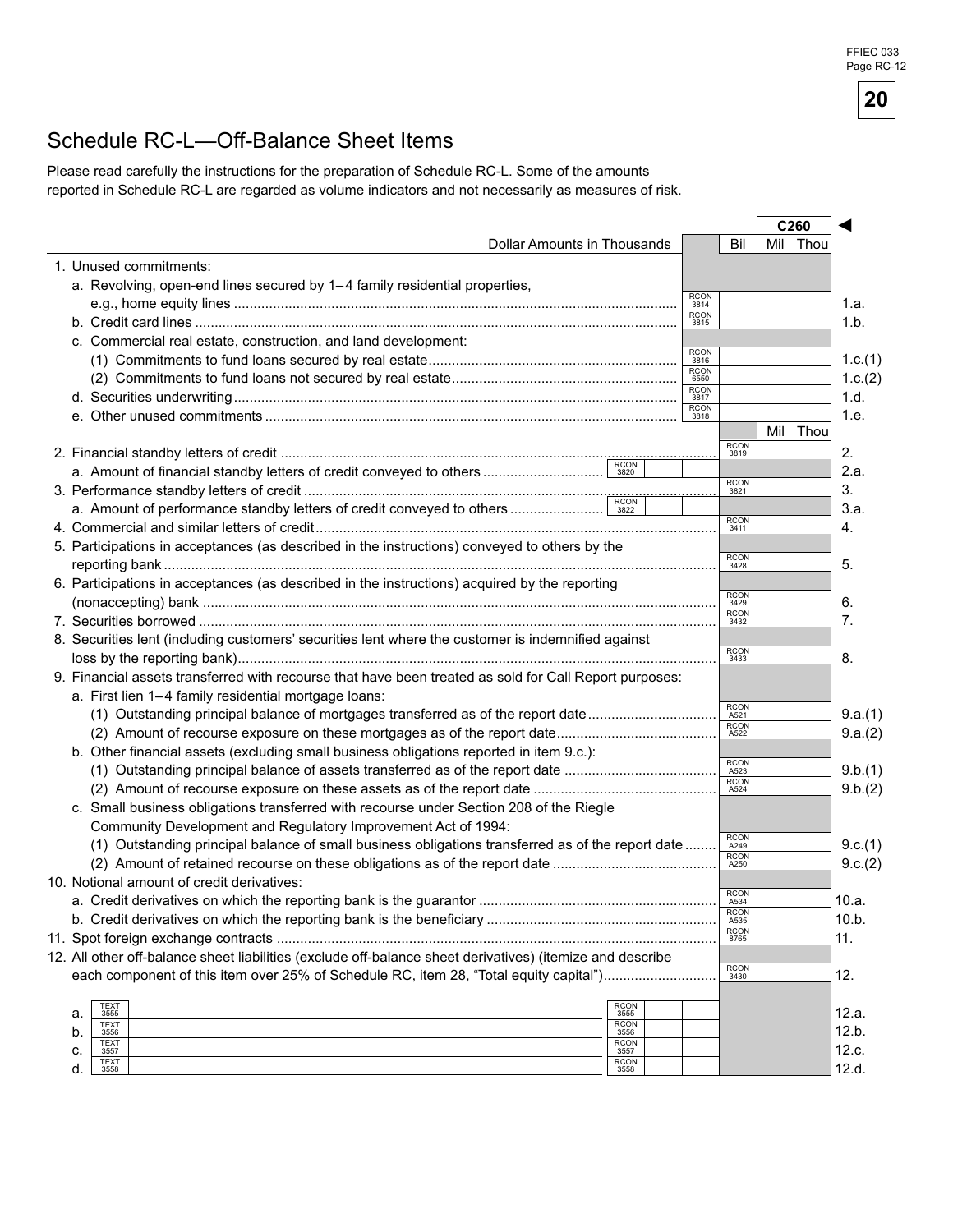### Schedule RC-L—Off-Balance Sheet Items

Please read carefully the instructions for the preparation of Schedule RC-L. Some of the amounts reported in Schedule RC-L are regarded as volume indicators and not necessarily as measures of risk.

| <b>Dollar Amounts in Thousands</b><br>Mil<br>Bil<br><b>Thou</b><br>1. Unused commitments:<br>a. Revolving, open-end lines secured by 1-4 family residential properties,<br><b>RCON</b><br>3814<br><b>RCON</b><br>3815<br>c. Commercial real estate, construction, and land development:<br><b>RCON</b><br>3816<br><b>RCON</b><br>6550<br><b>RCON</b><br>3817<br><b>RCON</b><br>1.e.<br>3818<br>Mil<br>Thou<br><b>RCON</b><br>2.<br>3819<br><b>RCON</b><br>2.a.<br><b>RCON</b><br>3.<br>3821<br><b>RCON</b><br>4.<br>3411<br>5. Participations in acceptances (as described in the instructions) conveyed to others by the<br><b>RCON</b><br>5.<br>3428<br>6. Participations in acceptances (as described in the instructions) acquired by the reporting<br><b>RCON</b><br>6.<br>3429<br><b>RCON</b><br>7.<br>3432<br>8. Securities lent (including customers' securities lent where the customer is indemnified against<br><b>RCON</b><br>8.<br>3433<br>9. Financial assets transferred with recourse that have been treated as sold for Call Report purposes:<br>a. First lien 1-4 family residential mortgage loans:<br><b>RCON</b><br>(1) Outstanding principal balance of mortgages transferred as of the report date<br>A521<br><b>RCON</b><br>A522<br>b. Other financial assets (excluding small business obligations reported in item 9.c.):<br><b>RCON</b><br>9.b.(1)<br>A523<br><b>RCON</b><br>9.b.(2)<br>A524<br>c. Small business obligations transferred with recourse under Section 208 of the Riegle<br>Community Development and Regulatory Improvement Act of 1994:<br><b>RCON</b><br>(1) Outstanding principal balance of small business obligations transferred as of the report date<br>A249<br><b>RCON</b><br>A250<br>10. Notional amount of credit derivatives:<br><b>RCON</b><br>A534<br><b>RCON</b><br>A535<br><b>RCON</b><br>11.<br>8765<br>12. All other off-balance sheet liabilities (exclude off-balance sheet derivatives) (itemize and describe<br><b>RCON</b><br>each component of this item over 25% of Schedule RC, item 28, "Total equity capital")<br>12.<br>3430<br><b>RCON</b><br>TEXT<br>3555<br>a.<br>3555<br><b>TEXT</b><br><b>RCON</b><br>b.<br>3556<br>3556<br><b>RCON</b><br><b>TEXT</b><br>c.<br>3557<br>3557<br><b>RCON</b> |             |  |  | C <sub>260</sub> |         |
|--------------------------------------------------------------------------------------------------------------------------------------------------------------------------------------------------------------------------------------------------------------------------------------------------------------------------------------------------------------------------------------------------------------------------------------------------------------------------------------------------------------------------------------------------------------------------------------------------------------------------------------------------------------------------------------------------------------------------------------------------------------------------------------------------------------------------------------------------------------------------------------------------------------------------------------------------------------------------------------------------------------------------------------------------------------------------------------------------------------------------------------------------------------------------------------------------------------------------------------------------------------------------------------------------------------------------------------------------------------------------------------------------------------------------------------------------------------------------------------------------------------------------------------------------------------------------------------------------------------------------------------------------------------------------------------------------------------------------------------------------------------------------------------------------------------------------------------------------------------------------------------------------------------------------------------------------------------------------------------------------------------------------------------------------------------------------------------------------------------------------------------------------------------------------------------------------------------------------------------------------------------------------|-------------|--|--|------------------|---------|
|                                                                                                                                                                                                                                                                                                                                                                                                                                                                                                                                                                                                                                                                                                                                                                                                                                                                                                                                                                                                                                                                                                                                                                                                                                                                                                                                                                                                                                                                                                                                                                                                                                                                                                                                                                                                                                                                                                                                                                                                                                                                                                                                                                                                                                                                          |             |  |  |                  |         |
|                                                                                                                                                                                                                                                                                                                                                                                                                                                                                                                                                                                                                                                                                                                                                                                                                                                                                                                                                                                                                                                                                                                                                                                                                                                                                                                                                                                                                                                                                                                                                                                                                                                                                                                                                                                                                                                                                                                                                                                                                                                                                                                                                                                                                                                                          |             |  |  |                  |         |
|                                                                                                                                                                                                                                                                                                                                                                                                                                                                                                                                                                                                                                                                                                                                                                                                                                                                                                                                                                                                                                                                                                                                                                                                                                                                                                                                                                                                                                                                                                                                                                                                                                                                                                                                                                                                                                                                                                                                                                                                                                                                                                                                                                                                                                                                          |             |  |  |                  |         |
|                                                                                                                                                                                                                                                                                                                                                                                                                                                                                                                                                                                                                                                                                                                                                                                                                                                                                                                                                                                                                                                                                                                                                                                                                                                                                                                                                                                                                                                                                                                                                                                                                                                                                                                                                                                                                                                                                                                                                                                                                                                                                                                                                                                                                                                                          |             |  |  |                  | 1.a.    |
|                                                                                                                                                                                                                                                                                                                                                                                                                                                                                                                                                                                                                                                                                                                                                                                                                                                                                                                                                                                                                                                                                                                                                                                                                                                                                                                                                                                                                                                                                                                                                                                                                                                                                                                                                                                                                                                                                                                                                                                                                                                                                                                                                                                                                                                                          |             |  |  |                  | 1.b.    |
|                                                                                                                                                                                                                                                                                                                                                                                                                                                                                                                                                                                                                                                                                                                                                                                                                                                                                                                                                                                                                                                                                                                                                                                                                                                                                                                                                                                                                                                                                                                                                                                                                                                                                                                                                                                                                                                                                                                                                                                                                                                                                                                                                                                                                                                                          |             |  |  |                  |         |
|                                                                                                                                                                                                                                                                                                                                                                                                                                                                                                                                                                                                                                                                                                                                                                                                                                                                                                                                                                                                                                                                                                                                                                                                                                                                                                                                                                                                                                                                                                                                                                                                                                                                                                                                                                                                                                                                                                                                                                                                                                                                                                                                                                                                                                                                          |             |  |  |                  | 1.c.(1) |
|                                                                                                                                                                                                                                                                                                                                                                                                                                                                                                                                                                                                                                                                                                                                                                                                                                                                                                                                                                                                                                                                                                                                                                                                                                                                                                                                                                                                                                                                                                                                                                                                                                                                                                                                                                                                                                                                                                                                                                                                                                                                                                                                                                                                                                                                          |             |  |  |                  | 1.c.(2) |
|                                                                                                                                                                                                                                                                                                                                                                                                                                                                                                                                                                                                                                                                                                                                                                                                                                                                                                                                                                                                                                                                                                                                                                                                                                                                                                                                                                                                                                                                                                                                                                                                                                                                                                                                                                                                                                                                                                                                                                                                                                                                                                                                                                                                                                                                          |             |  |  |                  | 1.d.    |
|                                                                                                                                                                                                                                                                                                                                                                                                                                                                                                                                                                                                                                                                                                                                                                                                                                                                                                                                                                                                                                                                                                                                                                                                                                                                                                                                                                                                                                                                                                                                                                                                                                                                                                                                                                                                                                                                                                                                                                                                                                                                                                                                                                                                                                                                          |             |  |  |                  |         |
|                                                                                                                                                                                                                                                                                                                                                                                                                                                                                                                                                                                                                                                                                                                                                                                                                                                                                                                                                                                                                                                                                                                                                                                                                                                                                                                                                                                                                                                                                                                                                                                                                                                                                                                                                                                                                                                                                                                                                                                                                                                                                                                                                                                                                                                                          |             |  |  |                  |         |
|                                                                                                                                                                                                                                                                                                                                                                                                                                                                                                                                                                                                                                                                                                                                                                                                                                                                                                                                                                                                                                                                                                                                                                                                                                                                                                                                                                                                                                                                                                                                                                                                                                                                                                                                                                                                                                                                                                                                                                                                                                                                                                                                                                                                                                                                          |             |  |  |                  |         |
|                                                                                                                                                                                                                                                                                                                                                                                                                                                                                                                                                                                                                                                                                                                                                                                                                                                                                                                                                                                                                                                                                                                                                                                                                                                                                                                                                                                                                                                                                                                                                                                                                                                                                                                                                                                                                                                                                                                                                                                                                                                                                                                                                                                                                                                                          |             |  |  |                  |         |
|                                                                                                                                                                                                                                                                                                                                                                                                                                                                                                                                                                                                                                                                                                                                                                                                                                                                                                                                                                                                                                                                                                                                                                                                                                                                                                                                                                                                                                                                                                                                                                                                                                                                                                                                                                                                                                                                                                                                                                                                                                                                                                                                                                                                                                                                          |             |  |  |                  |         |
|                                                                                                                                                                                                                                                                                                                                                                                                                                                                                                                                                                                                                                                                                                                                                                                                                                                                                                                                                                                                                                                                                                                                                                                                                                                                                                                                                                                                                                                                                                                                                                                                                                                                                                                                                                                                                                                                                                                                                                                                                                                                                                                                                                                                                                                                          |             |  |  |                  |         |
|                                                                                                                                                                                                                                                                                                                                                                                                                                                                                                                                                                                                                                                                                                                                                                                                                                                                                                                                                                                                                                                                                                                                                                                                                                                                                                                                                                                                                                                                                                                                                                                                                                                                                                                                                                                                                                                                                                                                                                                                                                                                                                                                                                                                                                                                          |             |  |  |                  | 3.a.    |
|                                                                                                                                                                                                                                                                                                                                                                                                                                                                                                                                                                                                                                                                                                                                                                                                                                                                                                                                                                                                                                                                                                                                                                                                                                                                                                                                                                                                                                                                                                                                                                                                                                                                                                                                                                                                                                                                                                                                                                                                                                                                                                                                                                                                                                                                          |             |  |  |                  |         |
|                                                                                                                                                                                                                                                                                                                                                                                                                                                                                                                                                                                                                                                                                                                                                                                                                                                                                                                                                                                                                                                                                                                                                                                                                                                                                                                                                                                                                                                                                                                                                                                                                                                                                                                                                                                                                                                                                                                                                                                                                                                                                                                                                                                                                                                                          |             |  |  |                  |         |
|                                                                                                                                                                                                                                                                                                                                                                                                                                                                                                                                                                                                                                                                                                                                                                                                                                                                                                                                                                                                                                                                                                                                                                                                                                                                                                                                                                                                                                                                                                                                                                                                                                                                                                                                                                                                                                                                                                                                                                                                                                                                                                                                                                                                                                                                          |             |  |  |                  |         |
|                                                                                                                                                                                                                                                                                                                                                                                                                                                                                                                                                                                                                                                                                                                                                                                                                                                                                                                                                                                                                                                                                                                                                                                                                                                                                                                                                                                                                                                                                                                                                                                                                                                                                                                                                                                                                                                                                                                                                                                                                                                                                                                                                                                                                                                                          |             |  |  |                  |         |
|                                                                                                                                                                                                                                                                                                                                                                                                                                                                                                                                                                                                                                                                                                                                                                                                                                                                                                                                                                                                                                                                                                                                                                                                                                                                                                                                                                                                                                                                                                                                                                                                                                                                                                                                                                                                                                                                                                                                                                                                                                                                                                                                                                                                                                                                          |             |  |  |                  |         |
|                                                                                                                                                                                                                                                                                                                                                                                                                                                                                                                                                                                                                                                                                                                                                                                                                                                                                                                                                                                                                                                                                                                                                                                                                                                                                                                                                                                                                                                                                                                                                                                                                                                                                                                                                                                                                                                                                                                                                                                                                                                                                                                                                                                                                                                                          |             |  |  |                  |         |
|                                                                                                                                                                                                                                                                                                                                                                                                                                                                                                                                                                                                                                                                                                                                                                                                                                                                                                                                                                                                                                                                                                                                                                                                                                                                                                                                                                                                                                                                                                                                                                                                                                                                                                                                                                                                                                                                                                                                                                                                                                                                                                                                                                                                                                                                          |             |  |  |                  |         |
|                                                                                                                                                                                                                                                                                                                                                                                                                                                                                                                                                                                                                                                                                                                                                                                                                                                                                                                                                                                                                                                                                                                                                                                                                                                                                                                                                                                                                                                                                                                                                                                                                                                                                                                                                                                                                                                                                                                                                                                                                                                                                                                                                                                                                                                                          |             |  |  |                  |         |
|                                                                                                                                                                                                                                                                                                                                                                                                                                                                                                                                                                                                                                                                                                                                                                                                                                                                                                                                                                                                                                                                                                                                                                                                                                                                                                                                                                                                                                                                                                                                                                                                                                                                                                                                                                                                                                                                                                                                                                                                                                                                                                                                                                                                                                                                          |             |  |  |                  |         |
|                                                                                                                                                                                                                                                                                                                                                                                                                                                                                                                                                                                                                                                                                                                                                                                                                                                                                                                                                                                                                                                                                                                                                                                                                                                                                                                                                                                                                                                                                                                                                                                                                                                                                                                                                                                                                                                                                                                                                                                                                                                                                                                                                                                                                                                                          |             |  |  |                  |         |
|                                                                                                                                                                                                                                                                                                                                                                                                                                                                                                                                                                                                                                                                                                                                                                                                                                                                                                                                                                                                                                                                                                                                                                                                                                                                                                                                                                                                                                                                                                                                                                                                                                                                                                                                                                                                                                                                                                                                                                                                                                                                                                                                                                                                                                                                          |             |  |  |                  | 9.a.(1) |
|                                                                                                                                                                                                                                                                                                                                                                                                                                                                                                                                                                                                                                                                                                                                                                                                                                                                                                                                                                                                                                                                                                                                                                                                                                                                                                                                                                                                                                                                                                                                                                                                                                                                                                                                                                                                                                                                                                                                                                                                                                                                                                                                                                                                                                                                          |             |  |  |                  | 9.a.(2) |
|                                                                                                                                                                                                                                                                                                                                                                                                                                                                                                                                                                                                                                                                                                                                                                                                                                                                                                                                                                                                                                                                                                                                                                                                                                                                                                                                                                                                                                                                                                                                                                                                                                                                                                                                                                                                                                                                                                                                                                                                                                                                                                                                                                                                                                                                          |             |  |  |                  |         |
|                                                                                                                                                                                                                                                                                                                                                                                                                                                                                                                                                                                                                                                                                                                                                                                                                                                                                                                                                                                                                                                                                                                                                                                                                                                                                                                                                                                                                                                                                                                                                                                                                                                                                                                                                                                                                                                                                                                                                                                                                                                                                                                                                                                                                                                                          |             |  |  |                  |         |
|                                                                                                                                                                                                                                                                                                                                                                                                                                                                                                                                                                                                                                                                                                                                                                                                                                                                                                                                                                                                                                                                                                                                                                                                                                                                                                                                                                                                                                                                                                                                                                                                                                                                                                                                                                                                                                                                                                                                                                                                                                                                                                                                                                                                                                                                          |             |  |  |                  |         |
|                                                                                                                                                                                                                                                                                                                                                                                                                                                                                                                                                                                                                                                                                                                                                                                                                                                                                                                                                                                                                                                                                                                                                                                                                                                                                                                                                                                                                                                                                                                                                                                                                                                                                                                                                                                                                                                                                                                                                                                                                                                                                                                                                                                                                                                                          |             |  |  |                  |         |
|                                                                                                                                                                                                                                                                                                                                                                                                                                                                                                                                                                                                                                                                                                                                                                                                                                                                                                                                                                                                                                                                                                                                                                                                                                                                                                                                                                                                                                                                                                                                                                                                                                                                                                                                                                                                                                                                                                                                                                                                                                                                                                                                                                                                                                                                          |             |  |  |                  |         |
|                                                                                                                                                                                                                                                                                                                                                                                                                                                                                                                                                                                                                                                                                                                                                                                                                                                                                                                                                                                                                                                                                                                                                                                                                                                                                                                                                                                                                                                                                                                                                                                                                                                                                                                                                                                                                                                                                                                                                                                                                                                                                                                                                                                                                                                                          |             |  |  |                  |         |
|                                                                                                                                                                                                                                                                                                                                                                                                                                                                                                                                                                                                                                                                                                                                                                                                                                                                                                                                                                                                                                                                                                                                                                                                                                                                                                                                                                                                                                                                                                                                                                                                                                                                                                                                                                                                                                                                                                                                                                                                                                                                                                                                                                                                                                                                          |             |  |  |                  | 9.c.(1) |
|                                                                                                                                                                                                                                                                                                                                                                                                                                                                                                                                                                                                                                                                                                                                                                                                                                                                                                                                                                                                                                                                                                                                                                                                                                                                                                                                                                                                                                                                                                                                                                                                                                                                                                                                                                                                                                                                                                                                                                                                                                                                                                                                                                                                                                                                          |             |  |  |                  | 9.c.(2) |
|                                                                                                                                                                                                                                                                                                                                                                                                                                                                                                                                                                                                                                                                                                                                                                                                                                                                                                                                                                                                                                                                                                                                                                                                                                                                                                                                                                                                                                                                                                                                                                                                                                                                                                                                                                                                                                                                                                                                                                                                                                                                                                                                                                                                                                                                          |             |  |  |                  |         |
|                                                                                                                                                                                                                                                                                                                                                                                                                                                                                                                                                                                                                                                                                                                                                                                                                                                                                                                                                                                                                                                                                                                                                                                                                                                                                                                                                                                                                                                                                                                                                                                                                                                                                                                                                                                                                                                                                                                                                                                                                                                                                                                                                                                                                                                                          |             |  |  |                  | 10.a.   |
|                                                                                                                                                                                                                                                                                                                                                                                                                                                                                                                                                                                                                                                                                                                                                                                                                                                                                                                                                                                                                                                                                                                                                                                                                                                                                                                                                                                                                                                                                                                                                                                                                                                                                                                                                                                                                                                                                                                                                                                                                                                                                                                                                                                                                                                                          |             |  |  |                  | 10.b.   |
|                                                                                                                                                                                                                                                                                                                                                                                                                                                                                                                                                                                                                                                                                                                                                                                                                                                                                                                                                                                                                                                                                                                                                                                                                                                                                                                                                                                                                                                                                                                                                                                                                                                                                                                                                                                                                                                                                                                                                                                                                                                                                                                                                                                                                                                                          |             |  |  |                  |         |
|                                                                                                                                                                                                                                                                                                                                                                                                                                                                                                                                                                                                                                                                                                                                                                                                                                                                                                                                                                                                                                                                                                                                                                                                                                                                                                                                                                                                                                                                                                                                                                                                                                                                                                                                                                                                                                                                                                                                                                                                                                                                                                                                                                                                                                                                          |             |  |  |                  |         |
|                                                                                                                                                                                                                                                                                                                                                                                                                                                                                                                                                                                                                                                                                                                                                                                                                                                                                                                                                                                                                                                                                                                                                                                                                                                                                                                                                                                                                                                                                                                                                                                                                                                                                                                                                                                                                                                                                                                                                                                                                                                                                                                                                                                                                                                                          |             |  |  |                  |         |
|                                                                                                                                                                                                                                                                                                                                                                                                                                                                                                                                                                                                                                                                                                                                                                                                                                                                                                                                                                                                                                                                                                                                                                                                                                                                                                                                                                                                                                                                                                                                                                                                                                                                                                                                                                                                                                                                                                                                                                                                                                                                                                                                                                                                                                                                          |             |  |  |                  |         |
|                                                                                                                                                                                                                                                                                                                                                                                                                                                                                                                                                                                                                                                                                                                                                                                                                                                                                                                                                                                                                                                                                                                                                                                                                                                                                                                                                                                                                                                                                                                                                                                                                                                                                                                                                                                                                                                                                                                                                                                                                                                                                                                                                                                                                                                                          |             |  |  |                  | 12.a.   |
|                                                                                                                                                                                                                                                                                                                                                                                                                                                                                                                                                                                                                                                                                                                                                                                                                                                                                                                                                                                                                                                                                                                                                                                                                                                                                                                                                                                                                                                                                                                                                                                                                                                                                                                                                                                                                                                                                                                                                                                                                                                                                                                                                                                                                                                                          |             |  |  |                  | 12.b.   |
|                                                                                                                                                                                                                                                                                                                                                                                                                                                                                                                                                                                                                                                                                                                                                                                                                                                                                                                                                                                                                                                                                                                                                                                                                                                                                                                                                                                                                                                                                                                                                                                                                                                                                                                                                                                                                                                                                                                                                                                                                                                                                                                                                                                                                                                                          |             |  |  |                  | 12.c.   |
| d.<br>3558<br>3558                                                                                                                                                                                                                                                                                                                                                                                                                                                                                                                                                                                                                                                                                                                                                                                                                                                                                                                                                                                                                                                                                                                                                                                                                                                                                                                                                                                                                                                                                                                                                                                                                                                                                                                                                                                                                                                                                                                                                                                                                                                                                                                                                                                                                                                       | <b>TEXT</b> |  |  |                  | 12.d.   |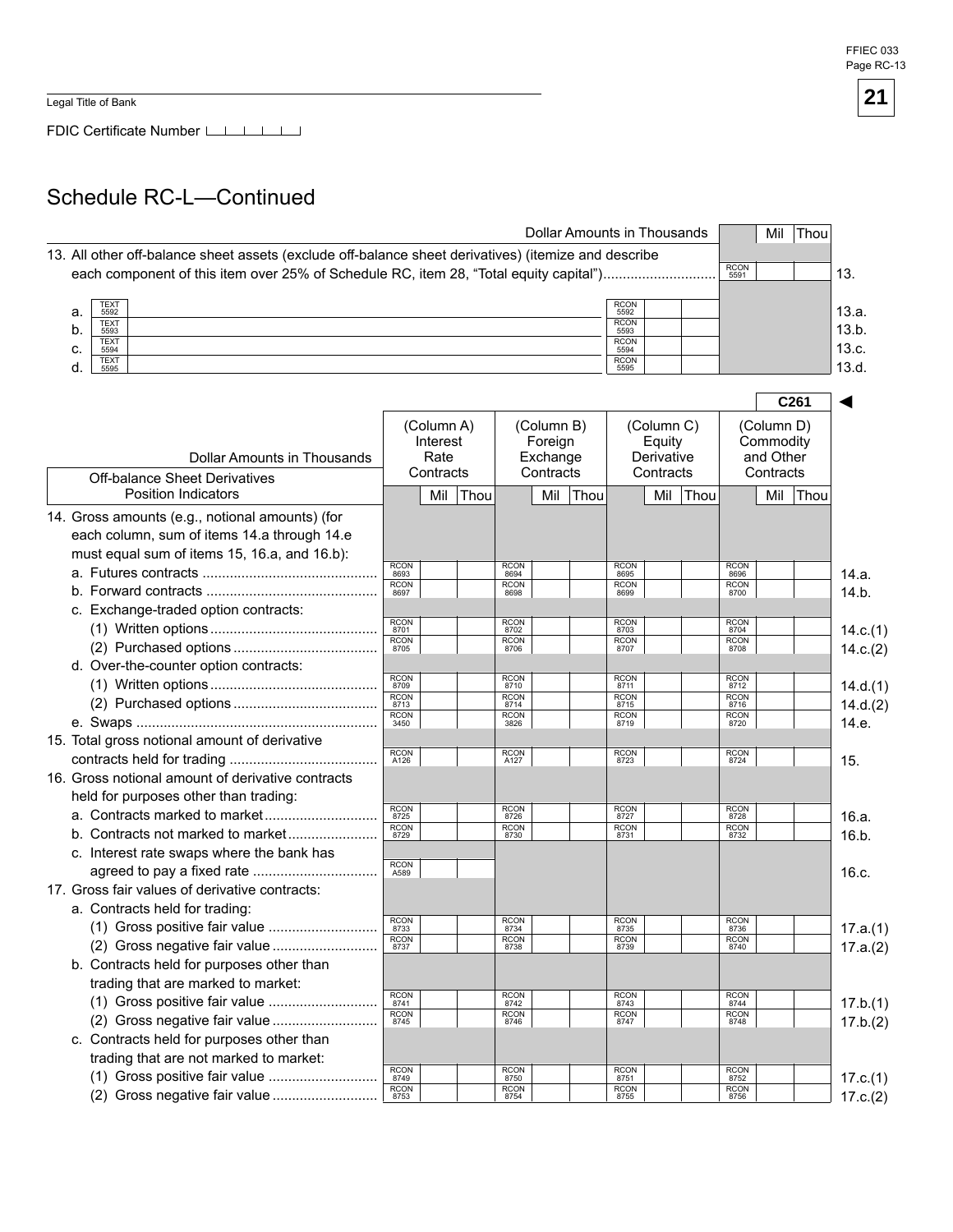Legal Title of Bank

FDIC Certificate Number

# Schedule RC-L—Continued

|                                                                                                      |                             |                  |      |                             |                     | Dollar Amounts in Thousands |                             |                      |      |                     |                        | Mil Thou |          |
|------------------------------------------------------------------------------------------------------|-----------------------------|------------------|------|-----------------------------|---------------------|-----------------------------|-----------------------------|----------------------|------|---------------------|------------------------|----------|----------|
| 13. All other off-balance sheet assets (exclude off-balance sheet derivatives) (itemize and describe |                             |                  |      |                             |                     |                             |                             |                      |      |                     |                        |          |          |
| each component of this item over 25% of Schedule RC, item 28, "Total equity capital")                |                             |                  |      |                             |                     |                             |                             |                      |      | <b>RCON</b><br>5591 |                        |          | 13.      |
|                                                                                                      |                             |                  |      |                             |                     |                             |                             |                      |      |                     |                        |          |          |
| <b>TEXT</b><br>a.<br>5592                                                                            |                             |                  |      |                             |                     |                             | RCON<br>5592                |                      |      |                     |                        |          | 13.a.    |
| <b>TEXT</b><br>b.<br>5593                                                                            |                             |                  |      |                             |                     |                             | RCON<br>5593                |                      |      |                     |                        |          | 13.b.    |
| <b>TEXT</b><br>C.<br>5594                                                                            |                             |                  |      |                             |                     |                             | RCON<br>5594                |                      |      |                     |                        |          | 13.c.    |
| <b>TEXT</b><br>d.<br>5595                                                                            |                             |                  |      |                             |                     |                             | RCON<br>5595                |                      |      |                     |                        |          | 13.d.    |
|                                                                                                      |                             |                  |      |                             |                     |                             |                             |                      |      |                     |                        | C261     |          |
|                                                                                                      |                             |                  |      |                             |                     |                             |                             |                      |      |                     |                        |          |          |
|                                                                                                      |                             | (Column A)       |      |                             | (Column B)          |                             |                             | (Column C)           |      |                     | (Column D)             |          |          |
| <b>Dollar Amounts in Thousands</b>                                                                   |                             | Interest<br>Rate |      |                             | Foreign<br>Exchange |                             |                             | Equity<br>Derivative |      |                     | Commodity<br>and Other |          |          |
|                                                                                                      |                             | Contracts        |      |                             | Contracts           |                             |                             | Contracts            |      |                     | Contracts              |          |          |
| <b>Off-balance Sheet Derivatives</b><br><b>Position Indicators</b>                                   |                             | Mil              |      |                             | Mil                 |                             |                             | Mil                  |      |                     |                        | Mil Thou |          |
|                                                                                                      |                             |                  | Thou |                             |                     | Thou                        |                             |                      | Thou |                     |                        |          |          |
| 14. Gross amounts (e.g., notional amounts) (for                                                      |                             |                  |      |                             |                     |                             |                             |                      |      |                     |                        |          |          |
| each column, sum of items 14.a through 14.e                                                          |                             |                  |      |                             |                     |                             |                             |                      |      |                     |                        |          |          |
| must equal sum of items 15, 16.a, and 16.b):                                                         |                             |                  |      |                             |                     |                             |                             |                      |      |                     |                        |          |          |
|                                                                                                      | RCON<br>8693<br><b>RCON</b> |                  |      | RCON<br>8694<br><b>RCON</b> |                     |                             | RCON<br>8695<br><b>RCON</b> |                      |      | RCON<br>8696        |                        |          | 14.a.    |
|                                                                                                      | 8697                        |                  |      | 8698                        |                     |                             | 8699                        |                      |      | RCON<br>8700        |                        |          | 14.b.    |
| c. Exchange-traded option contracts:                                                                 |                             |                  |      |                             |                     |                             |                             |                      |      |                     |                        |          |          |
|                                                                                                      | RCON<br>8701                |                  |      | RCON<br>8702                |                     |                             | RCON<br>8703                |                      |      | RCON<br>8704        |                        |          | 14.c.(1) |
|                                                                                                      | RCON<br>8705                |                  |      | RCON<br>8706                |                     |                             | RCON<br>8707                |                      |      | RCON<br>8708        |                        |          | 14.c.(2) |
| d. Over-the-counter option contracts:                                                                |                             |                  |      |                             |                     |                             |                             |                      |      |                     |                        |          |          |
|                                                                                                      | RCON<br>8709                |                  |      | RCON<br>8710                |                     |                             | RCON<br>8711                |                      |      | RCON<br>8712        |                        |          | 14.d.(1) |
|                                                                                                      | RCON<br>8713                |                  |      | RCON<br>8714                |                     |                             | RCON<br>8715                |                      |      | RCON<br>8716        |                        |          | 14.d.(2) |
|                                                                                                      | RCON<br>3450                |                  |      | RCON<br>3826                |                     |                             | RCON<br>8719                |                      |      | RCON<br>8720        |                        |          | 14.e.    |
| 15. Total gross notional amount of derivative                                                        |                             |                  |      |                             |                     |                             |                             |                      |      |                     |                        |          |          |
|                                                                                                      | RCON<br>A126                |                  |      | RCON<br>A127                |                     |                             | RCON<br>8723                |                      |      | RCON<br>8724        |                        |          | 15.      |
| 16. Gross notional amount of derivative contracts                                                    |                             |                  |      |                             |                     |                             |                             |                      |      |                     |                        |          |          |
| held for purposes other than trading:                                                                |                             |                  |      |                             |                     |                             |                             |                      |      |                     |                        |          |          |
|                                                                                                      | RCON<br>8725                |                  |      | RCON<br>8726                |                     |                             | RCON<br>8727                |                      |      | RCON<br>8728        |                        |          | 16.a.    |
|                                                                                                      | RCON<br>8729                |                  |      | RCON<br>8730                |                     |                             | RCON<br>8731                |                      |      | RCON<br>8732        |                        |          | 16.b.    |
| c. Interest rate swaps where the bank has                                                            |                             |                  |      |                             |                     |                             |                             |                      |      |                     |                        |          |          |
|                                                                                                      | RCON<br>A589                |                  |      |                             |                     |                             |                             |                      |      |                     |                        |          | 16.c.    |
| 17. Gross fair values of derivative contracts:                                                       |                             |                  |      |                             |                     |                             |                             |                      |      |                     |                        |          |          |
| a. Contracts held for trading:                                                                       |                             |                  |      |                             |                     |                             |                             |                      |      |                     |                        |          |          |
|                                                                                                      | RCON<br>8733                |                  |      | RCON<br>8734                |                     |                             | RCON<br>8735                |                      |      | RCON<br>8736        |                        |          | 17.a.(1) |
|                                                                                                      | RCON<br>8737                |                  |      | RCON<br>8738                |                     |                             | RCON<br>8739                |                      |      | RCON<br>8740        |                        |          | 17.a.(2) |
| b. Contracts held for purposes other than                                                            |                             |                  |      |                             |                     |                             |                             |                      |      |                     |                        |          |          |
| trading that are marked to market:                                                                   |                             |                  |      |                             |                     |                             |                             |                      |      |                     |                        |          |          |
| (1) Gross positive fair value                                                                        | RCON<br>8741                |                  |      | RCON<br>8742                |                     |                             | RCON<br>8743                |                      |      | RCON<br>8744        |                        |          | 17.b.(1) |
| (2) Gross negative fair value                                                                        | RCON<br>8745                |                  |      | RCON<br>8746                |                     |                             | RCON<br>8747                |                      |      | RCON<br>8748        |                        |          | 17.b.(2) |
| c. Contracts held for purposes other than                                                            |                             |                  |      |                             |                     |                             |                             |                      |      |                     |                        |          |          |
| trading that are not marked to market:                                                               |                             |                  |      |                             |                     |                             |                             |                      |      |                     |                        |          |          |
|                                                                                                      | RCON<br>8749                |                  |      | RCON<br>8750                |                     |                             | RCON<br>8751                |                      |      | RCON<br>8752        |                        |          | 17.c.(1) |
| (2) Gross negative fair value                                                                        | RCON<br>8753                |                  |      | RCON<br>8754                |                     |                             | RCON<br>8755                |                      |      | RCON<br>8756        |                        |          | 17.c.(2) |

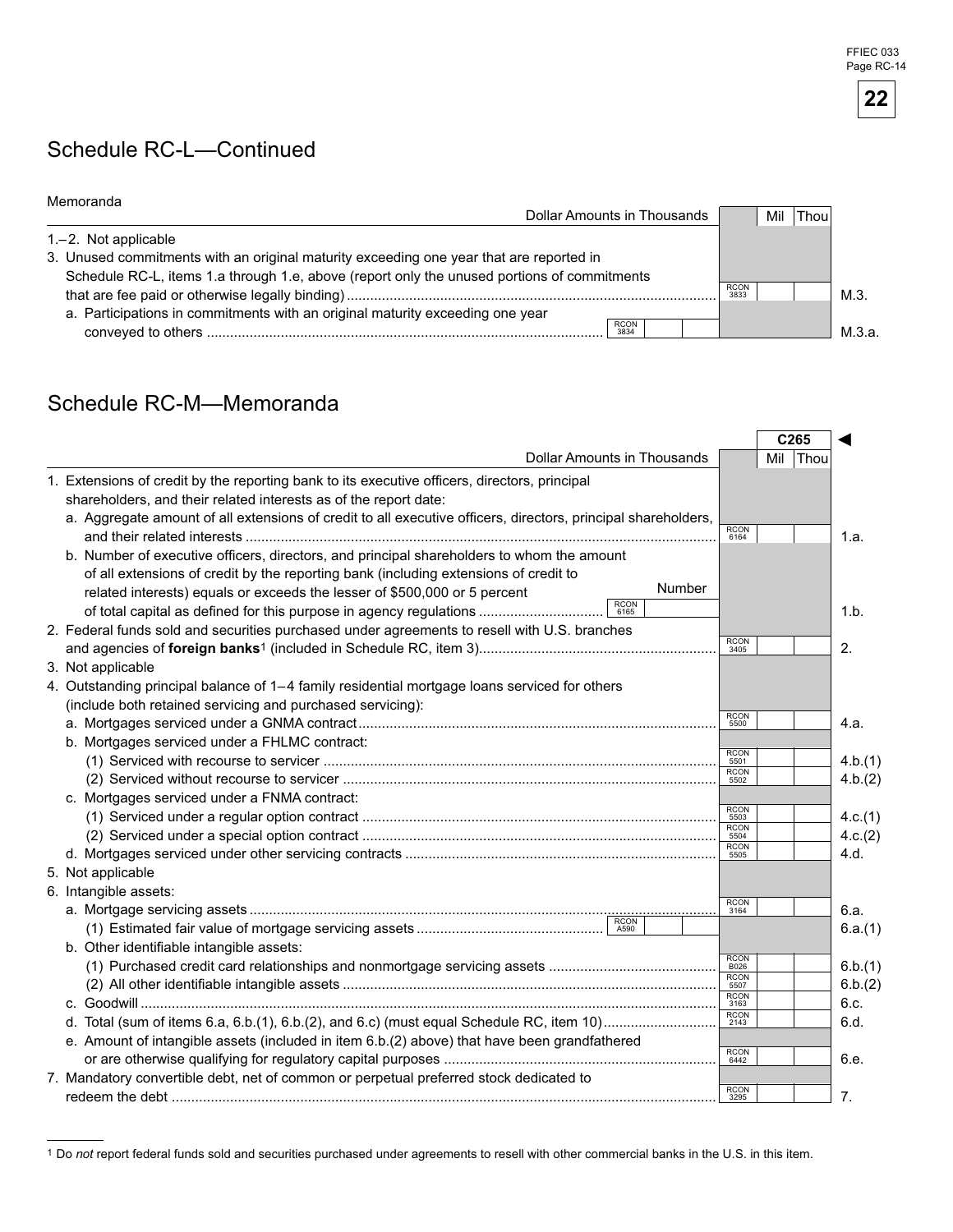### Schedule RC-L—Continued

| <u>ivienioranua</u>                                                                         | Dollar Amounts in Thousands | Mil<br>Thou         |        |
|---------------------------------------------------------------------------------------------|-----------------------------|---------------------|--------|
| $1 - 2$ . Not applicable                                                                    |                             |                     |        |
| 3. Unused commitments with an original maturity exceeding one year that are reported in     |                             |                     |        |
| Schedule RC-L, items 1.a through 1.e, above (report only the unused portions of commitments |                             | <b>RCON</b><br>3833 | M.3    |
| a. Participations in commitments with an original maturity exceeding one year               |                             |                     |        |
|                                                                                             | <b>RCON</b><br>3834         |                     | М.3.а. |

# Schedule RC-M—Memoranda

|                                                                                                               |                     |     | C265 |         |
|---------------------------------------------------------------------------------------------------------------|---------------------|-----|------|---------|
| <b>Dollar Amounts in Thousands</b>                                                                            |                     | Mil | Thou |         |
| 1. Extensions of credit by the reporting bank to its executive officers, directors, principal                 |                     |     |      |         |
| shareholders, and their related interests as of the report date:                                              |                     |     |      |         |
| a. Aggregate amount of all extensions of credit to all executive officers, directors, principal shareholders, |                     |     |      |         |
|                                                                                                               | <b>RCON</b><br>6164 |     |      | 1.a.    |
| b. Number of executive officers, directors, and principal shareholders to whom the amount                     |                     |     |      |         |
| of all extensions of credit by the reporting bank (including extensions of credit to                          |                     |     |      |         |
| Number<br>related interests) equals or exceeds the lesser of \$500,000 or 5 percent                           |                     |     |      |         |
| <b>RCON</b><br>of total capital as defined for this purpose in agency regulations<br>6165                     |                     |     |      | 1.b.    |
| 2. Federal funds sold and securities purchased under agreements to resell with U.S. branches                  |                     |     |      |         |
|                                                                                                               | RCON<br>3405        |     |      | 2.      |
| 3. Not applicable                                                                                             |                     |     |      |         |
| 4. Outstanding principal balance of 1-4 family residential mortgage loans serviced for others                 |                     |     |      |         |
| (include both retained servicing and purchased servicing):                                                    |                     |     |      |         |
|                                                                                                               | <b>RCON</b><br>5500 |     |      | 4.a.    |
| b. Mortgages serviced under a FHLMC contract:                                                                 |                     |     |      |         |
|                                                                                                               | RCON<br>5501        |     |      | 4.b.(1) |
|                                                                                                               | RCON<br>5502        |     |      | 4.b.(2) |
| c. Mortgages serviced under a FNMA contract:                                                                  |                     |     |      |         |
|                                                                                                               | RCON<br>5503        |     |      | 4.c.(1) |
|                                                                                                               | RCON<br>5504        |     |      | 4.c.(2) |
|                                                                                                               | <b>RCON</b><br>5505 |     |      | 4.d.    |
| 5. Not applicable                                                                                             |                     |     |      |         |
| 6. Intangible assets:                                                                                         |                     |     |      |         |
|                                                                                                               | RCON<br>3164        |     |      | 6.a.    |
|                                                                                                               |                     |     |      | 6.a.(1) |
| b. Other identifiable intangible assets:                                                                      |                     |     |      |         |
|                                                                                                               | RCON<br>B026        |     |      | 6.b.(1) |
|                                                                                                               | <b>RCON</b><br>5507 |     |      | 6.b.(2) |
|                                                                                                               | <b>RCON</b><br>3163 |     |      | 6.c.    |
|                                                                                                               | RCON<br>2143        |     |      | 6.d.    |
| e. Amount of intangible assets (included in item 6.b.(2) above) that have been grandfathered                  |                     |     |      |         |
|                                                                                                               | <b>RCON</b><br>6442 |     |      | 6.e.    |
| 7. Mandatory convertible debt, net of common or perpetual preferred stock dedicated to                        |                     |     |      |         |
|                                                                                                               | <b>RCON</b><br>3295 |     |      | 7.      |

<sup>&</sup>lt;sup>1</sup> Do not report federal funds sold and securities purchased under agreements to resell with other commercial banks in the U.S. in this item.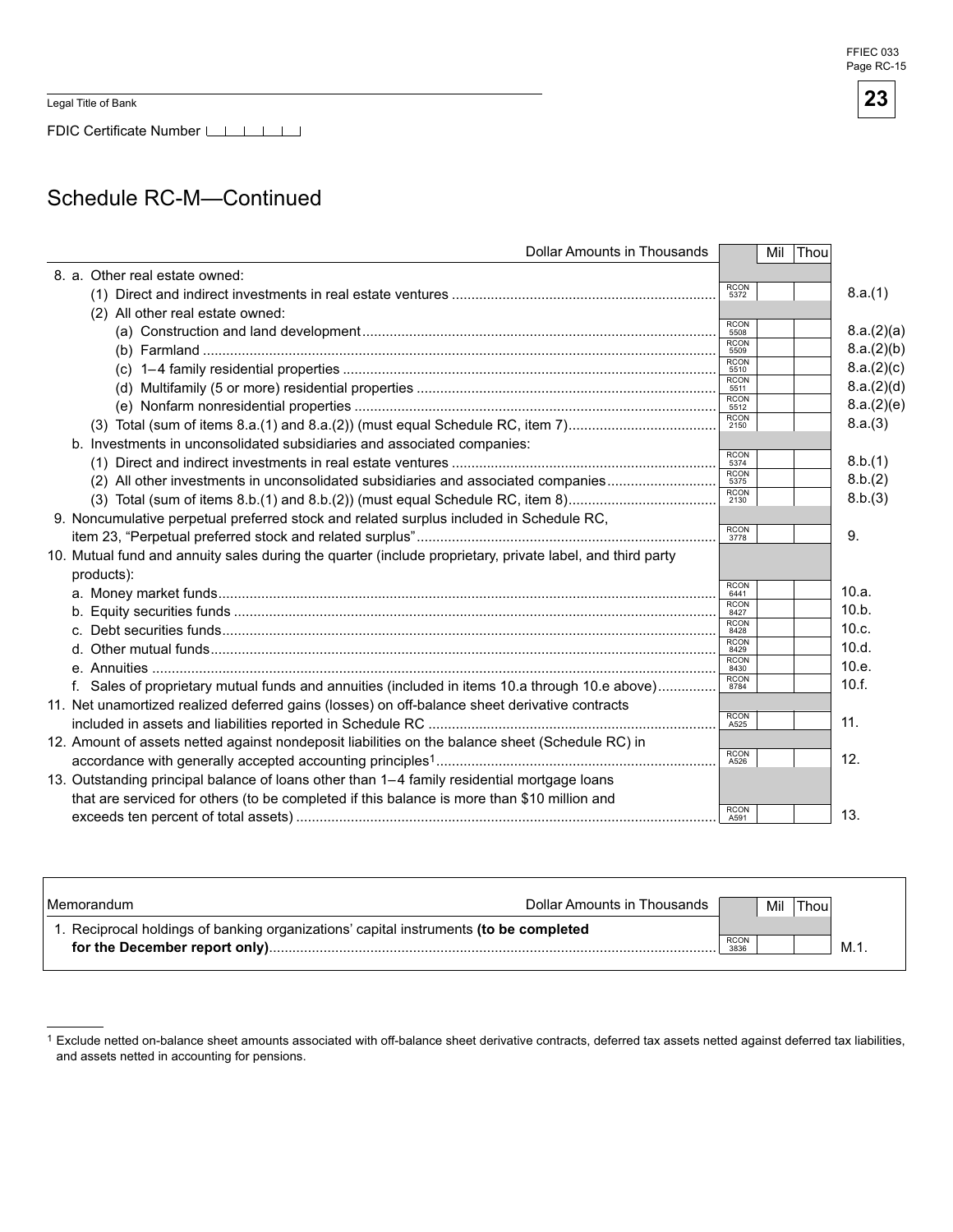Legal Title of Bank

FDIC Certificate Number

### Schedule RC-M—Continued

| <b>Dollar Amounts in Thousands</b>                                                                        | Thou<br>Mil         |            |
|-----------------------------------------------------------------------------------------------------------|---------------------|------------|
| 8. a. Other real estate owned:                                                                            |                     |            |
|                                                                                                           | <b>RCON</b><br>5372 | 8.a.(1)    |
| (2) All other real estate owned:                                                                          |                     |            |
|                                                                                                           | <b>RCON</b><br>5508 | 8.a.(2)(a) |
|                                                                                                           | <b>RCON</b><br>5509 | 8.a.(2)(b) |
|                                                                                                           | <b>RCON</b><br>5510 | 8.a.(2)(c) |
|                                                                                                           | <b>RCON</b><br>5511 | 8.a.(2)(d) |
|                                                                                                           | <b>RCON</b><br>5512 | 8.a.(2)(e) |
| (3) Total (sum of items 8.a.(1) and 8.a.(2)) (must equal Schedule RC, item 7)                             | <b>RCON</b><br>2150 | 8.a.(3)    |
| b. Investments in unconsolidated subsidiaries and associated companies:                                   |                     |            |
|                                                                                                           | <b>RCON</b><br>5374 | 8.b.(1)    |
| (2) All other investments in unconsolidated subsidiaries and associated companies                         | <b>RCON</b><br>5375 | 8.b.(2)    |
|                                                                                                           | <b>RCON</b><br>2130 | 8.b.(3)    |
| 9. Noncumulative perpetual preferred stock and related surplus included in Schedule RC,                   |                     |            |
|                                                                                                           | <b>RCON</b><br>3778 | 9.         |
| 10. Mutual fund and annuity sales during the quarter (include proprietary, private label, and third party |                     |            |
| products):                                                                                                |                     |            |
|                                                                                                           | <b>RCON</b><br>6441 | 10.a.      |
|                                                                                                           | <b>RCON</b><br>8427 | 10.b.      |
|                                                                                                           | <b>RCON</b><br>8428 | 10.c.      |
|                                                                                                           | <b>RCON</b><br>8429 | 10.d.      |
|                                                                                                           | <b>RCON</b><br>8430 | 10.e.      |
| f. Sales of proprietary mutual funds and annuities (included in items 10.a through 10.e above)            | <b>RCON</b><br>8784 | 10.f.      |
| 11. Net unamortized realized deferred gains (losses) on off-balance sheet derivative contracts            |                     |            |
|                                                                                                           | <b>RCON</b><br>A525 | 11.        |
| 12. Amount of assets netted against nondeposit liabilities on the balance sheet (Schedule RC) in          |                     |            |
|                                                                                                           | <b>RCON</b><br>A526 | 12.        |
| 13. Outstanding principal balance of loans other than 1-4 family residential mortgage loans               |                     |            |
| that are serviced for others (to be completed if this balance is more than \$10 million and               |                     |            |
|                                                                                                           | <b>RCON</b>         | 13.        |
|                                                                                                           | A591                |            |

| l Memorandum                                                                          | Dollar Amounts in Thousands |              | Mil | Thoul |     |
|---------------------------------------------------------------------------------------|-----------------------------|--------------|-----|-------|-----|
| 1. Reciprocal holdings of banking organizations' capital instruments (to be completed |                             |              |     |       |     |
|                                                                                       |                             | RCON<br>3836 |     |       | M.1 |
|                                                                                       |                             |              |     |       |     |

Exclude netted on-balance sheet amounts associated with off-balance sheet derivative contracts, deferred tax assets netted against deferred tax liabilities, and assets netted in accounting for pensions.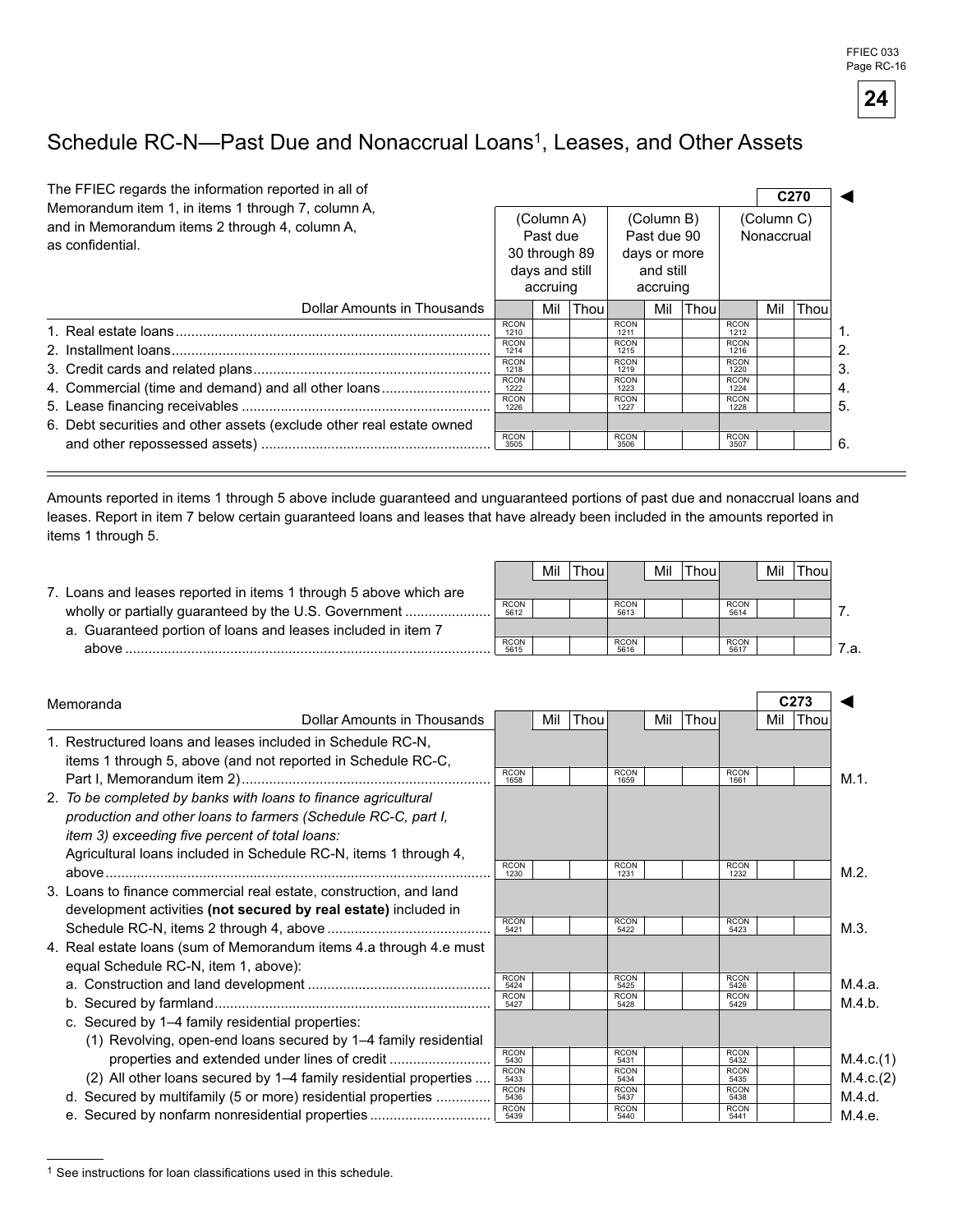FFIEC 033 Page RC-16



# Schedule RC-N--Past Due and Nonaccrual Loans<sup>1</sup>, Leases, and Other Assets

| The FFIEC regards the information reported in all of<br>Memorandum item 1, in items 1 through 7, column A,<br>and in Memorandum items 2 through 4, column A,<br>as confidential. |                                                                                                                                        | (Column A)<br>Past due<br>30 through 89<br>days and still<br>accruing |      |                                                                                                                                        | (Column B)<br>Past due 90<br>days or more<br>and still<br>accruing |       |                                                                                                                                        | C <sub>270</sub><br>(Column C)<br>Nonaccrual |      |
|----------------------------------------------------------------------------------------------------------------------------------------------------------------------------------|----------------------------------------------------------------------------------------------------------------------------------------|-----------------------------------------------------------------------|------|----------------------------------------------------------------------------------------------------------------------------------------|--------------------------------------------------------------------|-------|----------------------------------------------------------------------------------------------------------------------------------------|----------------------------------------------|------|
| Dollar Amounts in Thousands                                                                                                                                                      |                                                                                                                                        | Mil                                                                   | Thou |                                                                                                                                        | Mil                                                                | Thoul |                                                                                                                                        | Mil                                          | Thou |
| 4. Commercial (time and demand) and all other loans<br>6. Debt securities and other assets (exclude other real estate owned                                                      | <b>RCON</b><br>1210<br><b>RCON</b><br>1214<br><b>RCON</b><br>1218<br><b>RCON</b><br>1222<br><b>RCON</b><br>1226<br><b>RCON</b><br>3505 |                                                                       |      | <b>RCON</b><br>1211<br><b>RCON</b><br>1215<br><b>RCON</b><br>1219<br><b>RCON</b><br>1223<br><b>RCON</b><br>1227<br><b>RCON</b><br>3506 |                                                                    |       | <b>RCON</b><br>1212<br><b>RCON</b><br>1216<br><b>RCON</b><br>1220<br><b>RCON</b><br>1224<br><b>RCON</b><br>1228<br><b>RCON</b><br>3507 |                                              |      |

Amounts reported in items 1 through 5 above include guaranteed and unguaranteed portions of past due and nonaccrual loans and leases. Report in item 7 below certain guaranteed loans and leases that have already been included in the amounts reported in items 1 through 5.

|                                                                  |                     | Mil | 'Thou⊾ |                     | Mil | 'Thoul |                     | Mil | 'Thou. |  |
|------------------------------------------------------------------|---------------------|-----|--------|---------------------|-----|--------|---------------------|-----|--------|--|
| . Loans and leases reported in items 1 through 5 above which are |                     |     |        |                     |     |        |                     |     |        |  |
| wholly or partially guaranteed by the U.S. Government            | <b>RCON</b><br>5612 |     |        | <b>RCON</b><br>5613 |     |        | <b>RCON</b><br>5614 |     |        |  |
| a. Guaranteed portion of loans and leases included in item 7     |                     |     |        |                     |     |        |                     |     |        |  |
| ahove                                                            | <b>RCON</b><br>5615 |     |        | <b>RCON</b><br>5616 |     |        | <b>RCON</b><br>5617 |     |        |  |

| Memoranda                                                          |                     |     |      |                     |     |      |                     |     | C <sub>273</sub> |           |
|--------------------------------------------------------------------|---------------------|-----|------|---------------------|-----|------|---------------------|-----|------------------|-----------|
| <b>Dollar Amounts in Thousands</b>                                 |                     | Mil | Thou |                     | Mil | Thou |                     | Mil | Thou             |           |
| 1. Restructured loans and leases included in Schedule RC-N,        |                     |     |      |                     |     |      |                     |     |                  |           |
| items 1 through 5, above (and not reported in Schedule RC-C,       |                     |     |      |                     |     |      |                     |     |                  |           |
|                                                                    | <b>RCON</b><br>1658 |     |      | <b>RCON</b><br>1659 |     |      | <b>RCON</b><br>1661 |     |                  | M.1.      |
| 2. To be completed by banks with loans to finance agricultural     |                     |     |      |                     |     |      |                     |     |                  |           |
| production and other loans to farmers (Schedule RC-C, part I,      |                     |     |      |                     |     |      |                     |     |                  |           |
| <i>item 3) exceeding five percent of total loans:</i>              |                     |     |      |                     |     |      |                     |     |                  |           |
| Agricultural loans included in Schedule RC-N, items 1 through 4,   |                     |     |      |                     |     |      |                     |     |                  |           |
|                                                                    | <b>RCON</b><br>1230 |     |      | <b>RCON</b><br>1231 |     |      | <b>RCON</b><br>1232 |     |                  | $M.2$ .   |
| 3. Loans to finance commercial real estate, construction, and land |                     |     |      |                     |     |      |                     |     |                  |           |
| development activities (not secured by real estate) included in    |                     |     |      |                     |     |      |                     |     |                  |           |
|                                                                    | <b>RCON</b><br>5421 |     |      | <b>RCON</b><br>5422 |     |      | <b>RCON</b><br>5423 |     |                  | M.3.      |
| 4. Real estate loans (sum of Memorandum items 4.a through 4.e must |                     |     |      |                     |     |      |                     |     |                  |           |
| equal Schedule RC-N, item 1, above):                               |                     |     |      |                     |     |      |                     |     |                  |           |
|                                                                    | <b>RCON</b><br>5424 |     |      | <b>RCON</b><br>5425 |     |      | <b>RCON</b><br>5426 |     |                  | M.4.a.    |
|                                                                    | <b>RCON</b><br>5427 |     |      | <b>RCON</b><br>5428 |     |      | <b>RCON</b><br>5429 |     |                  | M.4.b.    |
| c. Secured by 1-4 family residential properties:                   |                     |     |      |                     |     |      |                     |     |                  |           |
| (1) Revolving, open-end loans secured by 1–4 family residential    |                     |     |      |                     |     |      |                     |     |                  |           |
|                                                                    | <b>RCON</b><br>5430 |     |      | <b>RCON</b><br>5431 |     |      | <b>RCON</b><br>5432 |     |                  | M.4.c.(1) |
| (2) All other loans secured by 1–4 family residential properties   | <b>RCON</b><br>5433 |     |      | <b>RCON</b><br>5434 |     |      | <b>RCON</b><br>5435 |     |                  | M.4.c.(2) |
| d. Secured by multifamily (5 or more) residential properties       | <b>RCON</b><br>5436 |     |      | <b>RCON</b><br>5437 |     |      | <b>RCON</b><br>5438 |     |                  | M.4.d.    |
| e. Secured by nonfarm nonresidential properties                    | <b>RCON</b><br>5439 |     |      | <b>RCON</b><br>5440 |     |      | <b>RCON</b><br>5441 |     |                  | M.4.e.    |

 $1$  See instructions for loan classifications used in this schedule.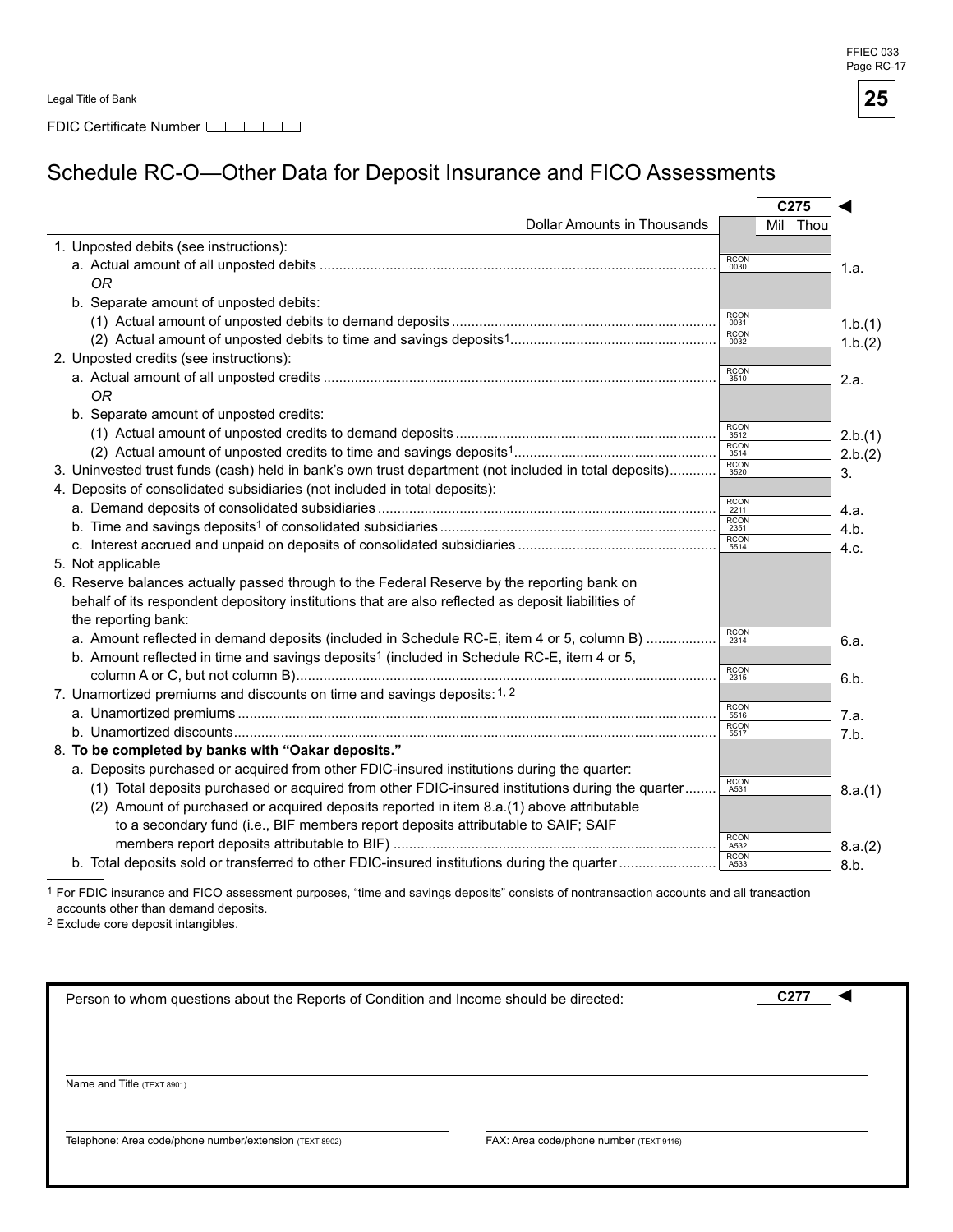FFIEC 033 Page RC-17

| Legal Title of Bank |  |  |  |
|---------------------|--|--|--|
|---------------------|--|--|--|

FDIC Certificate Number LILILI

# Schedule RC-O—Other Data for Deposit Insurance and FICO Assessments

|                                                                                                        |                     |     | C275 |         |
|--------------------------------------------------------------------------------------------------------|---------------------|-----|------|---------|
| <b>Dollar Amounts in Thousands</b>                                                                     |                     | Mil | Thou |         |
| 1. Unposted debits (see instructions):                                                                 |                     |     |      |         |
|                                                                                                        | <b>RCON</b><br>0030 |     |      | 1.a.    |
| ΟR                                                                                                     |                     |     |      |         |
| b. Separate amount of unposted debits:                                                                 |                     |     |      |         |
|                                                                                                        | <b>RCON</b><br>0031 |     |      | 1.b.(1) |
|                                                                                                        | <b>RCON</b><br>0032 |     |      | 1.b.(2) |
| 2. Unposted credits (see instructions):                                                                |                     |     |      |         |
|                                                                                                        | <b>RCON</b><br>3510 |     |      | 2.a.    |
| <b>OR</b>                                                                                              |                     |     |      |         |
| b. Separate amount of unposted credits:                                                                |                     |     |      |         |
|                                                                                                        | <b>RCON</b><br>3512 |     |      | 2.b.(1) |
|                                                                                                        | <b>RCON</b><br>3514 |     |      | 2.b.(2) |
| 3. Uninvested trust funds (cash) held in bank's own trust department (not included in total deposits)  | <b>RCON</b><br>3520 |     |      | 3.      |
| 4. Deposits of consolidated subsidiaries (not included in total deposits):                             |                     |     |      |         |
|                                                                                                        | <b>RCON</b><br>2211 |     |      | 4.a.    |
|                                                                                                        | <b>RCON</b><br>2351 |     |      | 4.b.    |
|                                                                                                        | <b>RCON</b><br>5514 |     |      | 4.c.    |
| 5. Not applicable                                                                                      |                     |     |      |         |
| 6. Reserve balances actually passed through to the Federal Reserve by the reporting bank on            |                     |     |      |         |
| behalf of its respondent depository institutions that are also reflected as deposit liabilities of     |                     |     |      |         |
| the reporting bank:                                                                                    |                     |     |      |         |
| a. Amount reflected in demand deposits (included in Schedule RC-E, item 4 or 5, column B)              | <b>RCON</b><br>2314 |     |      | 6.a.    |
| b. Amount reflected in time and savings deposits <sup>1</sup> (included in Schedule RC-E, item 4 or 5, |                     |     |      |         |
|                                                                                                        | <b>RCON</b><br>2315 |     |      | 6.b.    |
| 7. Unamortized premiums and discounts on time and savings deposits: 1, 2                               |                     |     |      |         |
|                                                                                                        | <b>RCON</b><br>5516 |     |      | 7.a.    |
|                                                                                                        | <b>RCON</b><br>5517 |     |      | 7.b.    |
| 8. To be completed by banks with "Oakar deposits."                                                     |                     |     |      |         |
| a. Deposits purchased or acquired from other FDIC-insured institutions during the quarter:             |                     |     |      |         |
| (1) Total deposits purchased or acquired from other FDIC-insured institutions during the quarter       | <b>RCON</b><br>A531 |     |      | 8.a.(1) |
| (2) Amount of purchased or acquired deposits reported in item 8.a.(1) above attributable               |                     |     |      |         |
| to a secondary fund (i.e., BIF members report deposits attributable to SAIF; SAIF                      |                     |     |      |         |
|                                                                                                        | <b>RCON</b><br>A532 |     |      | 8.a.(2) |
| b. Total deposits sold or transferred to other FDIC-insured institutions during the quarter            | <b>RCON</b><br>A533 |     |      | 8.b.    |

1 For FDIC insurance and FICO assessment purposes, "time and savings deposits" consists of nontransaction accounts and all transaction accounts other than demand deposits.

2 Exclude core deposit intangibles.

| Person to whom questions about the Reports of Condition and Income should be directed: |  |  |  |  |  |
|----------------------------------------------------------------------------------------|--|--|--|--|--|
|                                                                                        |  |  |  |  |  |
|                                                                                        |  |  |  |  |  |
|                                                                                        |  |  |  |  |  |
|                                                                                        |  |  |  |  |  |
| FAX: Area code/phone number (TEXT 9116)                                                |  |  |  |  |  |
|                                                                                        |  |  |  |  |  |

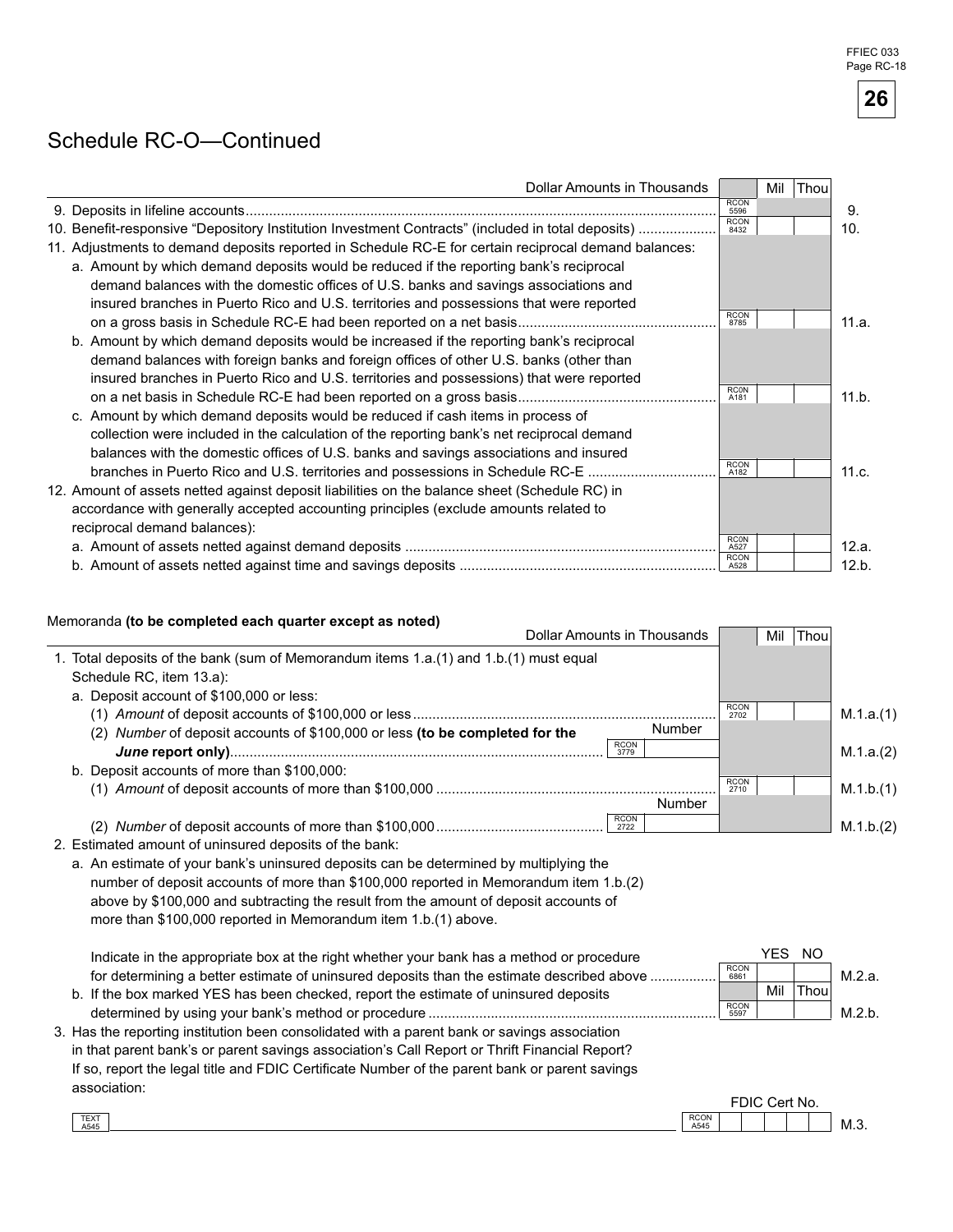#### Schedule RC-O—Continued

| Dollar Amounts in Thousands                                                                          | Mil                 | Thou |       |
|------------------------------------------------------------------------------------------------------|---------------------|------|-------|
|                                                                                                      | <b>RCON</b><br>5596 |      | 9.    |
| 10. Benefit-responsive "Depository Institution Investment Contracts" (included in total deposits)    | <b>RCON</b><br>8432 |      | 10.   |
| 11. Adjustments to demand deposits reported in Schedule RC-E for certain reciprocal demand balances: |                     |      |       |
| a. Amount by which demand deposits would be reduced if the reporting bank's reciprocal               |                     |      |       |
| demand balances with the domestic offices of U.S. banks and savings associations and                 |                     |      |       |
| insured branches in Puerto Rico and U.S. territories and possessions that were reported              |                     |      |       |
|                                                                                                      | <b>RCON</b><br>8785 |      | 11.a. |
| b. Amount by which demand deposits would be increased if the reporting bank's reciprocal             |                     |      |       |
| demand balances with foreign banks and foreign offices of other U.S. banks (other than               |                     |      |       |
| insured branches in Puerto Rico and U.S. territories and possessions) that were reported             |                     |      |       |
|                                                                                                      | <b>RCON</b><br>A181 |      | 11.b. |
| c. Amount by which demand deposits would be reduced if cash items in process of                      |                     |      |       |
| collection were included in the calculation of the reporting bank's net reciprocal demand            |                     |      |       |
| balances with the domestic offices of U.S. banks and savings associations and insured                |                     |      |       |
| branches in Puerto Rico and U.S. territories and possessions in Schedule RC-E                        | <b>RCON</b><br>A182 |      | 11.c. |
| 12. Amount of assets netted against deposit liabilities on the balance sheet (Schedule RC) in        |                     |      |       |
| accordance with generally accepted accounting principles (exclude amounts related to                 |                     |      |       |
| reciprocal demand balances):                                                                         |                     |      |       |
|                                                                                                      | <b>RC0N</b><br>A527 |      | 12.a. |
|                                                                                                      | <b>RCON</b><br>A528 |      | 12.b. |

#### Memoranda (to be completed each quarter except as noted)

| <b>Dollar Amounts in Thousands</b>                                                             | Mil<br>Thou                |           |
|------------------------------------------------------------------------------------------------|----------------------------|-----------|
| 1. Total deposits of the bank (sum of Memorandum items 1.a.(1) and 1.b.(1) must equal          |                            |           |
| Schedule RC, item 13.a):                                                                       |                            |           |
| a. Deposit account of \$100,000 or less:                                                       |                            |           |
|                                                                                                | <b>RCON</b><br>2702        | M.1.a.(1) |
| Number<br>Number of deposit accounts of \$100,000 or less (to be completed for the<br>(2)      |                            |           |
| <b>RCON</b><br>3779                                                                            |                            | M.1.a.(2) |
| b. Deposit accounts of more than \$100,000:                                                    |                            |           |
|                                                                                                | <b>RCON</b><br>2710        | M.1.b.(1) |
| Number                                                                                         |                            |           |
| <b>RCON</b><br>2722                                                                            |                            | M.1.b.(2) |
| 2. Estimated amount of uninsured deposits of the bank:                                         |                            |           |
| a. An estimate of your bank's uninsured deposits can be determined by multiplying the          |                            |           |
| number of deposit accounts of more than \$100,000 reported in Memorandum item 1.b.(2)          |                            |           |
| above by \$100,000 and subtracting the result from the amount of deposit accounts of           |                            |           |
| more than \$100,000 reported in Memorandum item 1.b.(1) above.                                 |                            |           |
|                                                                                                |                            |           |
| Indicate in the appropriate box at the right whether your bank has a method or procedure       | YES NO<br><b>RCON</b>      |           |
| for determining a better estimate of uninsured deposits than the estimate described above      | 6861                       | M.2.a.    |
| b. If the box marked YES has been checked, report the estimate of uninsured deposits           | Thou<br>Mil<br><b>RCON</b> |           |
|                                                                                                | 5597                       | M.2.b.    |
| 3. Has the reporting institution been consolidated with a parent bank or savings association   |                            |           |
| in that parent bank's or parent savings association's Call Report or Thrift Financial Report?  |                            |           |
| If so, report the legal title and FDIC Certificate Number of the parent bank or parent savings |                            |           |
| association:                                                                                   |                            |           |
| <b>RCON</b>                                                                                    | FDIC Cert No.              |           |
| TEXT<br>A545<br>A545                                                                           |                            | M.3.      |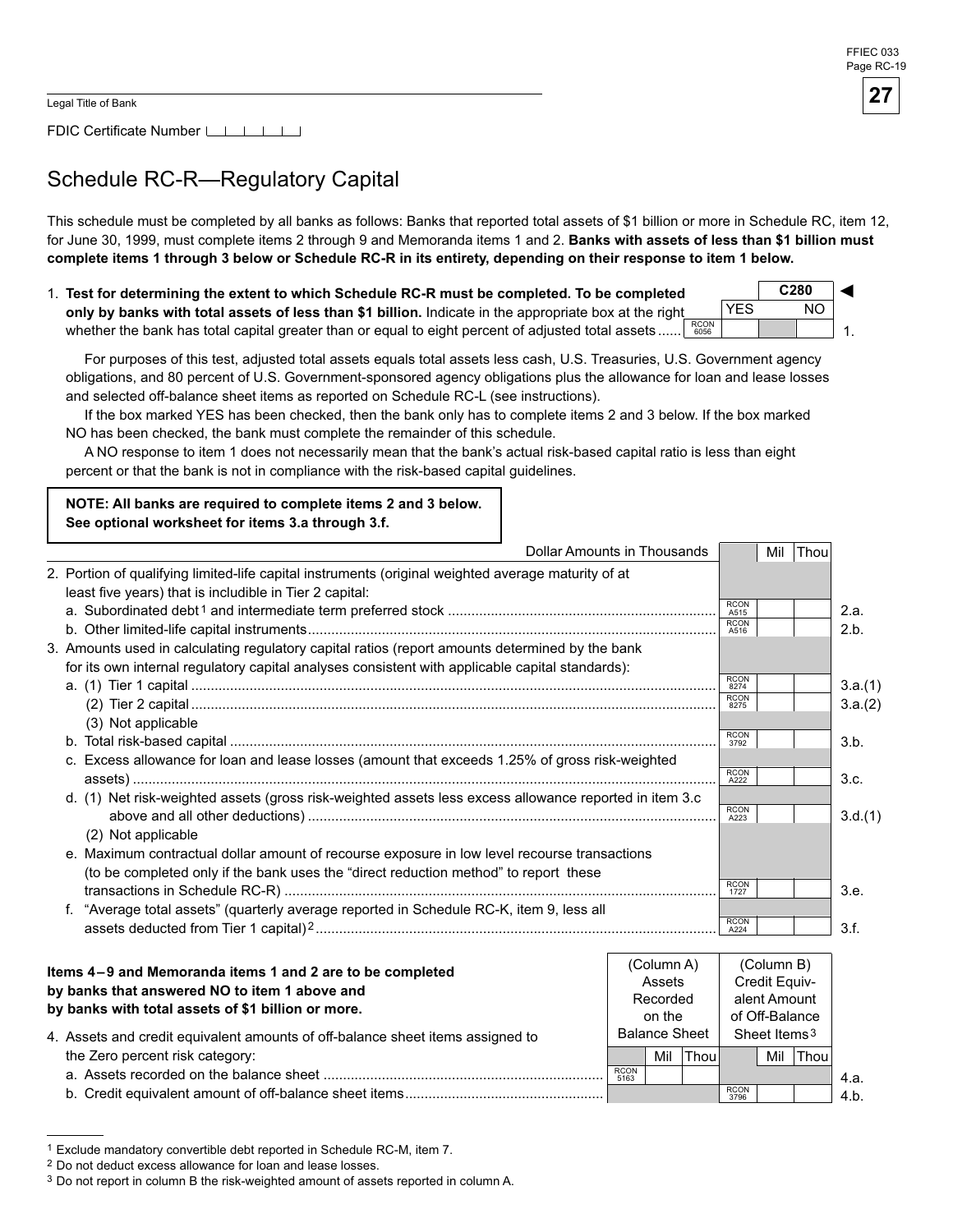1.

FDIC Certificate Number [16]

# Schedule RC-R—Regulatory Capital

This schedule must be completed by all banks as follows: Banks that reported total assets of \$1 billion or more in Schedule RC, item 12, for June 30, 1999, must complete items 2 through 9 and Memoranda items 1 and 2. Banks with assets of less than \$1 billion must complete items 1 through 3 below or Schedule RC-R in its entirety, depending on their response to item 1 below.

1. Test for determining the extent to which Schedule RC-R must be completed. To be completed **only by banks with total assets of less than \$1 billion.** Indicate in the appropriate box at the right whether the bank has total capital greater than or equal to eight percent of adjusted total assets ......  $\left.\begin{array}{l} \text{RCON} \ \text{6056} \end{array}\right.$ **C280** ◄ YES NO

For purposes of this test, adjusted total assets equals total assets less cash, U.S. Treasuries, U.S. Government agency obligations, and 80 percent of U.S. Government-sponsored agency obligations plus the allowance for loan and lease losses and selected off-balance sheet items as reported on Schedule RC-L (see instructions).

If the box marked YES has been checked, then the bank only has to complete items 2 and 3 below. If the box marked NO has been checked, the bank must complete the remainder of this schedule.

A NO response to item 1 does not necessarily mean that the bank's actual risk-based capital ratio is less than eight percent or that the bank is not in compliance with the risk-based capital guidelines.

**NOTE: All banks are required to complete items 2 and 3 below.** See optional worksheet for items 3.a through 3.f.

| <b>Dollar Amounts in Thousands</b>                                                                                                                             |                     | Mil | Thou |         |
|----------------------------------------------------------------------------------------------------------------------------------------------------------------|---------------------|-----|------|---------|
| 2. Portion of qualifying limited-life capital instruments (original weighted average maturity of at<br>least five years) that is includible in Tier 2 capital: |                     |     |      |         |
|                                                                                                                                                                | <b>RCON</b><br>A515 |     |      | 2.a.    |
|                                                                                                                                                                | <b>RCON</b><br>A516 |     |      | 2.b.    |
| 3. Amounts used in calculating regulatory capital ratios (report amounts determined by the bank                                                                |                     |     |      |         |
| for its own internal regulatory capital analyses consistent with applicable capital standards):                                                                |                     |     |      |         |
|                                                                                                                                                                | <b>RCON</b><br>8274 |     |      | 3.a.(1) |
|                                                                                                                                                                | <b>RCON</b><br>8275 |     |      | 3.a.(2) |
| (3) Not applicable                                                                                                                                             |                     |     |      |         |
|                                                                                                                                                                | <b>RCON</b><br>3792 |     |      | 3.b.    |
| c. Excess allowance for loan and lease losses (amount that exceeds 1.25% of gross risk-weighted                                                                |                     |     |      |         |
|                                                                                                                                                                | <b>RCON</b><br>A222 |     |      | 3.c.    |
| d. (1) Net risk-weighted assets (gross risk-weighted assets less excess allowance reported in item 3.c                                                         |                     |     |      |         |
|                                                                                                                                                                | <b>RCON</b><br>A223 |     |      | 3.d.(1) |
| (2) Not applicable                                                                                                                                             |                     |     |      |         |
| e. Maximum contractual dollar amount of recourse exposure in low level recourse transactions                                                                   |                     |     |      |         |
| (to be completed only if the bank uses the "direct reduction method" to report these                                                                           |                     |     |      |         |
|                                                                                                                                                                | <b>RCON</b><br>1727 |     |      | 3.e.    |
| "Average total assets" (quarterly average reported in Schedule RC-K, item 9, less all<br>f.                                                                    |                     |     |      |         |
|                                                                                                                                                                | <b>RCON</b><br>A224 |     |      | 3.f.    |
|                                                                                                                                                                |                     |     |      |         |

| Items 4-9 and Memoranda items 1 and 2 are to be completed<br>by banks that answered NO to item 1 above and<br>by banks with total assets of \$1 billion or more.<br>4. Assets and credit equivalent amounts of off-balance sheet items assigned to |                     | (Column A)<br>Assets<br>Recorded<br>on the<br><b>Balance Sheet</b> |       |                     | (Column B)<br>Credit Equiv-<br>alent Amount<br>of Off-Balance<br>Sheet Items <sup>3</sup> |      |      |
|----------------------------------------------------------------------------------------------------------------------------------------------------------------------------------------------------------------------------------------------------|---------------------|--------------------------------------------------------------------|-------|---------------------|-------------------------------------------------------------------------------------------|------|------|
| the Zero percent risk category:                                                                                                                                                                                                                    |                     | Mil                                                                | Thoul |                     | Mil                                                                                       | Thou |      |
|                                                                                                                                                                                                                                                    | <b>RCON</b><br>5163 |                                                                    |       |                     |                                                                                           |      | 4.a. |
|                                                                                                                                                                                                                                                    |                     |                                                                    |       | <b>RCON</b><br>3796 |                                                                                           |      | 4.b. |

<sup>1</sup> Exclude mandatory convertible debt reported in Schedule RC-M, item 7.

<sup>2</sup> Do not deduct excess allowance for loan and lease losses.

<sup>&</sup>lt;sup>3</sup> Do not report in column B the risk-weighted amount of assets reported in column A.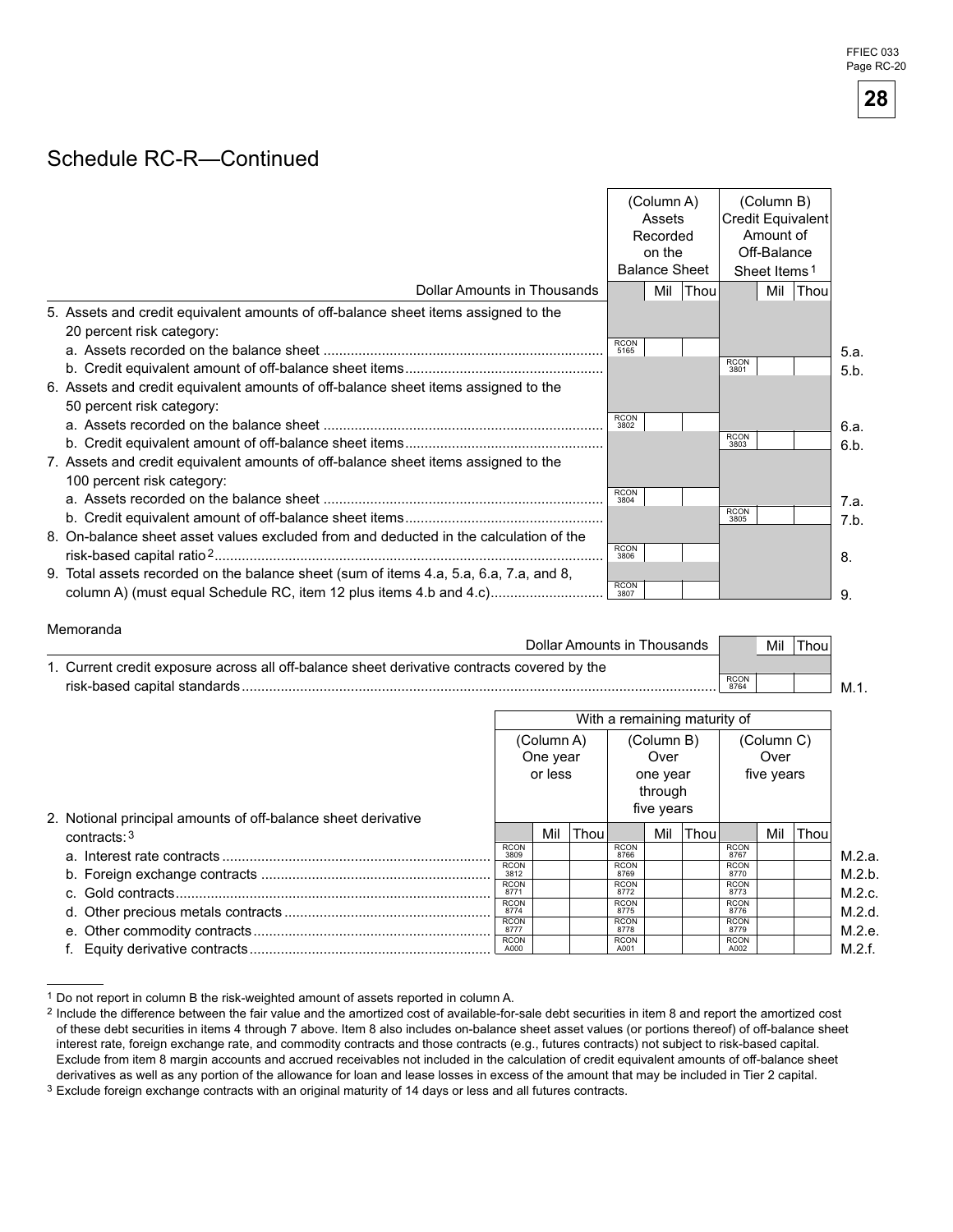#### Schedule RC-R—Continued

|                                                                                                                                                              | (Column A)<br><b>Credit Equivalent</b><br>Assets<br>Recorded<br>on the<br><b>Balance Sheet</b><br>Sheet Items <sup>1</sup> |     |             | (Column B)<br>Amount of<br>Off-Balance |     |      |      |
|--------------------------------------------------------------------------------------------------------------------------------------------------------------|----------------------------------------------------------------------------------------------------------------------------|-----|-------------|----------------------------------------|-----|------|------|
| Dollar Amounts in Thousands                                                                                                                                  |                                                                                                                            | Mil | <b>Thou</b> |                                        | Mil | Thou |      |
| 5. Assets and credit equivalent amounts of off-balance sheet items assigned to the<br>20 percent risk category:                                              |                                                                                                                            |     |             |                                        |     |      |      |
|                                                                                                                                                              | <b>RCON</b><br>5165                                                                                                        |     |             |                                        |     |      | 5.a. |
|                                                                                                                                                              |                                                                                                                            |     |             | <b>RCON</b><br>3801                    |     |      | 5.b. |
| 6. Assets and credit equivalent amounts of off-balance sheet items assigned to the<br>50 percent risk category:                                              | <b>RCON</b>                                                                                                                |     |             |                                        |     |      |      |
|                                                                                                                                                              | 3802                                                                                                                       |     |             |                                        |     |      | 6.a. |
|                                                                                                                                                              |                                                                                                                            |     |             | <b>RCON</b><br>3803                    |     |      | 6.b. |
| 7. Assets and credit equivalent amounts of off-balance sheet items assigned to the<br>100 percent risk category:                                             |                                                                                                                            |     |             |                                        |     |      |      |
|                                                                                                                                                              | <b>RCON</b><br>3804                                                                                                        |     |             |                                        |     |      | 7.a. |
|                                                                                                                                                              |                                                                                                                            |     |             | <b>RCON</b><br>3805                    |     |      | 7.b. |
| 8. On-balance sheet asset values excluded from and deducted in the calculation of the                                                                        | <b>RCON</b><br>3806                                                                                                        |     |             |                                        |     |      | 8.   |
| 9. Total assets recorded on the balance sheet (sum of items 4.a, 5.a, 6.a, 7.a, and 8,<br>column A) (must equal Schedule RC, item 12 plus items 4.b and 4.c) | <b>RCON</b><br>3807                                                                                                        |     |             |                                        |     |      | 9.   |

#### Memoranda Dollar Amounts in Thousands 1. Current credit exposure across all off-balance sheet derivative contracts covered by the risk-based capital standards.......................................................................................................................... RCON  $M.1.$ Mil Thou

|                                                                                 | With a remaining maturity of      |     |      |                                           |                   |      |                                  |     |             |        |
|---------------------------------------------------------------------------------|-----------------------------------|-----|------|-------------------------------------------|-------------------|------|----------------------------------|-----|-------------|--------|
|                                                                                 | (Column A)<br>One year<br>or less |     |      | (Column B)<br>Over<br>one year<br>through |                   |      | (Column C)<br>Over<br>five years |     |             |        |
| 2. Notional principal amounts of off-balance sheet derivative<br>contracts: $3$ |                                   | Mil | Thou |                                           | five years<br>Mil | Thou |                                  | Mil | <b>Thou</b> |        |
|                                                                                 | <b>RCON</b><br>3809               |     |      | <b>RCON</b><br>8766                       |                   |      | <b>RCON</b><br>8767              |     |             | M.2.a. |
|                                                                                 | <b>RCON</b><br>3812               |     |      | <b>RCON</b><br>8769                       |                   |      | <b>RCON</b><br>8770              |     |             | M.2.b. |
|                                                                                 | <b>RCON</b><br>8771               |     |      | <b>RCON</b><br>8772                       |                   |      | <b>RCON</b><br>8773              |     |             | M.2.c. |
|                                                                                 | <b>RCON</b><br>8774               |     |      | <b>RCON</b><br>8775                       |                   |      | <b>RCON</b><br>8776              |     |             | M.2.d. |
|                                                                                 | <b>RCON</b><br>8777               |     |      | <b>RCON</b><br>8778                       |                   |      | <b>RCON</b><br>8779              |     |             | M.2.e. |
|                                                                                 | <b>RCON</b><br>A000               |     |      | <b>RCON</b><br>A001                       |                   |      | <b>RCON</b><br>A002              |     |             | M.2.f. |

<sup>1</sup> Do not report in column B the risk-weighted amount of assets reported in column A.



<sup>2</sup> Include the difference between the fair value and the amortized cost of available-for-sale debt securities in item 8 and report the amortized cost of these debt securities in items 4 through 7 above. Item 8 also includes on-balance sheet asset values (or portions thereof) of off-balance sheet interest rate, foreign exchange rate, and commodity contracts and those contracts (e.g., futures contracts) not subject to risk-based capital. Exclude from item 8 margin accounts and accrued receivables not included in the calculation of credit equivalent amounts of off-balance sheet derivatives as well as any portion of the allowance for loan and lease losses in excess of the amount that may be included in Tier 2 capital.

Exclude foreign exchange contracts with an original maturity of 14 days or less and all futures contracts.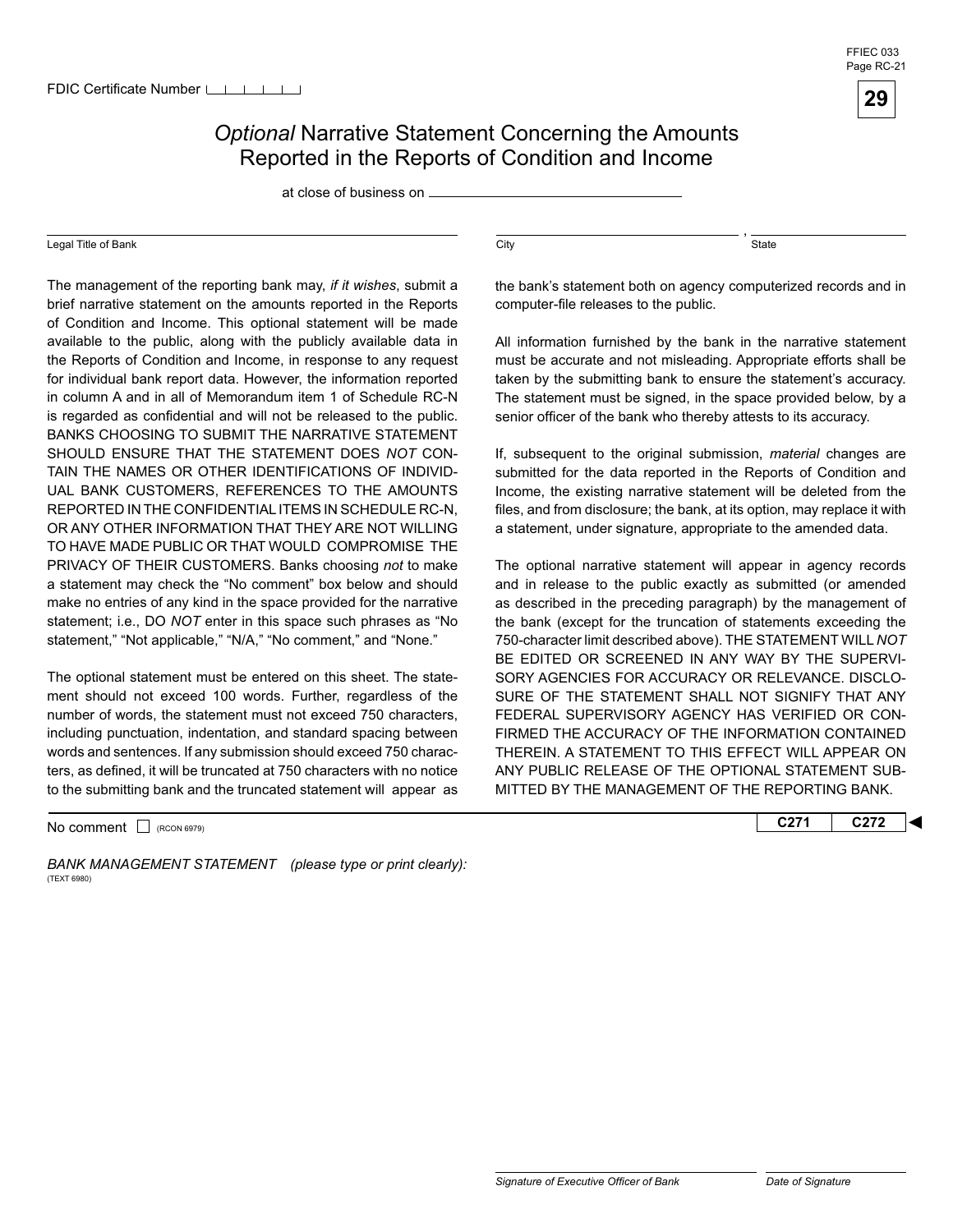

#### **Optional Narrative Statement Concerning the Amounts** Reported in the Reports of Condition and Income

at close of business on

#### Legal Title of Bank

 TO HAVE MADE PUBLIC OR THAT WOULD COMPROMISE THE The management of the reporting bank may, *if it wishes*, submit a brief narrative statement on the amounts reported in the Reports of Condition and Income. This optional statement will be made available to the public, along with the publicly available data in the Reports of Condition and Income, in response to any request for individual bank report data. However, the information reported in column A and in all of Memorandum item 1 of Schedule RC-N is regarded as confidential and will not be released to the public. BANKS CHOOSING TO SUBMIT THE NARRATIVE STATEMENT SHOULD ENSURE THAT THE STATEMENT DOES *NOT* CON-TAIN THE NAMES OR OTHER IDENTIFICATIONS OF INDIVID-UAL BANK CUSTOMERS, REFERENCES TO THE AMOUNTS REPORTED IN THE CONFIDENTIAL ITEMS IN SCHEDULE RC-N, OR ANY OTHER INFORMATION THAT THEY ARE NOT WILLING PRIVACY OF THEIR CUSTOMERS. Banks choosing *not* to make a statement may check the "No comment" box below and should make no entries of any kind in the space provided for the narrative statement; i.e., DO *NOT* enter in this space such phrases as "No statement," "Not applicable," "N/A," "No comment," and "None."

 to the submitting bank and the truncated statement will appear as The optional statement must be entered on this sheet. The statement should not exceed 100 words. Further, regardless of the number of words, the statement must not exceed 750 characters, including punctuation, indentation, and standard spacing between words and sentences. If any submission should exceed 750 characters, as defined, it will be truncated at 750 characters with no notice

No comment □ (RCON 6979) **C272 C272** 

BANK MANAGEMENT STATEMENT (please type or print clearly): (TEXT 6980)

 $\overline{\text{City}}$ ,  $\overline{\text{State}}$ 

the bank's statement both on agency computerized records and in computer-file releases to the public.

All information furnished by the bank in the narrative statement must be accurate and not misleading. Appropriate efforts shall be taken by the submitting bank to ensure the statement's accuracy. The statement must be signed, in the space provided below, by a senior officer of the bank who thereby attests to its accuracy.

If, subsequent to the original submission, *material* changes are submitted for the data reported in the Reports of Condition and Income, the existing narrative statement will be deleted from the files, and from disclosure; the bank, at its option, may replace it with a statement, under signature, appropriate to the amended data.

The optional narrative statement will appear in agency records and in release to the public exactly as submitted (or amended as described in the preceding paragraph) by the management of the bank (except for the truncation of statements exceeding the 750-character limit described above). THE STATEMENT WILL *NOT*  BE EDITED OR SCREENED IN ANY WAY BY THE SUPERVI-SORY AGENCIES FOR ACCURACY OR RELEVANCE. DISCLO-SURE OF THE STATEMENT SHALL NOT SIGNIFY THAT ANY FEDERAL SUPERVISORY AGENCY HAS VERIFIED OR CON-FIRMED THE ACCURACY OF THE INFORMATION CONTAINED THEREIN. A STATEMENT TO THIS EFFECT WILL APPEAR ON ANY PUBLIC RELEASE OF THE OPTIONAL STATEMENT SUB-MITTED BY THE MANAGEMENT OF THE REPORTING BANK.